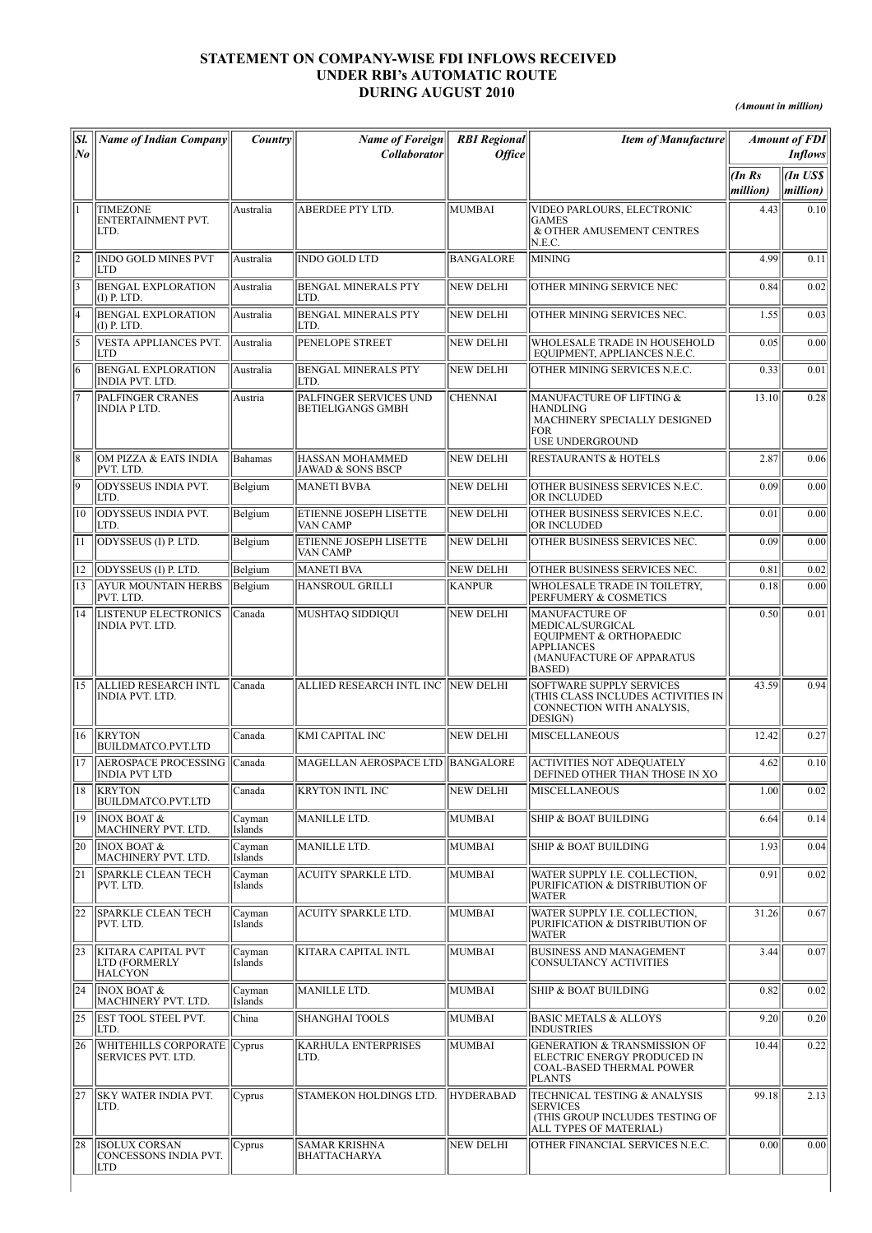## STATEMENT ON COMPANY-WISE FDI INFLOWS RECEIVED UNDER RBI's AUTOMATIC ROUTE DURING AUGUST 2010

*(Amount in million)*

| Sl.<br>$N_{0}$ | <b>Name of Indian Company</b>                                       | Country           | <b>Name of Foreign</b><br><b>Collaborator</b>          | <b>RBI</b> Regional<br>Office | <b>Item of Manufacture</b>                                                                                                        |                   | <b>Amount of FDI</b><br><b>Inflows</b> |
|----------------|---------------------------------------------------------------------|-------------------|--------------------------------------------------------|-------------------------------|-----------------------------------------------------------------------------------------------------------------------------------|-------------------|----------------------------------------|
|                |                                                                     |                   |                                                        |                               |                                                                                                                                   | (InRs<br>million) | An US\$ <br> million)                  |
|                | <b>TIMEZONE</b><br><b>ENTERTAINMENT PVT.</b><br>LTD.                | Australia         | ABERDEE PTY LTD.                                       | <b>MUMBAI</b>                 | VIDEO PARLOURS, ELECTRONIC<br><b>GAMES</b><br>& OTHER AMUSEMENT CENTRES<br>N.E.C.                                                 | 4.43              | 0.10                                   |
| l2             | <b>INDO GOLD MINES PVT</b><br>LTD                                   | Australia         | <b>INDO GOLD LTD</b>                                   | <b>BANGALORE</b>              | <b>MINING</b>                                                                                                                     | 4.99              | 0.11                                   |
| 13             | <b>BENGAL EXPLORATION</b><br>$(I)$ P. LTD.                          | Australia         | <b>BENGAL MINERALS PTY</b><br>LTD.                     | <b>NEW DELHI</b>              | OTHER MINING SERVICE NEC                                                                                                          | 0.84              | 0.02                                   |
| l4             | <b>BENGAL EXPLORATION</b><br>$(I)$ P. LTD.                          | Australia         | <b>BENGAL MINERALS PTY</b><br>LTD.                     | NEW DELHI                     | OTHER MINING SERVICES NEC.                                                                                                        | 1.55              | 0.03                                   |
| l5             | VESTA APPLIANCES PVT.<br><b>LTD</b>                                 | Australia         | PENELOPE STREET                                        | NEW DELHI                     | WHOLESALE TRADE IN HOUSEHOLD<br>EQUIPMENT, APPLIANCES N.E.C.                                                                      | 0.05              | 0.00                                   |
| 6              | <b>BENGAL EXPLORATION</b><br><b>INDIA PVT. LTD.</b>                 | Australia         | <b>BENGAL MINERALS PTY</b><br>LTD.                     | <b>NEW DELHI</b>              | OTHER MINING SERVICES N.E.C.                                                                                                      | 0.33              | 0.01                                   |
|                | PALFINGER CRANES<br><b>INDIA PLTD.</b>                              | Austria           | PALFINGER SERVICES UND<br><b>BETIELIGANGS GMBH</b>     | <b>CHENNAI</b>                | MANUFACTURE OF LIFTING &<br><b>HANDLING</b><br>MACHINERY SPECIALLY DESIGNED<br><b>FOR</b><br>USE UNDERGROUND                      | 13.10             | 0.28                                   |
| 18             | OM PIZZA & EATS INDIA<br>PVT. LTD.                                  | Bahamas           | <b>HASSAN MOHAMMED</b><br><b>JAWAD &amp; SONS BSCP</b> | <b>NEW DELHI</b>              | <b>RESTAURANTS &amp; HOTELS</b>                                                                                                   | 2.87              | 0.06                                   |
| 19             | <b>ODYSSEUS INDIA PVT.</b><br>LTD.                                  | Belgium           | <b>MANETI BVBA</b>                                     | <b>NEW DELHI</b>              | OTHER BUSINESS SERVICES N.E.C.<br><b>OR INCLUDED</b>                                                                              | 0.09              | 0.00                                   |
| 10             | ODYSSEUS INDIA PVT.<br>LTD.                                         | Belgium           | ETIENNE JOSEPH LISETTE<br>VAN CAMP                     | <b>NEW DELHI</b>              | OTHER BUSINESS SERVICES N.E.C.<br>OR INCLUDED                                                                                     | 0.01              | 0.00                                   |
| 11             | ODYSSEUS (I) P. LTD.                                                | Belgium           | ETIENNE JOSEPH LISETTE<br>VAN CAMP                     | NEW DELHI                     | OTHER BUSINESS SERVICES NEC.                                                                                                      | 0.09              | 0.00                                   |
| 12             | ODYSSEUS (I) P. LTD.                                                | Belgium           | <b>MANETI BVA</b>                                      | NEW DELHI                     | OTHER BUSINESS SERVICES NEC.                                                                                                      | 0.81              | 0.02                                   |
| 13             | <b>AYUR MOUNTAIN HERBS</b><br>PVT. LTD.                             | Belgium           | <b>HANSROUL GRILLI</b>                                 | <b>KANPUR</b>                 | WHOLESALE TRADE IN TOILETRY,<br>PERFUMERY & COSMETICS                                                                             | 0.18              | 0.00                                   |
| 14             | <b>LISTENUP ELECTRONICS</b><br>INDIA PVT. LTD.                      | Canada            | MUSHTAQ SIDDIQUI                                       | NEW DELHI                     | MANUFACTURE OF<br>MEDICAL/SURGICAL<br>EQUIPMENT & ORTHOPAEDIC<br><b>APPLIANCES</b><br>(MANUFACTURE OF APPARATUS<br><b>BASED</b> ) | 0.50              | 0.01                                   |
| 15             | <b>ALLIED RESEARCH INTL</b><br><b>INDIA PVT. LTD.</b>               | lCanada           | ALLIED RESEARCH INTL INC NEW DELHI                     |                               | <b>SOFTWARE SUPPLY SERVICES</b><br>(THIS CLASS INCLUDES ACTIVITIES IN<br>CONNECTION WITH ANALYSIS,<br>DESIGN)                     | 43.59             | 0.94                                   |
| 16             | <b>KRYTON</b><br><b>BUILDMATCO.PVT.LTD</b>                          | Canada            | KMI CAPITAL INC                                        | NEW DELHI                     | <b>MISCELLANEOUS</b>                                                                                                              | 12.42             | 0.27                                   |
| 17             | <b>AEROSPACE PROCESSING</b><br><b>INDIA PVT LTD</b>                 | Canada            | MAGELLAN AEROSPACE LTD  BANGALORE                      |                               | <b>ACTIVITIES NOT ADEQUATELY</b><br>DEFINED OTHER THAN THOSE IN XO                                                                | 4.62              | 0.10                                   |
| 18             | <b>KRYTON</b><br><b>BUILDMATCO.PVT.LTD</b>                          | Canada            | KRYTON INTL INC                                        | NEW DELHI                     | <b>MISCELLANEOUS</b>                                                                                                              | 1.00              | 0.02                                   |
| 19             | <b>INOX BOAT &amp;</b><br>MACHINERY PVT. LTD.                       | Cayman<br>Islands | MANILLE LTD.                                           | <b>MUMBAI</b>                 | SHIP & BOAT BUILDING                                                                                                              | 6.64              | 0.14                                   |
| 20             | <b>INOX BOAT &amp;</b><br>MACHINERY PVT. LTD.                       | Cayman<br>Islands | <b>MANILLE LTD.</b>                                    | <b>MUMBAI</b>                 | SHIP & BOAT BUILDING                                                                                                              | 1.93              | 0.04                                   |
| 21             | <b>SPARKLE CLEAN TECH</b><br>PVT. LTD.                              | Cayman<br>Islands | <b>ACUITY SPARKLE LTD.</b>                             | <b>MUMBAI</b>                 | WATER SUPPLY I.E. COLLECTION,<br>PURIFICATION & DISTRIBUTION OF<br><b>WATER</b>                                                   | 0.91              | 0.02                                   |
| 22             | <b>SPARKLE CLEAN TECH</b><br>PVT. LTD.                              | Cayman<br>Islands | <b>ACUITY SPARKLE LTD.</b>                             | <b>MUMBAI</b>                 | WATER SUPPLY I.E. COLLECTION,<br>PURIFICATION & DISTRIBUTION OF<br><b>WATER</b>                                                   | 31.26             | 0.67                                   |
| $ 23\rangle$   | <b>KITARA CAPITAL PVT</b><br><b>LTD (FORMERLY</b><br><b>HALCYON</b> | Cayman<br>Islands | KITARA CAPITAL INTL                                    | <b>MUMBAI</b>                 | <b>BUSINESS AND MANAGEMENT</b><br>CONSULTANCY ACTIVITIES                                                                          | 3.44              | 0.07                                   |
| 24             | <b>INOX BOAT &amp;</b><br>MACHINERY PVT. LTD.                       | Cayman<br>Islands | MANILLE LTD.                                           | MUMBAI                        | SHIP & BOAT BUILDING                                                                                                              | 0.82              | 0.02                                   |
| 25             | <b>EST TOOL STEEL PVT.</b><br>LTD.                                  | China             | <b>SHANGHAI TOOLS</b>                                  | <b>MUMBAI</b>                 | <b>BASIC METALS &amp; ALLOYS</b><br><b>INDUSTRIES</b>                                                                             | 9.20              | 0.20                                   |
| 26             | WHITEHILLS CORPORATE  Cyprus<br>SERVICES PVT. LTD.                  |                   | <b>KARHULA ENTERPRISES</b><br>LTD.                     | MUMBAI                        | <b>GENERATION &amp; TRANSMISSION OF</b><br>ELECTRIC ENERGY PRODUCED IN<br><b>COAL-BASED THERMAL POWER</b><br><b>PLANTS</b>        | 10.44             | 0.22                                   |
| 27             | SKY WATER INDIA PVT.<br>LTD.                                        | Cyprus            | STAMEKON HOLDINGS LTD.                                 | <b>HYDERABAD</b>              | TECHNICAL TESTING & ANALYSIS<br><b>SERVICES</b><br>(THIS GROUP INCLUDES TESTING OF<br>ALL TYPES OF MATERIAL)                      | 99.18             | 2.13                                   |
| 28             | <b>ISOLUX CORSAN</b><br>CONCESSONS INDIA PVT.<br><b>LTD</b>         | Cyprus            | <b>SAMAR KRISHNA</b><br><b>BHATTACHARYA</b>            | NEW DELHI                     | OTHER FINANCIAL SERVICES N.E.C.                                                                                                   | 0.00              | 0.00                                   |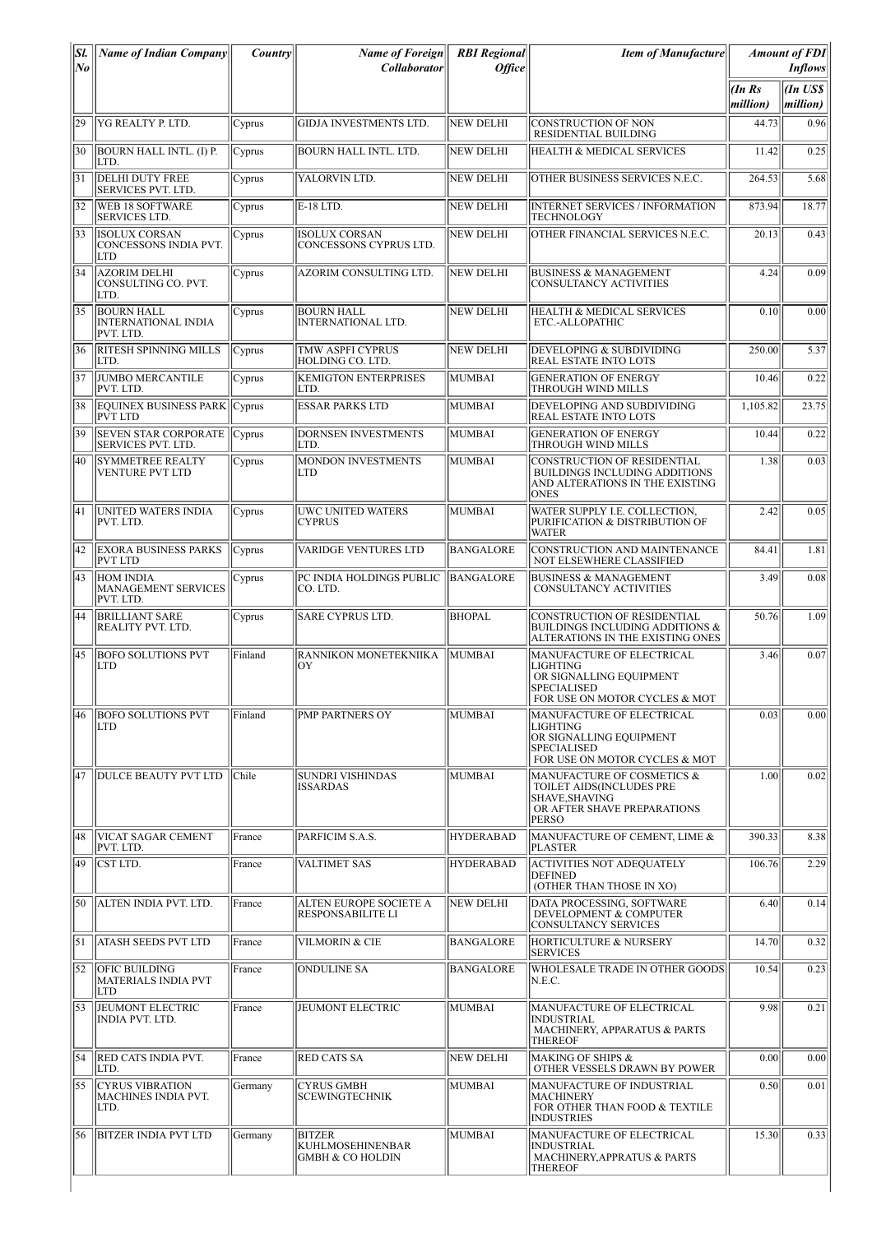| SI.<br>lNo | <b>Name of Indian Company</b>                                | Country | <b>Name of Foreign</b><br><b>Collaborator</b>                           | <b>RBI</b> Regional<br><b>Office</b> | <b>Item of Manufacture</b>                                                                                                     |                   | <b>Amount of FDI</b><br><b>Inflows</b> |
|------------|--------------------------------------------------------------|---------|-------------------------------------------------------------------------|--------------------------------------|--------------------------------------------------------------------------------------------------------------------------------|-------------------|----------------------------------------|
|            |                                                              |         |                                                                         |                                      |                                                                                                                                | (InRs<br>million) | (In US\$<br>million)                   |
| 29         | YG REALTY P. LTD.                                            | Cyprus  | <b>GIDJA INVESTMENTS LTD.</b>                                           | NEW DELHI                            | <b>CONSTRUCTION OF NON</b><br>RESIDENTIAL BUILDING                                                                             | 44.73             | 0.96                                   |
| 30         | <b>BOURN HALL INTL. (I) P.</b><br>LTD.                       | Cyprus  | <b>BOURN HALL INTL. LTD.</b>                                            | NEW DELHI                            | <b>HEALTH &amp; MEDICAL SERVICES</b>                                                                                           | 11.42             | 0.25                                   |
| 31         | <b>DELHI DUTY FREE</b><br><b>SERVICES PVT. LTD.</b>          | Cyprus  | YALORVIN LTD.                                                           | NEW DELHI                            | OTHER BUSINESS SERVICES N.E.C.                                                                                                 | 264.53            | 5.68                                   |
| 32         | <b>WEB 18 SOFTWARE</b><br><b>SERVICES LTD.</b>               | Cyprus  | E-18 LTD.                                                               | <b>NEW DELHI</b>                     | <b>INTERNET SERVICES / INFORMATION</b><br><b>TECHNOLOGY</b>                                                                    | 873.94            | 18.77                                  |
| 33         | <b>ISOLUX CORSAN</b><br>CONCESSONS INDIA PVT.<br>LTD         | Cyprus  | <b>ISOLUX CORSAN</b><br>CONCESSONS CYPRUS LTD.                          | NEW DELHI                            | OTHER FINANCIAL SERVICES N.E.C.                                                                                                | 20.13             | 0.43                                   |
| 34         | <b>AZORIM DELHI</b><br>CONSULTING CO. PVT.<br>LTD.           | Cyprus  | AZORIM CONSULTING LTD.                                                  | NEW DELHI                            | <b>BUSINESS &amp; MANAGEMENT</b><br><b>CONSULTANCY ACTIVITIES</b>                                                              | 4.24              | 0.09                                   |
| 35         | <b>BOURN HALL</b><br><b>INTERNATIONAL INDIA</b><br>PVT. LTD. | Cyprus  | <b>BOURN HALL</b><br><b>INTERNATIONAL LTD.</b>                          | NEW DELHI                            | <b>HEALTH &amp; MEDICAL SERVICES</b><br>ETC.-ALLOPATHIC                                                                        | 0.10              | 0.00                                   |
| 36         | <b>RITESH SPINNING MILLS</b><br>LTD.                         | Cyprus  | <b>TMW ASPFI CYPRUS</b><br>HOLDING CO. LTD.                             | NEW DELHI                            | DEVELOPING & SUBDIVIDING<br><b>REAL ESTATE INTO LOTS</b>                                                                       | 250.00            | 5.37                                   |
| 37         | <b>JUMBO MERCANTILE</b><br>PVT. LTD.                         | Cyprus  | <b>KEMIGTON ENTERPRISES</b><br>LTD.                                     | MUMBAI                               | <b>GENERATION OF ENERGY</b><br>THROUGH WIND MILLS                                                                              | 10.46             | 0.22                                   |
| 38         | <b>EQUINEX BUSINESS PARK</b><br><b>PVT LTD</b>               | Cyprus  | <b>ESSAR PARKS LTD</b>                                                  | MUMBAI                               | DEVELOPING AND SUBDIVIDING<br>REAL ESTATE INTO LOTS                                                                            | 1,105.82          | 23.75                                  |
| 39         | <b>SEVEN STAR CORPORATE</b><br><b>SERVICES PVT. LTD.</b>     | Cyprus  | <b>DORNSEN INVESTMENTS</b><br>LTD.                                      | MUMBAI                               | <b>GENERATION OF ENERGY</b><br>THROUGH WIND MILLS                                                                              | 10.44             | 0.22                                   |
| 40         | <b>SYMMETREE REALTY</b><br><b>VENTURE PVT LTD</b>            | Cyprus  | MONDON INVESTMENTS<br><b>LTD</b>                                        | MUMBAI                               | CONSTRUCTION OF RESIDENTIAL<br>BUILDINGS INCLUDING ADDITIONS<br>AND ALTERATIONS IN THE EXISTING<br><b>ONES</b>                 | 1.38              | 0.03                                   |
| 41         | UNITED WATERS INDIA<br>PVT. LTD.                             | Cyprus  | <b>UWC UNITED WATERS</b><br><b>CYPRUS</b>                               | MUMBAI                               | WATER SUPPLY I.E. COLLECTION,<br>PURIFICATION & DISTRIBUTION OF<br><b>WATER</b>                                                | 2.42              | 0.05                                   |
| 42         | <b>EXORA BUSINESS PARKS</b><br><b>PVT LTD</b>                | Cyprus  | <b>VARIDGE VENTURES LTD</b>                                             | <b>BANGALORE</b>                     | CONSTRUCTION AND MAINTENANCE<br>NOT ELSEWHERE CLASSIFIED                                                                       | 84.41             | 1.81                                   |
| 43         | <b>HOM INDIA</b><br>MANAGEMENT SERVICES<br>PVT. LTD.         | Cyprus  | PC INDIA HOLDINGS PUBLIC<br>ICO. LTD.                                   | BANGALORE                            | <b>BUSINESS &amp; MANAGEMENT</b><br><b>CONSULTANCY ACTIVITIES</b>                                                              | 3.49              | 0.08                                   |
| 44         | <b>BRILLIANT SARE</b><br>REALITY PVT. LTD.                   | Cyprus  | <b>SARE CYPRUS LTD.</b>                                                 | <b>BHOPAL</b>                        | <b>CONSTRUCTION OF RESIDENTIAL</b><br><b>BUILDINGS INCLUDING ADDITIONS &amp;</b><br>ALTERATIONS IN THE EXISTING ONES           | 50.76             | 1.09                                   |
| 45         | <b>BOFO SOLUTIONS PVT</b><br>LTD                             | Finland | RANNIKON MONETEKNIIKA<br>ОY                                             | <b>MUMBAI</b>                        | MANUFACTURE OF ELECTRICAL<br>LIGHTING<br>OR SIGNALLING EOUIPMENT<br>SPECIALISED<br>FOR USE ON MOTOR CYCLES & MOT               | 3.46              | 0.07                                   |
| 46         | <b>BOFO SOLUTIONS PVT</b><br><b>LTD</b>                      | Finland | PMP PARTNERS OY                                                         | MUMBAI                               | MANUFACTURE OF ELECTRICAL<br>LIGHTING<br>OR SIGNALLING EQUIPMENT<br><b>SPECIALISED</b><br>FOR USE ON MOTOR CYCLES & MOT        | 0.03              | 0.00                                   |
| 47         | DULCE BEAUTY PVT LTD                                         | Chile   | <b>SUNDRI VISHINDAS</b><br><b>ISSARDAS</b>                              | MUMBAI                               | MANUFACTURE OF COSMETICS &<br>TOILET AIDS(INCLUDES PRE<br><b>SHAVE, SHAVING</b><br>OR AFTER SHAVE PREPARATIONS<br><b>PERSO</b> | 1.00              | 0.02                                   |
| 48         | <b>VICAT SAGAR CEMENT</b><br>PVT. LTD.                       | France  | PARFICIM S.A.S.                                                         | <b>HYDERABAD</b>                     | MANUFACTURE OF CEMENT, LIME &<br><b>PLASTER</b>                                                                                | 390.33            | 8.38                                   |
| 49         | CST LTD.                                                     | France  | <b>VALTIMET SAS</b>                                                     | <b>HYDERABAD</b>                     | <b>ACTIVITIES NOT ADEQUATELY</b><br><b>DEFINED</b><br>(OTHER THAN THOSE IN XO)                                                 | 106.76            | 2.29                                   |
| 50         | ALTEN INDIA PVT. LTD.                                        | France  | <b>ALTEN EUROPE SOCIETE A</b><br><b>RESPONSABILITE LI</b>               | NEW DELHI                            | DATA PROCESSING, SOFTWARE<br>DEVELOPMENT & COMPUTER<br>CONSULTANCY SERVICES                                                    | 6.40              | 0.14                                   |
| 51         | ATASH SEEDS PVT LTD                                          | France  | <b>VILMORIN &amp; CIE</b>                                               | <b>BANGALORE</b>                     | HORTICULTURE & NURSERY<br><b>SERVICES</b>                                                                                      | 14.70             | 0.32                                   |
| 52         | <b>OFIC BUILDING</b><br><b>MATERIALS INDIA PVT</b><br>LTD    | France  | <b>ONDULINE SA</b>                                                      | BANGALORE                            | WHOLESALE TRADE IN OTHER GOODS<br>N.E.C.                                                                                       | 10.54             | 0.23                                   |
| 53         | JEUMONT ELECTRIC<br>INDIA PVT. LTD.                          | France  | <b>JEUMONT ELECTRIC</b>                                                 | MUMBAI                               | MANUFACTURE OF ELECTRICAL<br>INDUSTRIAL<br>MACHINERY, APPARATUS & PARTS<br><b>THEREOF</b>                                      | 9.98              | 0.21                                   |
| 54         | <b>RED CATS INDIA PVT.</b><br>LTD.                           | France  | <b>RED CATS SA</b>                                                      | NEW DELHI                            | <b>MAKING OF SHIPS &amp;</b><br>OTHER VESSELS DRAWN BY POWER                                                                   | 0.00              | 0.00                                   |
| 55         | <b>CYRUS VIBRATION</b><br><b>MACHINES INDIA PVT.</b><br>LTD. | Germany | <b>CYRUS GMBH</b><br><b>SCEWINGTECHNIK</b>                              | MUMBAI                               | MANUFACTURE OF INDUSTRIAL<br><b>MACHINERY</b><br>FOR OTHER THAN FOOD & TEXTILE<br><b>INDUSTRIES</b>                            | 0.50              | 0.01                                   |
| 56         | <b>BITZER INDIA PVT LTD</b>                                  | Germany | <b>BITZER</b><br><b>KUHLMOSEHINENBAR</b><br><b>GMBH &amp; CO HOLDIN</b> | MUMBAI                               | MANUFACTURE OF ELECTRICAL<br><b>INDUSTRIAL</b><br>MACHINERY, APPRATUS & PARTS<br><b>THEREOF</b>                                | 15.30             | 0.33                                   |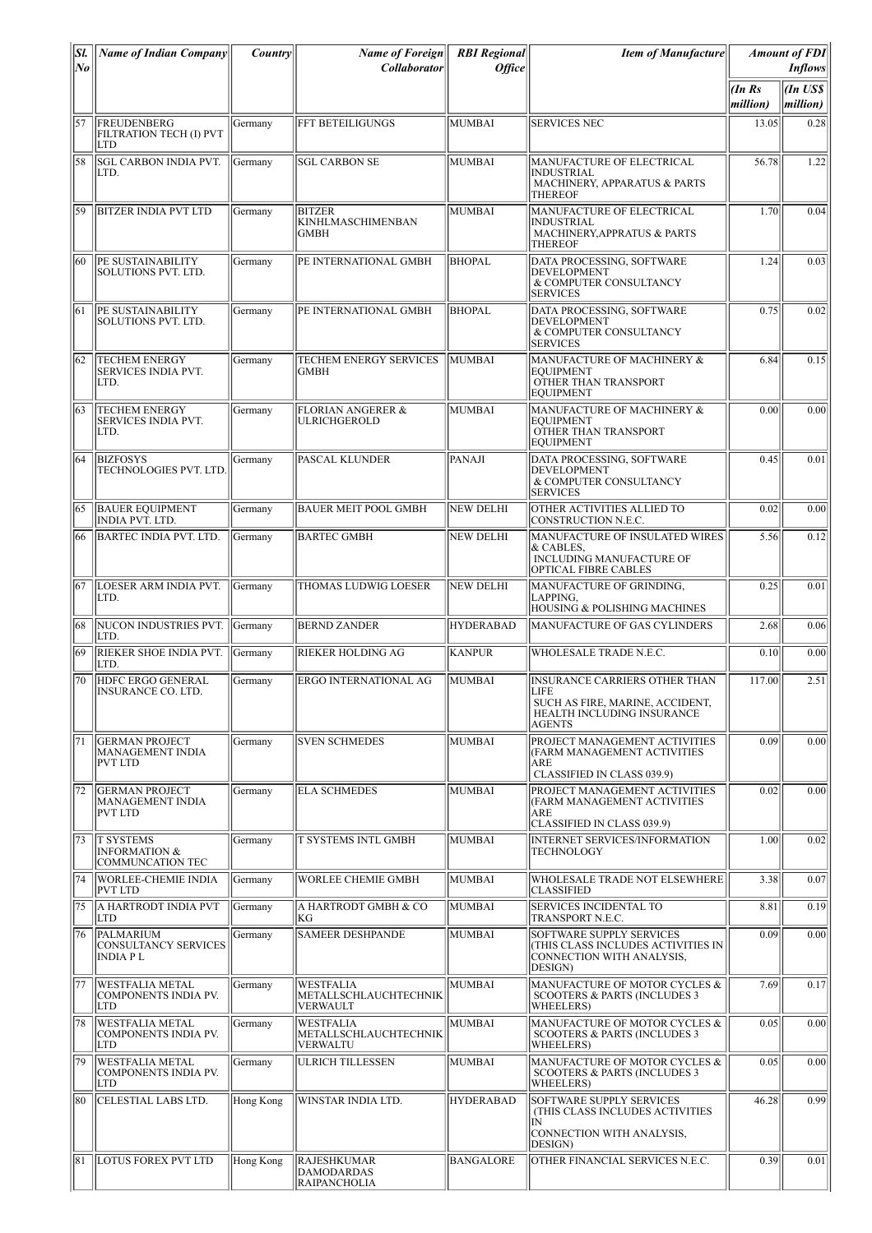| SI.<br> No | <b>Name of Indian Company</b>                                           | <i>Country</i> | <b>Name of Foreign</b><br><b>Collaborator</b>                  | <b>RBI</b> Regional<br><b>Office</b> | <b>Item of Manufacture</b>                                                                                                      |                    | <b>Amount of FDI</b><br><b>Inflows</b> |
|------------|-------------------------------------------------------------------------|----------------|----------------------------------------------------------------|--------------------------------------|---------------------------------------------------------------------------------------------------------------------------------|--------------------|----------------------------------------|
|            |                                                                         |                |                                                                |                                      |                                                                                                                                 | (In Rs<br>million) | $ $ <i>(In US\$</i><br>million)        |
| 57         | FREUDENBERG<br><b>FILTRATION TECH (I) PVT</b><br><b>LTD</b>             | Germany        | <b>FFT BETEILIGUNGS</b>                                        | MUMBAI                               | <b>SERVICES NEC</b>                                                                                                             | 13.05              | 0.28                                   |
| 58         | <b>SGL CARBON INDIA PVT.</b><br>LTD.                                    | Germany        | <b>SGL CARBON SE</b>                                           | MUMBAI                               | MANUFACTURE OF ELECTRICAL<br>INDUSTRIAL<br>MACHINERY, APPARATUS & PARTS<br><b>THEREOF</b>                                       | 56.78              | 1.22                                   |
| 59         | <b>BITZER INDIA PVT LTD</b>                                             | Germany        | <b>BITZER</b><br><b>KINHLMASCHIMENBAN</b><br><b>GMBH</b>       | MUMBAI                               | MANUFACTURE OF ELECTRICAL<br>INDUSTRIAL<br>MACHINERY, APPRATUS & PARTS<br><b>THEREOF</b>                                        | 1.70               | 0.04                                   |
| 60         | PE SUSTAINABILITY<br>SOLUTIONS PVT. LTD.                                | Germany        | PE INTERNATIONAL GMBH                                          | <b>BHOPAL</b>                        | DATA PROCESSING, SOFTWARE<br><b>DEVELOPMENT</b><br>& COMPUTER CONSULTANCY<br><b>SERVICES</b>                                    | 1.24               | 0.03                                   |
| 61         | <b>PE SUSTAINABILITY</b><br>SOLUTIONS PVT. LTD.                         | Germany        | PE INTERNATIONAL GMBH                                          | <b>BHOPAL</b>                        | DATA PROCESSING, SOFTWARE<br><b>DEVELOPMENT</b><br>& COMPUTER CONSULTANCY<br><b>SERVICES</b>                                    | 0.75               | 0.02                                   |
| 62         | <b>TECHEM ENERGY</b><br><b>SERVICES INDIA PVT.</b><br>LTD.              | Germany        | <b>TECHEM ENERGY SERVICES</b><br>GMBH                          | <b>MUMBAI</b>                        | MANUFACTURE OF MACHINERY &<br><b>EOUIPMENT</b><br>OTHER THAN TRANSPORT<br><b>EQUIPMENT</b>                                      | 6.84               | 0.15                                   |
| 63         | <b>TECHEM ENERGY</b><br><b>SERVICES INDIA PVT.</b><br>LTD.              | Germany        | <b>FLORIAN ANGERER &amp;</b><br><b>ULRICHGEROLD</b>            | MUMBAI                               | MANUFACTURE OF MACHINERY &<br><b>EQUIPMENT</b><br>OTHER THAN TRANSPORT<br><b>EQUIPMENT</b>                                      | 0.00               | 0.00                                   |
| 64         | <b>BIZFOSYS</b><br>TECHNOLOGIES PVT. LTD                                | Germany        | <b>PASCAL KLUNDER</b>                                          | PANAJI                               | DATA PROCESSING, SOFTWARE<br><b>DEVELOPMENT</b><br>& COMPUTER CONSULTANCY<br><b>SERVICES</b>                                    | 0.45               | 0.01                                   |
| 65         | <b>BAUER EQUIPMENT</b><br>INDIA PVT. LTD.                               | Germany        | <b>BAUER MEIT POOL GMBH</b>                                    | NEW DELHI                            | OTHER ACTIVITIES ALLIED TO<br>CONSTRUCTION N.E.C.                                                                               | 0.02               | 0.00                                   |
| 66         | BARTEC INDIA PVT. LTD.                                                  | Germany        | <b>BARTEC GMBH</b>                                             | <b>NEW DELHI</b>                     | MANUFACTURE OF INSULATED WIRES<br>& CABLES,<br>INCLUDING MANUFACTURE OF<br>OPTICAL FIBRE CABLES                                 | 5.56               | 0.12                                   |
| 67         | LOESER ARM INDIA PVT.<br>LTD.                                           | Germany        | THOMAS LUDWIG LOESER                                           | NEW DELHI                            | MANUFACTURE OF GRINDING,<br>LAPPING,<br>HOUSING & POLISHING MACHINES                                                            | 0.25               | 0.01                                   |
| 68         | NUCON INDUSTRIES PVT.<br>LTD.                                           | Germany        | <b>BERND ZANDER</b>                                            | <b>HYDERABAD</b>                     | MANUFACTURE OF GAS CYLINDERS                                                                                                    | 2.68               | 0.06                                   |
| 69         | RIEKER SHOE INDIA PVT.<br>LTD.                                          | Germany        | <b>RIEKER HOLDING AG</b>                                       | KANPUR                               | WHOLESALE TRADE N.E.C.                                                                                                          | 0.10               | 0.00                                   |
| 70         | HDFC ERGO GENERAL<br> INSURANCE CO. LTD.                                | Germany        | ERGO INTERNATIONAL AG                                          | MUMBAI                               | <b>INSURANCE CARRIERS OTHER THAN</b><br> LIFE<br>SUCH AS FIRE, MARINE, ACCIDENT,<br>HEALTH INCLUDING INSURANCE<br><b>AGENTS</b> | 117.00             | 2.51                                   |
| 71         | <b>GERMAN PROJECT</b><br><b>MANAGEMENT INDIA</b><br><b>PVT LTD</b>      | Germany        | <b>SVEN SCHMEDES</b>                                           | MUMBAI                               | PROJECT MANAGEMENT ACTIVITIES<br>(FARM MANAGEMENT ACTIVITIES<br>ARE<br>CLASSIFIED IN CLASS 039.9)                               | 0.09               | 0.00                                   |
| 72         | <b>GERMAN PROJECT</b><br>MANAGEMENT INDIA<br><b>PVT LTD</b>             | Germany        | <b>ELA SCHMEDES</b>                                            | MUMBAI                               | PROJECT MANAGEMENT ACTIVITIES<br>(FARM MANAGEMENT ACTIVITIES<br>ARE<br>CLASSIFIED IN CLASS 039.9)                               | 0.02               | 0.00                                   |
| 73         | <b>T SYSTEMS</b><br><b>INFORMATION &amp;</b><br><b>COMMUNCATION TEC</b> | Germany        | <b>T SYSTEMS INTL GMBH</b>                                     | MUMBAI                               | <b>INTERNET SERVICES/INFORMATION</b><br><b>TECHNOLOGY</b>                                                                       | 1.00               | 0.02                                   |
| 74         | <b>WORLEE-CHEMIE INDIA</b><br><b>PVT LTD</b>                            | Germany        | <b>WORLEE CHEMIE GMBH</b>                                      | MUMBAI                               | WHOLESALE TRADE NOT ELSEWHERE<br><b>CLASSIFIED</b>                                                                              | 3.38               | 0.07                                   |
| 75         | A HARTRODT INDIA PVT<br> LTD                                            | Germany        | A HARTRODT GMBH & CO<br> KG                                    | MUMBAI                               | <b>SERVICES INCIDENTAL TO</b><br>TRANSPORT N.E.C.                                                                               | 8.81               | 0.19                                   |
| 76         | PALMARIUM<br><b>CONSULTANCY SERVICES</b><br>INDIA P L                   | Germany        | <b>SAMEER DESHPANDE</b>                                        | MUMBAI                               | SOFTWARE SUPPLY SERVICES<br>(THIS CLASS INCLUDES ACTIVITIES IN<br>CONNECTION WITH ANALYSIS,<br>DESIGN)                          | 0.09               | 0.00                                   |
| 77         | <b>WESTFALIA METAL</b><br>COMPONENTS INDIA PV.<br><b>LTD</b>            | Germany        | WESTFALIA<br>METALLSCHLAUCHTECHNIK<br><b>VERWAULT</b>          | MUMBAI                               | MANUFACTURE OF MOTOR CYCLES &<br><b>SCOOTERS &amp; PARTS (INCLUDES 3)</b><br>WHEELERS)                                          | 7.69               | 0.17                                   |
| 78         | <b>WESTFALIA METAL</b><br>COMPONENTS INDIA PV.<br><b>LTD</b>            | Germany        | <b>WESTFALIA</b><br>METALLSCHLAUCHTECHNIK<br><b>VERWALTU</b>   | MUMBAI                               | MANUFACTURE OF MOTOR CYCLES &<br><b>SCOOTERS &amp; PARTS (INCLUDES 3)</b><br>WHEELERS)                                          | 0.05               | 0.00                                   |
| 79         | <b>WESTFALIA METAL</b><br>COMPONENTS INDIA PV.<br> LTD                  | Germany        | <b>ULRICH TILLESSEN</b>                                        | MUMBAI                               | MANUFACTURE OF MOTOR CYCLES &<br><b>SCOOTERS &amp; PARTS (INCLUDES 3)</b><br>WHEELERS)                                          | 0.05               | 0.00                                   |
| 80         | CELESTIAL LABS LTD.                                                     | Hong Kong      | WINSTAR INDIA LTD.                                             | <b>HYDERABAD</b>                     | SOFTWARE SUPPLY SERVICES<br>(THIS CLASS INCLUDES ACTIVITIES<br>IN<br>CONNECTION WITH ANALYSIS,<br>DESIGN)                       | 46.28              | 0.99                                   |
| 81         | <b>LOTUS FOREX PVT LTD</b>                                              | Hong Kong      | <b>RAJESHKUMAR</b><br><b>DAMODARDAS</b><br><b>RAIPANCHOLIA</b> | <b>BANGALORE</b>                     | OTHER FINANCIAL SERVICES N.E.C.                                                                                                 | 0.39               | 0.01                                   |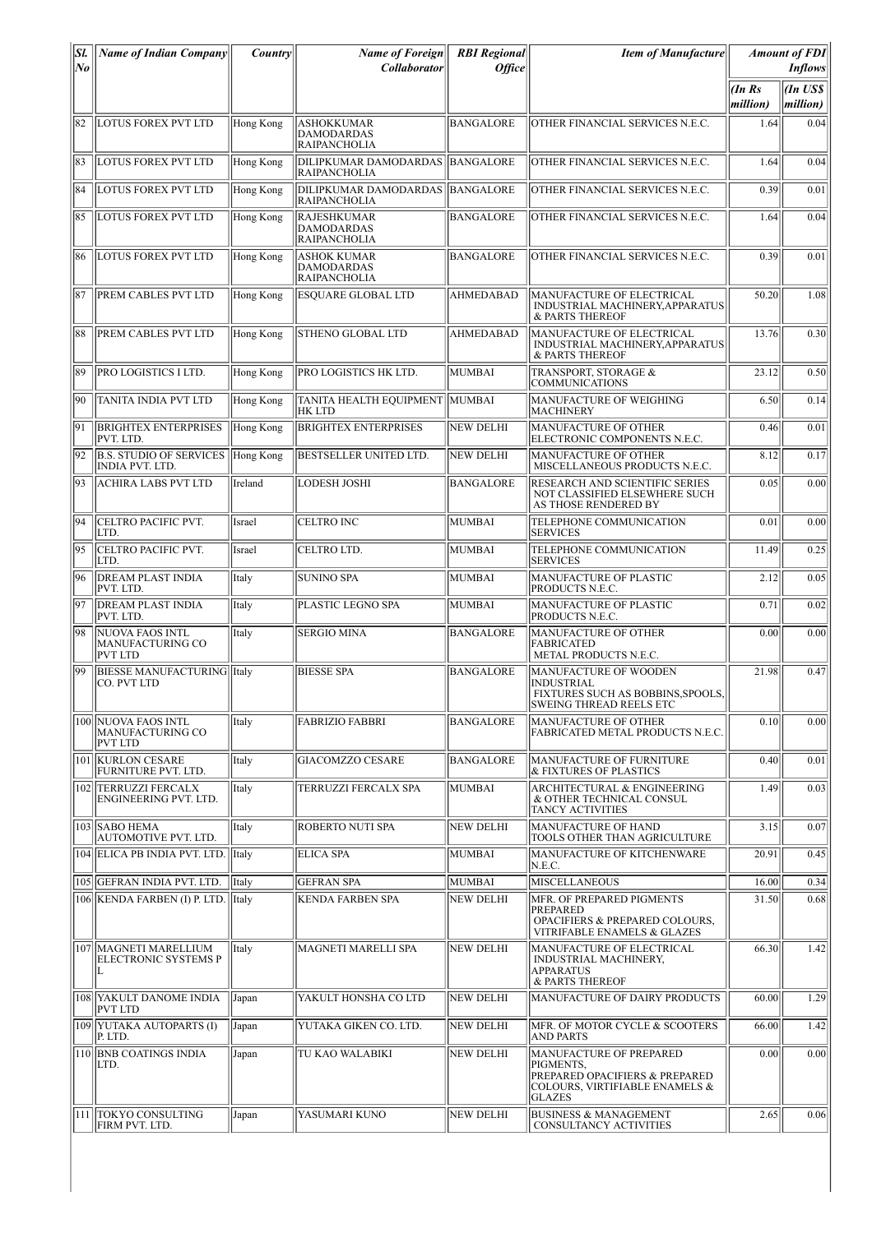| SI.<br>No | <b>Name of Indian Company</b>                                       | <i>Country</i> | <b>Name of Foreign</b><br><b>Collaborator</b>                  | <b>RBI</b> Regional<br><i>Office</i> | <b>Item of Manufacture</b>                                                                                                |                   | <b>Amount of FDI</b><br><b>Inflows</b> |
|-----------|---------------------------------------------------------------------|----------------|----------------------------------------------------------------|--------------------------------------|---------------------------------------------------------------------------------------------------------------------------|-------------------|----------------------------------------|
|           |                                                                     |                |                                                                |                                      |                                                                                                                           | (InRs<br>million) | (In US\$<br>million)                   |
| 82        | <b>LOTUS FOREX PVT LTD</b>                                          | Hong Kong      | <b>ASHOKKUMAR</b><br><b>DAMODARDAS</b><br><b>RAIPANCHOLIA</b>  | <b>BANGALORE</b>                     | OTHER FINANCIAL SERVICES N.E.C.                                                                                           | 1.64              | 0.04                                   |
| 83        | <b>LOTUS FOREX PVT LTD</b>                                          | Hong Kong      | DILIPKUMAR DAMODARDAS BANGALORE<br><b>RAIPANCHOLIA</b>         |                                      | OTHER FINANCIAL SERVICES N.E.C.                                                                                           | 1.64              | 0.04                                   |
| 84        | <b>LOTUS FOREX PVT LTD</b>                                          | Hong Kong      | DILIPKUMAR DAMODARDAS BANGALORE<br><b>RAIPANCHOLIA</b>         |                                      | OTHER FINANCIAL SERVICES N.E.C.                                                                                           | 0.39              | 0.01                                   |
| 85        | LOTUS FOREX PVT LTD                                                 | Hong Kong      | <b>RAJESHKUMAR</b><br><b>DAMODARDAS</b><br><b>RAIPANCHOLIA</b> | <b>BANGALORE</b>                     | OTHER FINANCIAL SERVICES N.E.C.                                                                                           | 1.64              | 0.04                                   |
| 86        | <b>LOTUS FOREX PVT LTD</b>                                          | Hong Kong      | <b>ASHOK KUMAR</b><br><b>DAMODARDAS</b><br><b>RAIPANCHOLIA</b> | <b>BANGALORE</b>                     | OTHER FINANCIAL SERVICES N.E.C.                                                                                           | 0.39              | 0.01                                   |
| 87        | PREM CABLES PVT LTD                                                 | Hong Kong      | <b>ESQUARE GLOBAL LTD</b>                                      | AHMEDABAD                            | MANUFACTURE OF ELECTRICAL<br>INDUSTRIAL MACHINERY, APPARATUS<br>& PARTS THEREOF                                           | 50.20             | 1.08                                   |
| 88        | PREM CABLES PVT LTD                                                 | Hong Kong      | <b>STHENO GLOBAL LTD</b>                                       | <b>AHMEDABAD</b>                     | MANUFACTURE OF ELECTRICAL<br>INDUSTRIAL MACHINERY, APPARATUS<br>& PARTS THEREOF                                           | 13.76             | 0.30                                   |
| 89        | PRO LOGISTICS I LTD.                                                | Hong Kong      | <b>PRO LOGISTICS HK LTD.</b>                                   | MUMBAI                               | TRANSPORT, STORAGE &<br>COMMUNICATIONS                                                                                    | 23.12             | 0.50                                   |
| 90        | TANITA INDIA PVT LTD                                                | Hong Kong      | TANITA HEALTH EQUIPMENT  MUMBAI<br>HK LTD                      |                                      | <b>MANUFACTURE OF WEIGHING</b><br><b>MACHINERY</b>                                                                        | 6.50              | 0.14                                   |
| 91        | <b>BRIGHTEX ENTERPRISES</b><br>PVT. LTD                             | Hong Kong      | <b>BRIGHTEX ENTERPRISES</b>                                    | <b>NEW DELHI</b>                     | MANUFACTURE OF OTHER<br>ELECTRONIC COMPONENTS N.E.C.                                                                      | 0.46              | 0.01                                   |
| 92        | <b>B.S. STUDIO OF SERVICES</b><br><b>INDIA PVT. LTD.</b>            | Hong Kong      | <b>BESTSELLER UNITED LTD.</b>                                  | <b>NEW DELHI</b>                     | MANUFACTURE OF OTHER<br>MISCELLANEOUS PRODUCTS N.E.C.                                                                     | 8.12              | 0.17                                   |
| 93        | <b>ACHIRA LABS PVT LTD</b>                                          | Ireland        | <b>LODESH JOSHI</b>                                            | <b>BANGALORE</b>                     | RESEARCH AND SCIENTIFIC SERIES<br>NOT CLASSIFIED ELSEWHERE SUCH<br>AS THOSE RENDERED BY                                   | 0.05              | 0.00                                   |
| 94        | CELTRO PACIFIC PVT.<br>LTD.                                         | Israel         | ICELTRO INC                                                    | <b>MUMBAI</b>                        | TELEPHONE COMMUNICATION<br><b>SERVICES</b>                                                                                | 0.01              | 0.00                                   |
| 95        | CELTRO PACIFIC PVT.<br>LTD.                                         | Israel         | <b>CELTRO LTD.</b>                                             | <b>MUMBAI</b>                        | TELEPHONE COMMUNICATION<br><b>SERVICES</b>                                                                                | 11.49             | 0.25                                   |
| 96        | <b>DREAM PLAST INDIA</b><br>PVT. LTD.                               | Italy          | <b>SUNINO SPA</b>                                              | <b>MUMBAI</b>                        | <b>MANUFACTURE OF PLASTIC</b><br>PRODUCTS N.E.C.                                                                          | 2.12              | 0.05                                   |
| 97        | <b>DREAM PLAST INDIA</b><br>PVT. LTD.                               | Italy          | PLASTIC LEGNO SPA                                              | <b>MUMBAI</b>                        | MANUFACTURE OF PLASTIC<br>PRODUCTS N.E.C.                                                                                 | 0.71              | 0.02                                   |
| 98        | <b>NUOVA FAOS INTL</b><br><b>MANUFACTURING CO</b><br><b>PVT LTD</b> | Italy          | <b>SERGIO MINA</b>                                             | <b>BANGALORE</b>                     | <b>MANUFACTURE OF OTHER</b><br><b>FABRICATED</b><br>METAL PRODUCTS N.E.C.                                                 | 0.00              | 0.00                                   |
| 99        | <b>BIESSE MANUFACTURING IItaly</b><br>CO. PVT LTD                   |                | <b>BIESSE SPA</b>                                              | <b>BANGALORE</b>                     | <b>MANUFACTURE OF WOODEN</b><br><b>INDUSTRIAL</b><br>FIXTURES SUCH AS BOBBINS, SPOOLS,<br><b>SWEING THREAD REELS ETC</b>  | 21.98             | 0.47                                   |
|           | 100 NUOVA FAOS INTL<br><b>MANUFACTURING CO</b><br><b>PVT LTD</b>    | Italy          | <b>FABRIZIO FABBRI</b>                                         | <b>BANGALORE</b>                     | MANUFACTURE OF OTHER<br>FABRICATED METAL PRODUCTS N.E.C.                                                                  | 0.10              | 0.00                                   |
|           | 101 KURLON CESARE<br>FURNITURE PVT. LTD.                            | Italy          | <b>GIACOMZZO CESARE</b>                                        | <b>BANGALORE</b>                     | MANUFACTURE OF FURNITURE<br>& FIXTURES OF PLASTICS                                                                        | 0.40              | 0.01                                   |
| 102       | <b>TERRUZZI FERCALX</b><br>ENGINEERING PVT. LTD.                    | Italy          | TERRUZZI FERCALX SPA                                           | MUMBAI                               | <b>ARCHITECTURAL &amp; ENGINEERING</b><br>& OTHER TECHNICAL CONSUL<br>TANCY ACTIVITIES                                    | 1.49              | 0.03                                   |
|           | 103 SABO HEMA<br>AUTOMOTIVE PVT. LTD.                               | Italy          | <b>ROBERTO NUTI SPA</b>                                        | <b>NEW DELHI</b>                     | <b>MANUFACTURE OF HAND</b><br>TOOLS OTHER THAN AGRICULTURE                                                                | 3.15              | 0.07                                   |
|           | 104 ELICA PB INDIA PVT. LTD.                                        | <b>Italy</b>   | <b>ELICA SPA</b>                                               | <b>MUMBAI</b>                        | MANUFACTURE OF KITCHENWARE<br>N.E.C.                                                                                      | 20.91             | 0.45                                   |
|           | 105 GEFRAN INDIA PVT. LTD.                                          | Italy          | <b>GEFRAN SPA</b>                                              | <b>MUMBAI</b>                        | <b>MISCELLANEOUS</b>                                                                                                      | 16.00             | 0.34                                   |
|           | 106 KENDA FARBEN (I) P. LTD.                                        | Italy          | <b>KENDA FARBEN SPA</b>                                        | <b>NEW DELHI</b>                     | MFR. OF PREPARED PIGMENTS<br>PREPARED<br>OPACIFIERS & PREPARED COLOURS,<br>VITRIFABLE ENAMELS & GLAZES                    | 31.50             | 0.68                                   |
|           | 107   MAGNETI MARELLIUM<br>ELECTRONIC SYSTEMS P                     | Italy          | MAGNETI MARELLI SPA                                            | <b>NEW DELHI</b>                     | MANUFACTURE OF ELECTRICAL<br>INDUSTRIAL MACHINERY,<br><b>APPARATUS</b><br>& PARTS THEREOF                                 | 66.30             | 1.42                                   |
|           | 108 YAKULT DANOME INDIA<br><b>PVT LTD</b>                           | Japan          | YAKULT HONSHA CO LTD                                           | <b>NEW DELHI</b>                     | MANUFACTURE OF DAIRY PRODUCTS                                                                                             | 60.00             | 1.29                                   |
|           | 109 YUTAKA AUTOPARTS (I)<br>P. LTD.                                 | Japan          | YUTAKA GIKEN CO. LTD.                                          | <b>NEW DELHI</b>                     | MFR. OF MOTOR CYCLE & SCOOTERS<br>AND PARTS                                                                               | 66.00             | 1.42                                   |
|           | 110 BNB COATINGS INDIA<br>LTD.                                      | Japan          | TU KAO WALABIKI                                                | <b>NEW DELHI</b>                     | MANUFACTURE OF PREPARED<br>PIGMENTS.<br>PREPARED OPACIFIERS & PREPARED<br>COLOURS, VIRTIFIABLE ENAMELS &<br><b>GLAZES</b> | 0.00              | 0.00                                   |
|           | 111   TOKYO CONSULTING<br>FIRM PVT. LTD.                            | Japan          | YASUMARI KUNO                                                  | <b>NEW DELHI</b>                     | <b>BUSINESS &amp; MANAGEMENT</b><br>CONSULTANCY ACTIVITIES                                                                | 2.65              | 0.06                                   |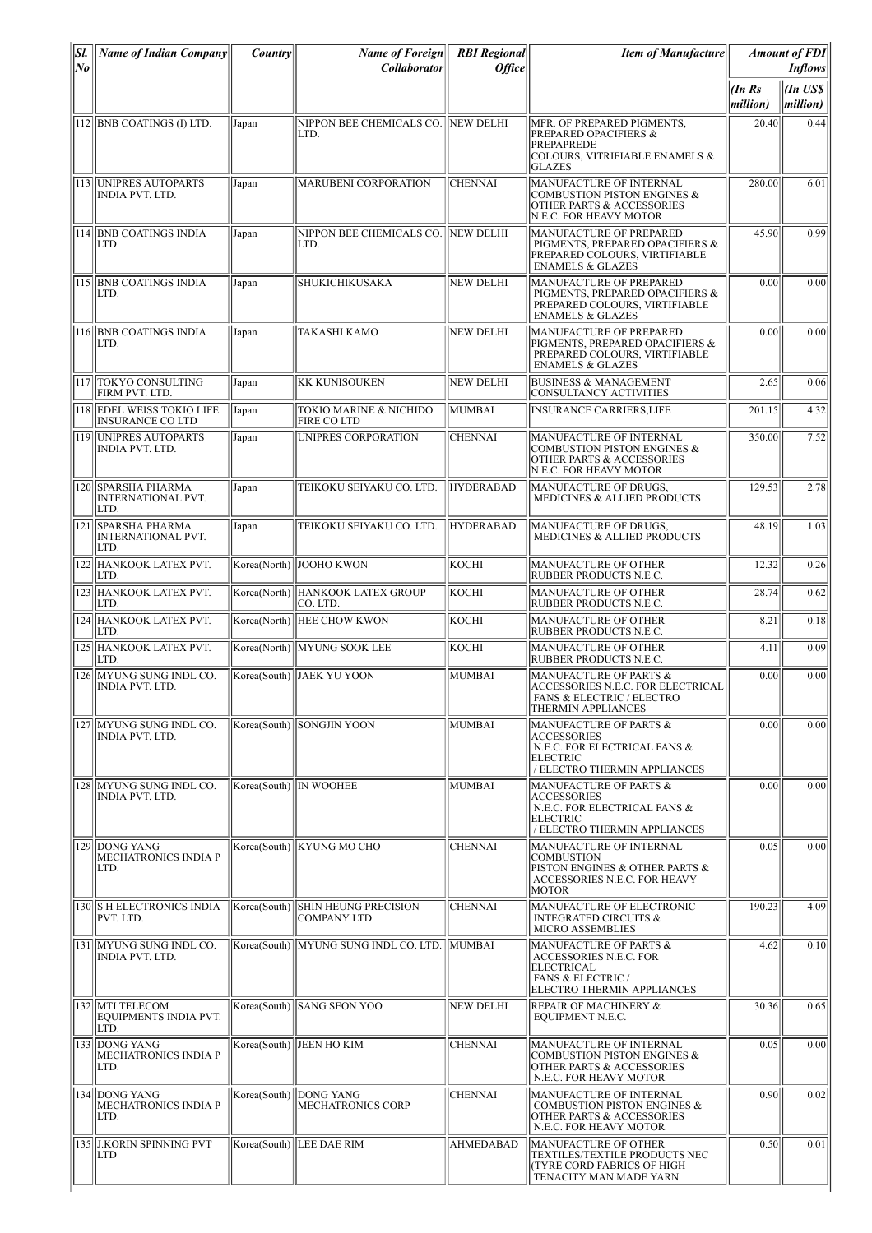| SI.                  | Name of Indian Company                                  | Country      | Name of Foreign                                      | <b>RBI</b> Regional | <b>Item of Manufacture</b>                                                                                                                 |                        | <b>Amount of FDI</b>                   |
|----------------------|---------------------------------------------------------|--------------|------------------------------------------------------|---------------------|--------------------------------------------------------------------------------------------------------------------------------------------|------------------------|----------------------------------------|
| $N_{\boldsymbol{0}}$ |                                                         |              | Collaborator                                         | <b>Office</b>       |                                                                                                                                            | $(In$ $Rs$<br>million) | <b>Inflows</b><br>(In US\$<br>million) |
|                      | 112 BNB COATINGS (I) LTD.                               | Japan        | NIPPON BEE CHEMICALS CO. NEW DELHI<br>LTD.           |                     | MFR. OF PREPARED PIGMENTS,<br><b>PREPARED OPACIFIERS &amp;</b><br><b>PREPAPREDE</b><br>COLOURS, VITRIFIABLE ENAMELS &<br><b>GLAZES</b>     | 20.40                  | 0.44                                   |
|                      | 113 UNIPRES AUTOPARTS<br><b>INDIA PVT. LTD.</b>         | Japan        | <b>MARUBENI CORPORATION</b>                          | <b>CHENNAI</b>      | <b>MANUFACTURE OF INTERNAL</b><br><b>COMBUSTION PISTON ENGINES &amp;</b><br><b>OTHER PARTS &amp; ACCESSORIES</b><br>N.E.C. FOR HEAVY MOTOR | 280.00                 | 6.01                                   |
|                      | 114 BNB COATINGS INDIA<br>LTD.                          | Japan        | NIPPON BEE CHEMICALS CO. NEW DELHI<br>LTD.           |                     | MANUFACTURE OF PREPARED<br>PIGMENTS, PREPARED OPACIFIERS &<br>PREPARED COLOURS, VIRTIFIABLE<br><b>ENAMELS &amp; GLAZES</b>                 | 45.90                  | 0.99                                   |
|                      | 115 BNB COATINGS INDIA<br>LTD.                          | Japan        | SHUKICHIKUSAKA                                       | <b>NEW DELHI</b>    | MANUFACTURE OF PREPARED<br>PIGMENTS, PREPARED OPACIFIERS &<br>PREPARED COLOURS, VIRTIFIABLE<br><b>ENAMELS &amp; GLAZES</b>                 | 0.00                   | 0.00                                   |
|                      | 116  BNB COATINGS INDIA<br>LTD.                         | Japan        | <b>TAKASHI KAMO</b>                                  | NEW DELHI           | MANUFACTURE OF PREPARED<br>PIGMENTS, PREPARED OPACIFIERS &<br>PREPARED COLOURS, VIRTIFIABLE<br><b>ENAMELS &amp; GLAZES</b>                 | 0.00                   | 0.00                                   |
|                      | 117 TOKYO CONSULTING<br>FIRM PVT. LTD.                  | Japan        | <b>KK KUNISOUKEN</b>                                 | NEW DELHI           | <b>BUSINESS &amp; MANAGEMENT</b><br><b>CONSULTANCY ACTIVITIES</b>                                                                          | 2.65                   | 0.06                                   |
|                      | 118 EDEL WEISS TOKIO LIFE<br><b>INSURANCE CO LTD</b>    | Japan        | TOKIO MARINE & NICHIDO<br><b>FIRE CO LTD</b>         | MUMBAI              | <b>INSURANCE CARRIERS,LIFE</b>                                                                                                             | 201.15                 | 4.32                                   |
|                      | 119 UNIPRES AUTOPARTS<br><b>INDIA PVT. LTD.</b>         | Japan        | UNIPRES CORPORATION                                  | <b>CHENNAI</b>      | MANUFACTURE OF INTERNAL<br><b>COMBUSTION PISTON ENGINES &amp;</b><br><b>OTHER PARTS &amp; ACCESSORIES</b><br>N.E.C. FOR HEAVY MOTOR        | 350.00                 | 7.52                                   |
|                      | 120 SPARSHA PHARMA<br><b>INTERNATIONAL PVT.</b><br>LTD. | Japan        | TEIKOKU SEIYAKU CO. LTD.                             | <b>HYDERABAD</b>    | MANUFACTURE OF DRUGS,<br>MEDICINES & ALLIED PRODUCTS                                                                                       | 129.53                 | 2.78                                   |
|                      | 121 SPARSHA PHARMA<br><b>INTERNATIONAL PVT.</b><br>LTD. | Japan        | TEIKOKU SEIYAKU CO. LTD.                             | <b>HYDERABAD</b>    | MANUFACTURE OF DRUGS,<br><b>MEDICINES &amp; ALLIED PRODUCTS</b>                                                                            | 48.19                  | 1.03                                   |
|                      | 122 HANKOOK LATEX PVT.<br>LTD.                          |              | Korea(North) JOOHO KWON                              | KOCHI               | MANUFACTURE OF OTHER<br>RUBBER PRODUCTS N.E.C.                                                                                             | 12.32                  | 0.26                                   |
|                      | 123 HANKOOK LATEX PVT.<br>LTD.                          |              | Korea(North) HANKOOK LATEX GROUP<br>ICO. LTD.        | KOCHI               | MANUFACTURE OF OTHER<br>RUBBER PRODUCTS N.E.C.                                                                                             | 28.74                  | 0.62                                   |
|                      | 124 HANKOOK LATEX PVT.<br>ILTD.                         |              | Korea(North)   HEE CHOW KWON                         | KOCHI               | <b>MANUFACTURE OF OTHER</b><br>RUBBER PRODUCTS N.E.C.                                                                                      | 8.21                   | 0.18                                   |
|                      | 125 HANKOOK LATEX PVT.<br>LTD.                          |              | Korea(North)   MYUNG SOOK LEE                        | KOCHI               | <b>MANUFACTURE OF OTHER</b><br>RUBBER PRODUCTS N.E.C.                                                                                      | 4.11                   | 0.09                                   |
| 126                  | MYUNG SUNG INDL CO.<br><b>INDIA PVT. LTD.</b>           |              | Korea(South) JAEK YU YOON                            | <b>MUMBAI</b>       | MANUFACTURE OF PARTS &<br>ACCESSORIES N.E.C. FOR ELECTRICAL<br>FANS & ELECTRIC / ELECTRO<br><b>THERMIN APPLIANCES</b>                      | 0.00                   | 0.00                                   |
|                      | 127 MYUNG SUNG INDL CO.<br>INDIA PVT. LTD.              |              | Korea(South) SONGJIN YOON                            | MUMBAI              | <b>MANUFACTURE OF PARTS &amp;</b><br><b>ACCESSORIES</b><br>N.E.C. FOR ELECTRICAL FANS &<br><b>ELECTRIC</b><br>/ ELECTRO THERMIN APPLIANCES | 0.00                   | 0.00                                   |
|                      | 128 MYUNG SUNG INDL CO.<br>INDIA PVT. LTD.              |              | Korea(South)  IN WOOHEE                              | <b>MUMBAI</b>       | MANUFACTURE OF PARTS &<br><b>ACCESSORIES</b><br>N.E.C. FOR ELECTRICAL FANS &<br><b>ELECTRIC</b><br>/ ELECTRO THERMIN APPLIANCES            | 0.00                   | 0.00                                   |
|                      | 129 DONG YANG<br><b>MECHATRONICS INDIA P</b><br>LTD.    |              | Korea(South) KYUNG MO CHO                            | <b>CHENNAI</b>      | MANUFACTURE OF INTERNAL<br> COMBUSTION<br>PISTON ENGINES & OTHER PARTS &<br>ACCESSORIES N.E.C. FOR HEAVY<br><b>MOTOR</b>                   | 0.05                   | 0.00                                   |
|                      | 130 S H ELECTRONICS INDIA<br>PVT. LTD.                  | Korea(South) | <b>SHIN HEUNG PRECISION</b><br>COMPANY LTD.          | <b>CHENNAI</b>      | MANUFACTURE OF ELECTRONIC<br><b>INTEGRATED CIRCUITS &amp;</b><br>MICRO ASSEMBLIES                                                          | 190.23                 | 4.09                                   |
|                      | 131   MYUNG SUNG INDL CO.<br><b>INDIA PVT. LTD.</b>     |              | Korea(South)  MYUNG SUNG INDL CO. LTD.   MUMBAI      |                     | MANUFACTURE OF PARTS &<br>ACCESSORIES N.E.C. FOR<br>ELECTRICAL<br><b>FANS &amp; ELECTRIC /</b><br>ELECTRO THERMIN APPLIANCES               | 4.62                   | 0.10                                   |
|                      | 132 MTI TELECOM<br>EQUIPMENTS INDIA PVT.<br>LTD.        |              | Korea(South) SANG SEON YOO                           | <b>NEW DELHI</b>    | <b>REPAIR OF MACHINERY &amp;</b><br>EQUIPMENT N.E.C.                                                                                       | 30.36                  | 0.65                                   |
|                      | 133 DONG YANG<br>MECHATRONICS INDIA P<br>LTD.           |              | Korea(South)   JEEN HO KIM                           | <b>CHENNAI</b>      | MANUFACTURE OF INTERNAL<br>COMBUSTION PISTON ENGINES &<br>OTHER PARTS & ACCESSORIES<br>N.E.C. FOR HEAVY MOTOR                              | 0.05                   | 0.00                                   |
|                      | 134 DONG YANG<br>MECHATRONICS INDIA P<br>LTD.           |              | Korea(South)   DONG YANG<br><b>MECHATRONICS CORP</b> | <b>CHENNAI</b>      | MANUFACTURE OF INTERNAL<br><b>COMBUSTION PISTON ENGINES &amp;</b><br><b>OTHER PARTS &amp; ACCESSORIES</b><br>N.E.C. FOR HEAVY MOTOR        | 0.90                   | 0.02                                   |
|                      | 135 J.KORIN SPINNING PVT<br>LTD                         |              | Korea(South)  LEE DAE RIM                            | <b>AHMEDABAD</b>    | MANUFACTURE OF OTHER<br>TEXTILES/TEXTILE PRODUCTS NEC<br>(TYRE CORD FABRICS OF HIGH<br>TENACITY MAN MADE YARN                              | 0.50                   | 0.01                                   |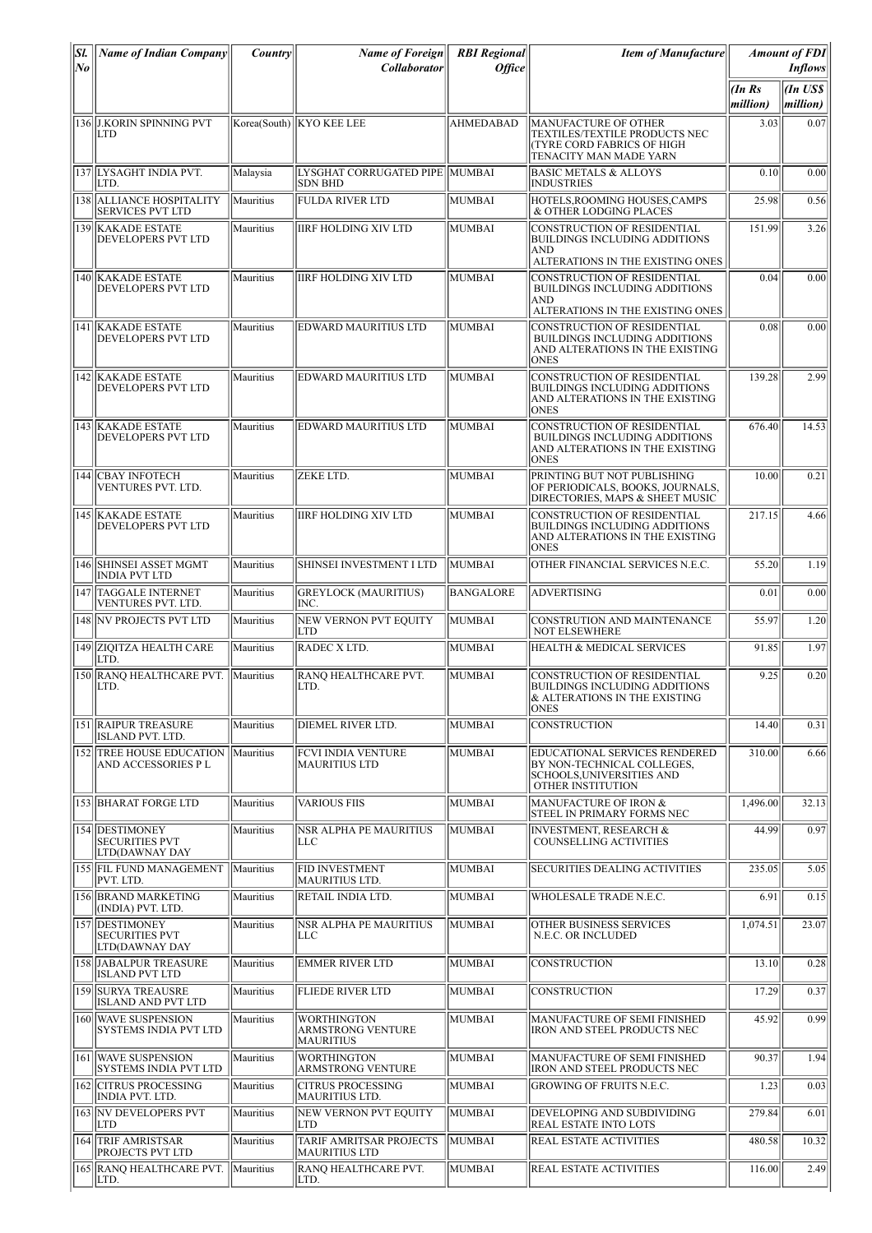| Sl.<br>No | <b>Name of Indian Company</b>                                    | <i>Country</i> | <b>Name of Foreign</b><br><b>Collaborator</b>          | <b>RBI</b> Regional<br><i><b>Office</b></i> | <b>Item of Manufacture</b>                                                                                                 |                    | <b>Amount of FDI</b><br><b>Inflows</b> |
|-----------|------------------------------------------------------------------|----------------|--------------------------------------------------------|---------------------------------------------|----------------------------------------------------------------------------------------------------------------------------|--------------------|----------------------------------------|
|           |                                                                  |                |                                                        |                                             |                                                                                                                            | (In Rs<br>million) | <b>an</b> US\$<br>million)             |
|           | 136 J.KORIN SPINNING PVT<br>LTD                                  |                | Korea(South)   KYO KEE LEE                             | <b>AHMEDABAD</b>                            | <b>MANUFACTURE OF OTHER</b><br>TEXTILES/TEXTILE PRODUCTS NEC<br><b>TYRE CORD FABRICS OF HIGH</b><br>TENACITY MAN MADE YARN | 3.03               | 0.07                                   |
|           | 137 LYSAGHT INDIA PVT.<br>LTD.                                   | Malaysia       | LYSGHAT CORRUGATED PIPE  MUMBAI<br>SDN BHD             |                                             | <b>BASIC METALS &amp; ALLOYS</b><br><b>INDUSTRIES</b>                                                                      | 0.10               | 0.00                                   |
|           | 138 ALLIANCE HOSPITALITY<br><b>SERVICES PVT LTD</b>              | Mauritius      | <b>FULDA RIVER LTD</b>                                 | MUMBAI                                      | HOTELS, ROOMING HOUSES, CAMPS<br>& OTHER LODGING PLACES                                                                    | 25.98              | 0.56                                   |
|           | 139 KAKADE ESTATE<br>DEVELOPERS PVT LTD                          | Mauritius      | <b>IIRF HOLDING XIV LTD</b>                            | MUMBAI                                      | CONSTRUCTION OF RESIDENTIAL<br><b>BUILDINGS INCLUDING ADDITIONS</b><br><b>AND</b><br>ALTERATIONS IN THE EXISTING ONES      | 151.99             | 3.26                                   |
|           | 140 KAKADE ESTATE<br>DEVELOPERS PVT LTD                          | Mauritius      | <b>IIRF HOLDING XIV LTD</b>                            | MUMBAI                                      | CONSTRUCTION OF RESIDENTIAL<br>BUILDINGS INCLUDING ADDITIONS<br>AND<br>ALTERATIONS IN THE EXISTING ONES                    | 0.04               | 0.00                                   |
|           | 141 KAKADE ESTATE<br>DEVELOPERS PVT LTD                          | Mauritius      | EDWARD MAURITIUS LTD                                   | MUMBAI                                      | CONSTRUCTION OF RESIDENTIAL<br>BUILDINGS INCLUDING ADDITIONS<br>AND ALTERATIONS IN THE EXISTING<br><b>ONES</b>             | 0.08               | 0.00                                   |
|           | 142 KAKADE ESTATE<br>DEVELOPERS PVT LTD                          | Mauritius      | EDWARD MAURITIUS LTD                                   | MUMBAI                                      | CONSTRUCTION OF RESIDENTIAL<br><b>BUILDINGS INCLUDING ADDITIONS</b><br>AND ALTERATIONS IN THE EXISTING<br><b>ONES</b>      | 139.28             | 2.99                                   |
|           | 143 KAKADE ESTATE<br>DEVELOPERS PVT LTD                          | Mauritius      | <b>EDWARD MAURITIUS LTD</b>                            | MUMBAI                                      | CONSTRUCTION OF RESIDENTIAL<br>BUILDINGS INCLUDING ADDITIONS<br>AND ALTERATIONS IN THE EXISTING<br><b>ONES</b>             | 676.40             | 14.53                                  |
|           | 144 CBAY INFOTECH<br>VENTURES PVT. LTD.                          | Mauritius      | ZEKE LTD.                                              | MUMBAI                                      | PRINTING BUT NOT PUBLISHING<br>OF PERIODICALS, BOOKS, JOURNALS,<br>DIRECTORIES, MAPS & SHEET MUSIC                         | 10.00              | 0.21                                   |
|           | 145 KAKADE ESTATE<br>DEVELOPERS PVT LTD                          | Mauritius      | <b>IIRF HOLDING XIV LTD</b>                            | MUMBAI                                      | CONSTRUCTION OF RESIDENTIAL<br><b>BUILDINGS INCLUDING ADDITIONS</b><br>AND ALTERATIONS IN THE EXISTING<br><b>ONES</b>      | 217.15             | 4.66                                   |
|           | 146 SHINSEI ASSET MGMT<br><b>INDIA PVT LTD</b>                   | Mauritius      | SHINSEI INVESTMENT I LTD                               | MUMBAI                                      | OTHER FINANCIAL SERVICES N.E.C.                                                                                            | 55.20              | 1.19                                   |
|           | 147 TAGGALE INTERNET<br>VENTURES PVT. LTD.                       | Mauritius      | <b>GREYLOCK (MAURITIUS)</b><br>INC.                    | <b>BANGALORE</b>                            | <b>ADVERTISING</b>                                                                                                         | 0.01               | 0.00                                   |
|           | 148 NV PROJECTS PVT LTD                                          | Mauritius      | NEW VERNON PVT EOUITY<br>LTD                           | MUMBAI                                      | CONSTRUTION AND MAINTENANCE<br><b>NOT ELSEWHERE</b>                                                                        | 55.97              | 1.20                                   |
|           | 149 ZIQITZA HEALTH CARE<br>LTD.                                  | Mauritius      | RADEC X LTD.                                           | MUMBAI                                      | HEALTH & MEDICAL SERVICES                                                                                                  | 91.85              | 1.97                                   |
|           | 150 RANQ HEALTHCARE PVT.<br>LTD.                                 | Mauritius      | RANO HEALTHCARE PVT.<br>LTD.                           | MUMBAI                                      | CONSTRUCTION OF RESIDENTIAL<br><b>BUILDINGS INCLUDING ADDITIONS</b><br>& ALTERATIONS IN THE EXISTING<br><b>ONES</b>        | 9.25               | 0.20                                   |
|           | 151 RAIPUR TREASURE<br>ISLAND PVT. LTD.                          | Mauritius      | <b>DIEMEL RIVER LTD.</b>                               | MUMBAI                                      | <b>CONSTRUCTION</b>                                                                                                        | 14.40              | 0.31                                   |
| 152       | <b>TREE HOUSE EDUCATION</b><br>AND ACCESSORIES P L               | Mauritius      | <b>FCVI INDIA VENTURE</b><br><b>MAURITIUS LTD</b>      | MUMBAI                                      | EDUCATIONAL SERVICES RENDERED<br>BY NON-TECHNICAL COLLEGES.<br><b>SCHOOLS, UNIVERSITIES AND</b><br>OTHER INSTITUTION       | 310.00             | 6.66                                   |
|           | 153 BHARAT FORGE LTD                                             | Mauritius      | <b>VARIOUS FIIS</b>                                    | MUMBAI                                      | MANUFACTURE OF IRON &<br>STEEL IN PRIMARY FORMS NEC                                                                        | 1,496.00           | 32.13                                  |
|           | 154 DESTIMONEY<br><b>SECURITIES PVT</b><br>LTD(DAWNAY DAY        | Mauritius      | NSR ALPHA PE MAURITIUS<br>LLC                          | MUMBAI                                      | <b>INVESTMENT, RESEARCH &amp;</b><br><b>COUNSELLING ACTIVITIES</b>                                                         | 44.99              | 0.97                                   |
|           | 155 FIL FUND MANAGEMENT<br>PVT. LTD.                             | Mauritius      | FID INVESTMENT<br><b>MAURITIUS LTD.</b>                | MUMBAI                                      | <b>SECURITIES DEALING ACTIVITIES</b>                                                                                       | 235.05             | 5.05                                   |
|           | 156 BRAND MARKETING<br>(INDIA) PVT. LTD.                         | Mauritius      | RETAIL INDIA LTD.                                      | MUMBAI                                      | WHOLESALE TRADE N.E.C.                                                                                                     | 6.91               | 0.15                                   |
|           | 157 <b>DESTIMONEY</b><br><b>SECURITIES PVT</b><br>LTD(DAWNAY DAY | Mauritius      | NSR ALPHA PE MAURITIUS<br>LLC                          | MUMBAI                                      | OTHER BUSINESS SERVICES<br>N.E.C. OR INCLUDED                                                                              | 1,074.51           | 23.07                                  |
|           | 158 JABALPUR TREASURE<br><b>ISLAND PVT LTD</b>                   | Mauritius      | <b>EMMER RIVER LTD</b>                                 | MUMBAI                                      | <b>CONSTRUCTION</b>                                                                                                        | 13.10              | 0.28                                   |
|           | 159 SURYA TREAUSRE<br>ISLAND AND PVT LTD                         | Mauritius      | <b>FLIEDE RIVER LTD</b>                                | MUMBAI                                      | <b>CONSTRUCTION</b>                                                                                                        | 17.29              | 0.37                                   |
|           | 160 WAVE SUSPENSION<br><b>SYSTEMS INDIA PVT LTD</b>              | Mauritius      | WORTHINGTON<br>ARMSTRONG VENTURE<br><b>MAURITIUS</b>   | MUMBAI                                      | MANUFACTURE OF SEMI FINISHED<br>IRON AND STEEL PRODUCTS NEC                                                                | 45.92              | 0.99                                   |
|           | 161 WAVE SUSPENSION<br><b>SYSTEMS INDIA PVT LTD</b>              | Mauritius      | <b>WORTHINGTON</b><br>ARMSTRONG VENTURE                | MUMBAI                                      | MANUFACTURE OF SEMI FINISHED<br><b>IRON AND STEEL PRODUCTS NEC</b>                                                         | 90.37              | 1.94                                   |
|           | 162 CITRUS PROCESSING<br><b>INDIA PVT. LTD.</b>                  | Mauritius      | <b>CITRUS PROCESSING</b><br>MAURITIUS LTD.             | MUMBAI                                      | <b>GROWING OF FRUITS N.E.C.</b>                                                                                            | 1.23               | 0.03                                   |
|           | 163 NV DEVELOPERS PVT<br>LTD                                     | Mauritius      | NEW VERNON PVT EQUITY<br>LTD                           | MUMBAI                                      | DEVELOPING AND SUBDIVIDING<br>REAL ESTATE INTO LOTS                                                                        | 279.84             | 6.01                                   |
|           | 164 TRIF AMRISTSAR<br>PROJECTS PVT LTD                           | Mauritius      | <b>TARIF AMRITSAR PROJECTS</b><br><b>MAURITIUS LTD</b> | MUMBAI                                      | <b>REAL ESTATE ACTIVITIES</b>                                                                                              | 480.58             | 10.32                                  |
|           | 165 RANQ HEALTHCARE PVT.<br>LTD.                                 | Mauritius      | RANQ HEALTHCARE PVT.<br>LTD.                           | MUMBAI                                      | <b>REAL ESTATE ACTIVITIES</b>                                                                                              | 116.00             | 2.49                                   |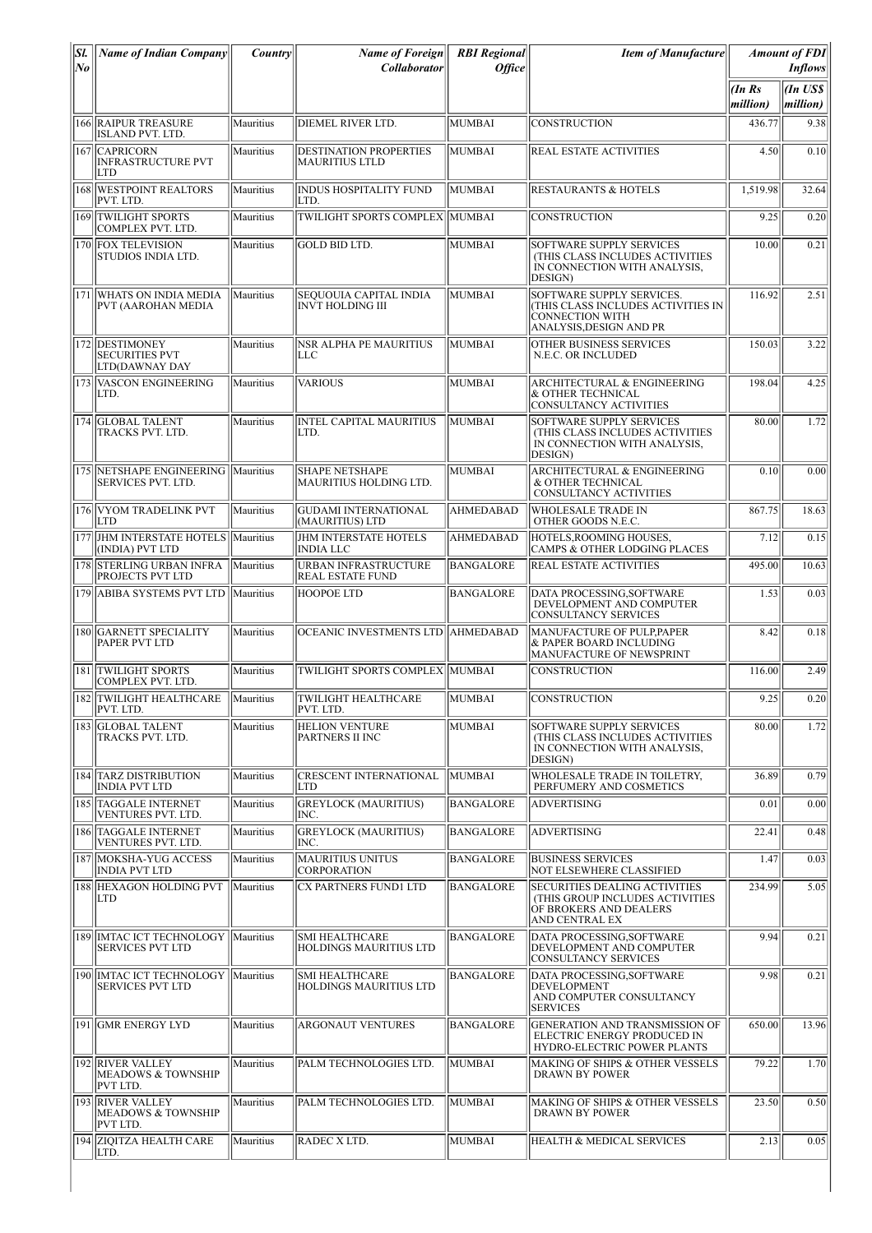| SI.<br> No | <b>Name of Indian Company</b>                                     | Country   | <b>Name of Foreign</b><br><b>Collaborator</b>          | <b>RBI</b> Regional<br><b>Office</b> | <b>Item of Manufacture</b>                                                                                           |                      | <b>Amount of FDI</b><br><b>Inflows</b> |
|------------|-------------------------------------------------------------------|-----------|--------------------------------------------------------|--------------------------------------|----------------------------------------------------------------------------------------------------------------------|----------------------|----------------------------------------|
|            |                                                                   |           |                                                        |                                      |                                                                                                                      | $\ln$ Rs<br>million) | $\ln$ US\$<br> million)                |
|            | 166 RAIPUR TREASURE<br>ISLAND PVT. LTD.                           | Mauritius | <b>DIEMEL RIVER LTD.</b>                               | MUMBAI                               | <b>CONSTRUCTION</b>                                                                                                  | 436.77               | 9.38                                   |
|            | 167 CAPRICORN<br><b>INFRASTRUCTURE PVT</b><br>ILTD                | Mauritius | <b>DESTINATION PROPERTIES</b><br> MAURITIUS LTLD       | MUMBAI                               | REAL ESTATE ACTIVITIES                                                                                               | 4.50                 | 0.10                                   |
|            | 168 WESTPOINT REALTORS<br>PVT. LTD.                               | Mauritius | <b>INDUS HOSPITALITY FUND</b><br>LTD.                  | MUMBAI                               | <b>RESTAURANTS &amp; HOTELS</b>                                                                                      | 1,519.98             | 32.64                                  |
|            | 169 TWILIGHT SPORTS<br>COMPLEX PVT. LTD.                          | Mauritius | TWILIGHT SPORTS COMPLEX  MUMBAI                        |                                      | CONSTRUCTION                                                                                                         | 9.25                 | 0.20                                   |
|            | 170 FOX TELEVISION<br>STUDIOS INDIA LTD.                          | Mauritius | <b>GOLD BID LTD.</b>                                   | MUMBAI                               | <b>SOFTWARE SUPPLY SERVICES</b><br>(THIS CLASS INCLUDES ACTIVITIES<br>IN CONNECTION WITH ANALYSIS,<br>DESIGN)        | 10.00                | 0.21                                   |
|            | 171 WHATS ON INDIA MEDIA<br>PVT (AAROHAN MEDIA                    | Mauritius | SEQUOUIA CAPITAL INDIA<br><b>INVT HOLDING III</b>      | MUMBAI                               | SOFTWARE SUPPLY SERVICES.<br>(THIS CLASS INCLUDES ACTIVITIES IN<br><b>CONNECTION WITH</b><br>ANALYSIS, DESIGN AND PR | 116.92               | 2.51                                   |
|            | 172 DESTIMONEY<br><b>SECURITIES PVT</b><br>LTD(DAWNAY DAY         | Mauritius | <b>NSR ALPHA PE MAURITIUS</b><br>LLC                   | MUMBAI                               | OTHER BUSINESS SERVICES<br>N.E.C. OR INCLUDED                                                                        | 150.03               | 3.22                                   |
|            | 173 VASCON ENGINEERING<br>ILTD.                                   | Mauritius | <b>VARIOUS</b>                                         | MUMBAI                               | <b>ARCHITECTURAL &amp; ENGINEERING</b><br>& OTHER TECHNICAL<br>CONSULTANCY ACTIVITIES                                | 198.04               | 4.25                                   |
|            | 174 GLOBAL TALENT<br>TRACKS PVT. LTD.                             | Mauritius | <b>INTEL CAPITAL MAURITIUS</b><br>LTD.                 | MUMBAI                               | SOFTWARE SUPPLY SERVICES<br><b>(THIS CLASS INCLUDES ACTIVITIES)</b><br>IN CONNECTION WITH ANALYSIS.<br>DESIGN)       | 80.00                | 1.72                                   |
|            | 175 NETSHAPE ENGINEERING Mauritius<br><b>SERVICES PVT. LTD.</b>   |           | <b>SHAPE NETSHAPE</b><br><b>MAURITIUS HOLDING LTD.</b> | MUMBAI                               | ARCHITECTURAL & ENGINEERING<br>& OTHER TECHNICAL<br>CONSULTANCY ACTIVITIES                                           | 0.10                 | 0.00                                   |
|            | 176 VYOM TRADELINK PVT<br><b>LTD</b>                              | Mauritius | <b>GUDAMI INTERNATIONAL</b><br>(MAURITIUS) LTD         | <b>AHMEDABAD</b>                     | <b>WHOLESALE TRADE IN</b><br>OTHER GOODS N.E.C.                                                                      | 867.75               | 18.63                                  |
|            | 177 JHM INTERSTATE HOTELS<br>(INDIA) PVT LTD                      | Mauritius | <b>JHM INTERSTATE HOTELS</b><br>INDIA LLC              | <b>AHMEDABAD</b>                     | HOTELS, ROOMING HOUSES.<br>CAMPS & OTHER LODGING PLACES                                                              | 7.12                 | 0.15                                   |
|            | 178 STERLING URBAN INFRA<br><b>PROJECTS PVT LTD</b>               | Mauritius | <b>URBAN INFRASTRUCTURE</b><br><b>REAL ESTATE FUND</b> | <b>BANGALORE</b>                     | <b>REAL ESTATE ACTIVITIES</b>                                                                                        | 495.00               | 10.63                                  |
|            | 179 ABIBA SYSTEMS PVT LTD                                         | Mauritius | <b>HOOPOE LTD</b>                                      | BANGALORE                            | DATA PROCESSING, SOFTWARE<br>DEVELOPMENT AND COMPUTER<br><b>CONSULTANCY SERVICES</b>                                 | 1.53                 | 0.03                                   |
|            | 180 GARNETT SPECIALITY<br><b>PAPER PVT LTD</b>                    | Mauritius | OCEANIC INVESTMENTS LTD AHMEDABAD                      |                                      | MANUFACTURE OF PULP, PAPER<br>& PAPER BOARD INCLUDING<br>MANUFACTURE OF NEWSPRINT                                    | 8.42                 | 0.18                                   |
|            | 181 TWILIGHT SPORTS<br>COMPLEX PVT. LTD.                          | Mauritius | TWILIGHT SPORTS COMPLEX MUMBAI                         |                                      | <b>CONSTRUCTION</b>                                                                                                  | 116.00               | 2.49                                   |
|            | 182 TWILIGHT HEALTHCARE<br>PVT. LTD.                              | Mauritius | <b>TWILIGHT HEALTHCARE</b><br>PVT. LTD.                | <b>MUMBAI</b>                        | <b>CONSTRUCTION</b>                                                                                                  | 9.25                 | 0.20                                   |
|            | 183 GLOBAL TALENT<br>TRACKS PVT. LTD.                             | Mauritius | <b>HELION VENTURE</b><br>PARTNERS II INC               | MUMBAI                               | <b>SOFTWARE SUPPLY SERVICES</b><br>(THIS CLASS INCLUDES ACTIVITIES<br>IN CONNECTION WITH ANALYSIS,<br>DESIGN)        | 80.00                | 1.72                                   |
|            | 184 TARZ DISTRIBUTION<br><b>INDIA PVT LTD</b>                     | Mauritius | <b>CRESCENT INTERNATIONAL</b><br>'LTD                  | MUMBAI                               | WHOLESALE TRADE IN TOILETRY.<br>PERFUMERY AND COSMETICS                                                              | 36.89                | 0.79                                   |
|            | 185 TAGGALE INTERNET<br>VENTURES PVT. LTD.                        | Mauritius | <b>GREYLOCK (MAURITIUS)</b><br>INC.                    | <b>BANGALORE</b>                     | <b>ADVERTISING</b>                                                                                                   | 0.01                 | 0.00                                   |
|            | 186 TAGGALE INTERNET<br>VENTURES PVT. LTD.                        | Mauritius | <b>GREYLOCK (MAURITIUS)</b><br>INC.                    | <b>BANGALORE</b>                     | <b>ADVERTISING</b>                                                                                                   | 22.41                | 0.48                                   |
|            | 187 MOKSHA-YUG ACCESS<br><b>INDIA PVT LTD</b>                     | Mauritius | <b>MAURITIUS UNITUS</b><br><b>CORPORATION</b>          | <b>BANGALORE</b>                     | <b>BUSINESS SERVICES</b><br><b>NOT ELSEWHERE CLASSIFIED</b>                                                          | 1.47                 | 0.03                                   |
|            | 188 HEXAGON HOLDING PVT<br> LTD                                   | Mauritius | <b>CX PARTNERS FUND1 LTD</b>                           | <b>BANGALORE</b>                     | <b>SECURITIES DEALING ACTIVITIES</b><br>(THIS GROUP INCLUDES ACTIVITIES<br>OF BROKERS AND DEALERS<br>AND CENTRAL EX  | 234.99               | 5.05                                   |
|            | 189   IMTAC ICT TECHNOLOGY   Mauritius<br><b>SERVICES PVT LTD</b> |           | <b>SMI HEALTHCARE</b><br><b>HOLDINGS MAURITIUS LTD</b> | <b>BANGALORE</b>                     | DATA PROCESSING, SOFTWARE<br>DEVELOPMENT AND COMPUTER<br><b>CONSULTANCY SERVICES</b>                                 | 9.94                 | 0.21                                   |
|            | 190   IMTAC ICT TECHNOLOGY   Mauritius<br><b>SERVICES PVT LTD</b> |           | <b>SMI HEALTHCARE</b><br><b>HOLDINGS MAURITIUS LTD</b> | <b>BANGALORE</b>                     | DATA PROCESSING, SOFTWARE<br><b>DEVELOPMENT</b><br>AND COMPUTER CONSULTANCY<br><b>SERVICES</b>                       | 9.98                 | 0.21                                   |
|            | 191 GMR ENERGY LYD                                                | Mauritius | ARGONAUT VENTURES                                      | <b>BANGALORE</b>                     | GENERATION AND TRANSMISSION OF<br>ELECTRIC ENERGY PRODUCED IN<br>HYDRO-ELECTRIC POWER PLANTS                         | 650.00               | 13.96                                  |
|            | 192 RIVER VALLEY<br><b>MEADOWS &amp; TOWNSHIP</b><br>PVT LTD.     | Mauritius | PALM TECHNOLOGIES LTD.                                 | MUMBAI                               | MAKING OF SHIPS & OTHER VESSELS<br>DRAWN BY POWER                                                                    | 79.22                | 1.70                                   |
|            | 193 RIVER VALLEY<br><b>MEADOWS &amp; TOWNSHIP</b><br>PVT LTD.     | Mauritius | PALM TECHNOLOGIES LTD.                                 | MUMBAI                               | MAKING OF SHIPS & OTHER VESSELS<br>DRAWN BY POWER                                                                    | 23.50                | 0.50                                   |
|            | 194 ZIQITZA HEALTH CARE<br>LTD.                                   | Mauritius | RADEC X LTD.                                           | MUMBAI                               | HEALTH & MEDICAL SERVICES                                                                                            | 2.13                 | 0.05                                   |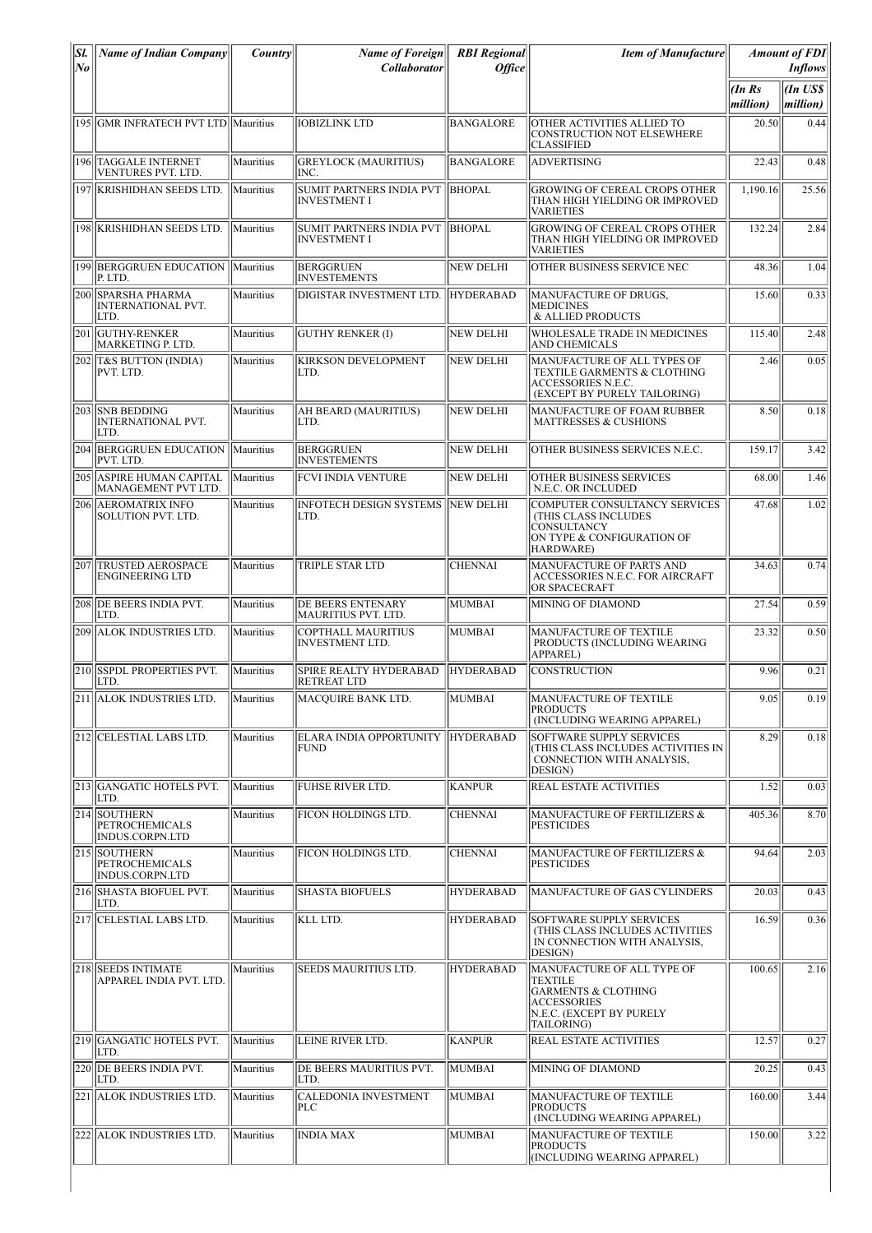| SI.<br>No | <b>Name of Indian Company</b>                              | Country           | <b>Name of Foreign</b><br><b>Collaborator</b>          | <b>RBI</b> Regional<br><i>Office</i> | <b>Item of Manufacture</b>                                                                                                              |                   | <b>Amount of FDI</b><br><b>Inflows</b> |
|-----------|------------------------------------------------------------|-------------------|--------------------------------------------------------|--------------------------------------|-----------------------------------------------------------------------------------------------------------------------------------------|-------------------|----------------------------------------|
|           |                                                            |                   |                                                        |                                      |                                                                                                                                         | (InRs<br>million) | (In US\$<br>million)                   |
| 195       | <b>GMR INFRATECH PVT LTD Mauritius</b>                     |                   | IOBIZLINK LTD                                          | <b>BANGALORE</b>                     | OTHER ACTIVITIES ALLIED TO<br><b>CONSTRUCTION NOT ELSEWHERE</b><br><b>CLASSIFIED</b>                                                    | 20.50             | 0.44                                   |
|           | 196 TAGGALE INTERNET<br>VENTURES PVT. LTD.                 | Mauritius         | <b>GREYLOCK (MAURITIUS)</b><br>INC.                    | <b>BANGALORE</b>                     | <b>ADVERTISING</b>                                                                                                                      | 22.43             | 0.48                                   |
|           | 197 KRISHIDHAN SEEDS LTD.                                  | Mauritius         | <b>SUMIT PARTNERS INDIA PVT</b><br><b>INVESTMENT I</b> | <b>BHOPAL</b>                        | <b>GROWING OF CEREAL CROPS OTHER</b><br>THAN HIGH YIELDING OR IMPROVED<br><b>VARIETIES</b>                                              | 1,190.16          | 25.56                                  |
|           | 198 KRISHIDHAN SEEDS LTD.                                  | Mauritius         | SUMIT PARTNERS INDIA PVT<br><b>INVESTMENT I</b>        | <b>BHOPAL</b>                        | <b>GROWING OF CEREAL CROPS OTHER</b><br>THAN HIGH YIELDING OR IMPROVED<br><b>VARIETIES</b>                                              | 132.24            | 2.84                                   |
|           | 199 BERGGRUEN EDUCATION Mauritius<br>P. LTD.               |                   | <b>BERGGRUEN</b><br><b>INVESTEMENTS</b>                | <b>NEW DELHI</b>                     | OTHER BUSINESS SERVICE NEC                                                                                                              | 48.36             | 1.04                                   |
| 200       | <b>SPARSHA PHARMA</b><br><b>INTERNATIONAL PVT.</b><br>LTD. | Mauritius         | DIGISTAR INVESTMENT LTD.                               | <b>HYDERABAD</b>                     | MANUFACTURE OF DRUGS,<br><b>MEDICINES</b><br>& ALLIED PRODUCTS                                                                          | 15.60             | 0.33                                   |
|           | 201 GUTHY-RENKER<br>MARKETING P. LTD.                      | Mauritius         | <b>GUTHY RENKER (I)</b>                                | <b>NEW DELHI</b>                     | WHOLESALE TRADE IN MEDICINES<br>AND CHEMICALS                                                                                           | 115.40            | 2.48                                   |
|           | 202 T&S BUTTON (INDIA)<br>PVT. LTD.                        | Mauritius         | <b>KIRKSON DEVELOPMENT</b><br>ILTD.                    | <b>NEW DELHI</b>                     | MANUFACTURE OF ALL TYPES OF<br>TEXTILE GARMENTS & CLOTHING<br>ACCESSORIES N.E.C.<br>(EXCEPT BY PURELY TAILORING)                        | 2.46              | 0.05                                   |
|           | 203 SNB BEDDING<br><b>INTERNATIONAL PVT.</b><br>LTD.       | Mauritius         | AH BEARD (MAURITIUS)<br>LTD.                           | <b>NEW DELHI</b>                     | MANUFACTURE OF FOAM RUBBER<br><b>MATTRESSES &amp; CUSHIONS</b>                                                                          | 8.50              | 0.18                                   |
|           | 204 BERGGRUEN EDUCATION<br>PVT. LTD.                       | <i>IMauritius</i> | <b>BERGGRUEN</b><br><b>INVESTEMENTS</b>                | <b>NEW DELHI</b>                     | OTHER BUSINESS SERVICES N.E.C.                                                                                                          | 159.17            | 3.42                                   |
|           | 205 ASPIRE HUMAN CAPITAL<br>MANAGEMENT PVT LTD.            | Mauritius         | <b>FCVI INDIA VENTURE</b>                              | <b>NEW DELHI</b>                     | OTHER BUSINESS SERVICES<br>N.E.C. OR INCLUDED                                                                                           | 68.00             | 1.46                                   |
|           | 206 AEROMATRIX INFO<br>SOLUTION PVT. LTD.                  | Mauritius         | INFOTECH DESIGN SYSTEMS   NEW DELHI<br>LTD.            |                                      | COMPUTER CONSULTANCY SERVICES<br>(THIS CLASS INCLUDES<br><b>CONSULTANCY</b><br>ON TYPE & CONFIGURATION OF<br>HARDWARE)                  | 47.68             | 1.02                                   |
| 207       | <b>TRUSTED AEROSPACE</b><br><b>ENGINEERING LTD</b>         | Mauritius         | <b>TRIPLE STAR LTD</b>                                 | <b>CHENNAI</b>                       | MANUFACTURE OF PARTS AND<br>ACCESSORIES N.E.C. FOR AIRCRAFT<br>OR SPACECRAFT                                                            | 34.63             | 0.74                                   |
|           | 208 DE BEERS INDIA PVT.<br>LTD.                            | Mauritius         | <b>DE BEERS ENTENARY</b><br>MAURITIUS PVT. LTD.        | MUMBAI                               | MINING OF DIAMOND                                                                                                                       | 27.54             | 0.59                                   |
| 209       | <b>ALOK INDUSTRIES LTD.</b>                                | Mauritius         | <b>COPTHALL MAURITIUS</b><br><b>INVESTMENT LTD.</b>    | <b>MUMBAI</b>                        | MANUFACTURE OF TEXTILE<br>PRODUCTS (INCLUDING WEARING<br><b>APPAREL)</b>                                                                | 23.32             | 0.50                                   |
|           | 210 SSPDL PROPERTIES PVT.<br>LTD.                          | Mauritius         | <b>SPIRE REALTY HYDERABAD</b><br><b>RETREAT LTD</b>    | <b>HYDERABAD</b>                     | CONSTRUCTION                                                                                                                            | 9.96              | 0.21                                   |
|           | 211 ALOK INDUSTRIES LTD.                                   | Mauritius         | MACQUIRE BANK LTD.                                     | MUMBAI                               | MANUFACTURE OF TEXTILE<br><b>PRODUCTS</b><br>(INCLUDING WEARING APPAREL)                                                                | 9.05              | 0.19                                   |
|           | 212 CELESTIAL LABS LTD.                                    | Mauritius         | ELARA INDIA OPPORTUNITY HYDERABAD<br>FUND              |                                      | <b>SOFTWARE SUPPLY SERVICES</b><br>(THIS CLASS INCLUDES ACTIVITIES IN<br>CONNECTION WITH ANALYSIS,<br>DESIGN)                           | 8.29              | 0.18                                   |
|           | 213 GANGATIC HOTELS PVT.<br>LTD.                           | Mauritius         | <b>FUHSE RIVER LTD.</b>                                | <b>KANPUR</b>                        | REAL ESTATE ACTIVITIES                                                                                                                  | 1.52              | 0.03                                   |
|           | 214   SOUTHERN<br><b>PETROCHEMICALS</b><br>INDUS.CORPN.LTD | Mauritius         | <b>FICON HOLDINGS LTD.</b>                             | <b>CHENNAI</b>                       | MANUFACTURE OF FERTILIZERS &<br><b>PESTICIDES</b>                                                                                       | 405.36            | 8.70                                   |
|           | 215 SOUTHERN<br><b>PETROCHEMICALS</b><br>INDUS.CORPN.LTD   | Mauritius         | <b>FICON HOLDINGS LTD.</b>                             | <b>CHENNAI</b>                       | MANUFACTURE OF FERTILIZERS &<br><b>PESTICIDES</b>                                                                                       | 94.64             | 2.03                                   |
|           | 216 SHASTA BIOFUEL PVT.<br>LTD.                            | Mauritius         | <b>SHASTA BIOFUELS</b>                                 | <b>HYDERABAD</b>                     | MANUFACTURE OF GAS CYLINDERS                                                                                                            | 20.03             | 0.43                                   |
|           | 217 CELESTIAL LABS LTD.                                    | Mauritius         | KLL LTD.                                               | <b>HYDERABAD</b>                     | SOFTWARE SUPPLY SERVICES<br>(THIS CLASS INCLUDES ACTIVITIES<br>IN CONNECTION WITH ANALYSIS,<br>DESIGN)                                  | 16.59             | 0.36                                   |
|           | 218 SEEDS INTIMATE<br>APPAREL INDIA PVT. LTD.              | Mauritius         | SEEDS MAURITIUS LTD.                                   | <b>HYDERABAD</b>                     | MANUFACTURE OF ALL TYPE OF<br>TEXTILE<br><b>GARMENTS &amp; CLOTHING</b><br><b>ACCESSORIES</b><br>N.E.C. (EXCEPT BY PURELY<br>TAILORING) | 100.65            | 2.16                                   |
|           | 219 GANGATIC HOTELS PVT.<br>LTD.                           | Mauritius         | LEINE RIVER LTD.                                       | <b>KANPUR</b>                        | <b>REAL ESTATE ACTIVITIES</b>                                                                                                           | 12.57             | 0.27                                   |
|           | 220 DE BEERS INDIA PVT.<br>LTD.                            | Mauritius         | DE BEERS MAURITIUS PVT.<br>LTD.                        | MUMBAI                               | MINING OF DIAMOND                                                                                                                       | 20.25             | 0.43                                   |
|           | 221   ALOK INDUSTRIES LTD.                                 | Mauritius         | CALEDONIA INVESTMENT<br><b>PLC</b>                     | MUMBAI                               | MANUFACTURE OF TEXTILE<br><b>PRODUCTS</b><br>(INCLUDING WEARING APPAREL)                                                                | 160.00            | 3.44                                   |
|           | 222 ALOK INDUSTRIES LTD.                                   | Mauritius         | <b>INDIA MAX</b>                                       | <b>MUMBAI</b>                        | MANUFACTURE OF TEXTILE<br><b>PRODUCTS</b><br>(INCLUDING WEARING APPAREL)                                                                | 150.00            | 3.22                                   |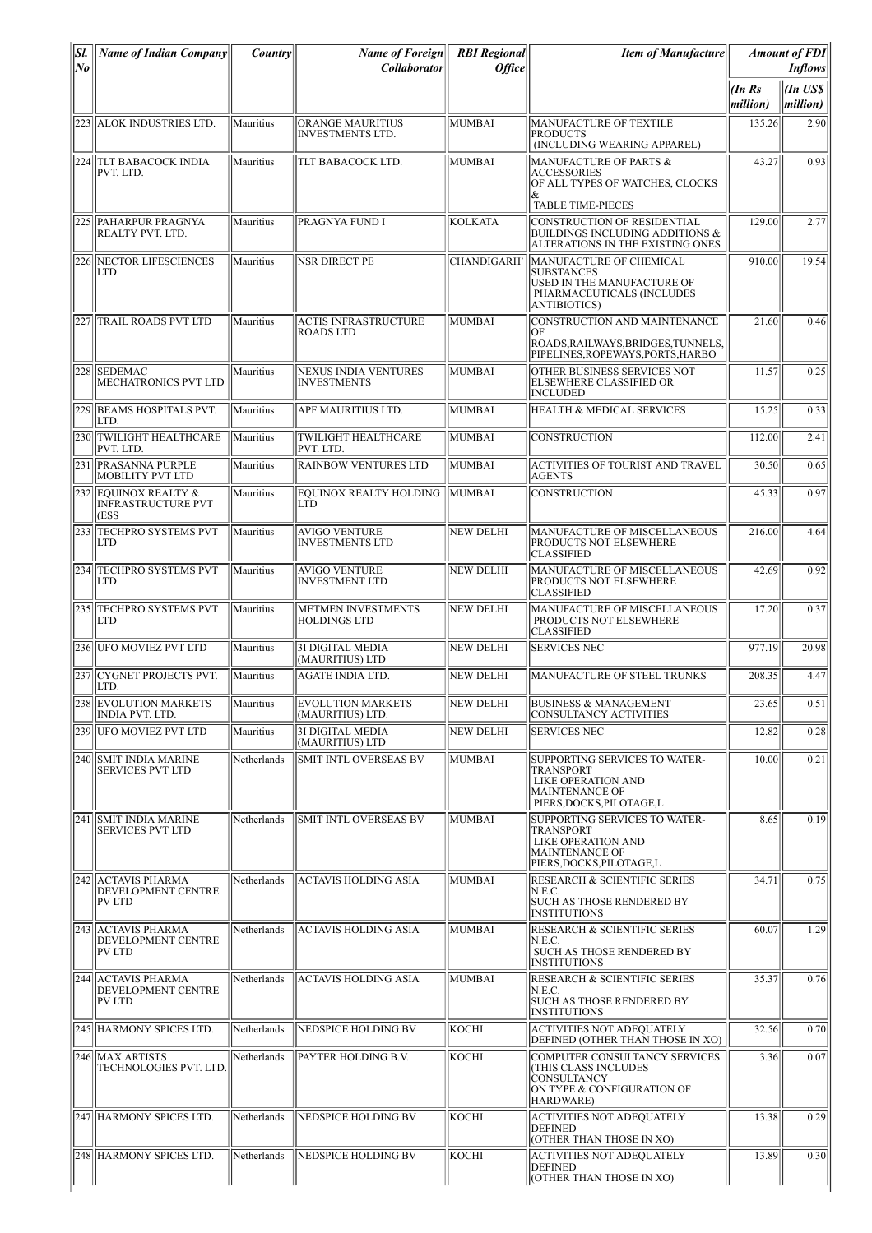| Sl.<br>$N_{\boldsymbol{\theta}}$ | <b>Name of Indian Company</b>                                    | Country     | <b>Name of Foreign</b><br><b>Collaborator</b>     | <b>RBI</b> Regional<br><b>Office</b> | <b>Item of Manufacture</b>                                                                                                            |                    | <b>Amount of FDI</b><br><b>Inflows</b> |
|----------------------------------|------------------------------------------------------------------|-------------|---------------------------------------------------|--------------------------------------|---------------------------------------------------------------------------------------------------------------------------------------|--------------------|----------------------------------------|
|                                  |                                                                  |             |                                                   |                                      |                                                                                                                                       | (In Rs<br>million) | (In US\$<br>million)                   |
|                                  | 223 ALOK INDUSTRIES LTD.                                         | Mauritius   | ORANGE MAURITIUS<br><b>INVESTMENTS LTD.</b>       | <b>MUMBAI</b>                        | MANUFACTURE OF TEXTILE<br><b>PRODUCTS</b><br>(INCLUDING WEARING APPAREL)                                                              | 135.26             | 2.90                                   |
|                                  | 224 TLT BABACOCK INDIA<br>PVT. LTD.                              | Mauritius   | TLT BABACOCK LTD.                                 | MUMBAI                               | <b>MANUFACTURE OF PARTS &amp;</b><br><b>ACCESSORIES</b><br>OF ALL TYPES OF WATCHES, CLOCKS<br>&                                       | 43.27              | 0.93                                   |
| 225                              | <b>PAHARPUR PRAGNYA</b><br>REALTY PVT. LTD.                      | Mauritius   | <b>PRAGNYA FUND I</b>                             | <b>KOLKATA</b>                       | <b>TABLE TIME-PIECES</b><br><b>CONSTRUCTION OF RESIDENTIAL</b><br>BUILDINGS INCLUDING ADDITIONS &<br>ALTERATIONS IN THE EXISTING ONES | 129.00             | 2.77                                   |
|                                  | 226 NECTOR LIFESCIENCES<br>LTD.                                  | Mauritius   | <b>NSR DIRECT PE</b>                              | <b>CHANDIGARH</b>                    | MANUFACTURE OF CHEMICAL<br><b>SUBSTANCES</b><br>USED IN THE MANUFACTURE OF<br>PHARMACEUTICALS (INCLUDES<br><b>ANTIBIOTICS)</b>        | 910.00             | 19.54                                  |
|                                  | 227  TRAIL ROADS PVT LTD                                         | Mauritius   | <b>ACTIS INFRASTRUCTURE</b><br><b>ROADS LTD</b>   | MUMBAI                               | CONSTRUCTION AND MAINTENANCE<br>ЮF<br>ROADS.RAILWAYS.BRIDGES.TUNNELS.<br>PIPELINES, ROPEWAYS, PORTS, HARBO                            | 21.60              | 0.46                                   |
| 228                              | <b>SEDEMAC</b><br>MECHATRONICS PVT LTD                           | Mauritius   | <b>NEXUS INDIA VENTURES</b><br><b>INVESTMENTS</b> | MUMBAI                               | OTHER BUSINESS SERVICES NOT<br><b>ELSEWHERE CLASSIFIED OR</b><br><b>INCLUDED</b>                                                      | 11.57              | 0.25                                   |
|                                  | 229 BEAMS HOSPITALS PVT.<br>LTD.                                 | Mauritius   | APF MAURITIUS LTD.                                | MUMBAI                               | <b>HEALTH &amp; MEDICAL SERVICES</b>                                                                                                  | 15.25              | 0.33                                   |
|                                  | 230 TWILIGHT HEALTHCARE<br>PVT. LTD.                             | Mauritius   | TWILIGHT HEALTHCARE<br>PVT. LTD.                  | MUMBAI                               | <b>CONSTRUCTION</b>                                                                                                                   | 112.00             | 2.41                                   |
| 231                              | <b>PRASANNA PURPLE</b><br>MOBILITY PVT LTD                       | Mauritius   | <b>RAINBOW VENTURES LTD</b>                       | <b>MUMBAI</b>                        | ACTIVITIES OF TOURIST AND TRAVEL<br><b>AGENTS</b>                                                                                     | 30.50              | 0.65                                   |
| 232                              | EQUINOX REALTY &<br><b>INFRASTRUCTURE PVT</b><br>(ESS            | Mauritius   | <b>EQUINOX REALTY HOLDING</b><br><b>LTD</b>       | MUMBAI                               | <b>CONSTRUCTION</b>                                                                                                                   | 45.33              | 0.97                                   |
|                                  | 233 TECHPRO SYSTEMS PVT<br> LTD                                  | Mauritius   | <b>AVIGO VENTURE</b><br><b>INVESTMENTS LTD</b>    | NEW DELHI                            | MANUFACTURE OF MISCELLANEOUS<br><b>PRODUCTS NOT ELSEWHERE</b><br><b>CLASSIFIED</b>                                                    | 216.00             | 4.64                                   |
|                                  | 234 TECHPRO SYSTEMS PVT<br>LTD                                   | Mauritius   | AVIGO VENTURE<br><b>INVESTMENT LTD</b>            | NEW DELHI                            | MANUFACTURE OF MISCELLANEOUS<br>PRODUCTS NOT ELSEWHERE<br><b>CLASSIFIED</b>                                                           | 42.69              | 0.92                                   |
|                                  | 235 TECHPRO SYSTEMS PVT<br> LTD                                  | Mauritius   | METMEN INVESTMENTS<br><b>HOLDINGS LTD</b>         | <b>NEW DELHI</b>                     | MANUFACTURE OF MISCELLANEOUS<br>PRODUCTS NOT ELSEWHERE<br><b>CLASSIFIED</b>                                                           | 17.20              | 0.37                                   |
|                                  | 236 UFO MOVIEZ PVT LTD                                           | Mauritius   | 3I DIGITAL MEDIA<br>(MAURITIUS) LTD               | NEW DELHI                            | <b>SERVICES NEC</b>                                                                                                                   | 977.19             | 20.98                                  |
| 237                              | CYGNET PROJECTS PVT.<br>LTD.                                     | Mauritius   | <b>AGATE INDIA LTD.</b>                           | NEW DELHI                            | MANUFACTURE OF STEEL TRUNKS                                                                                                           | 208.35             | 4.47                                   |
|                                  | 238 EVOLUTION MARKETS<br><b>INDIA PVT. LTD.</b>                  | Mauritius   | <b>EVOLUTION MARKETS</b><br>(MAURITIUS) LTD.      | NEW DELHI                            | <b>BUSINESS &amp; MANAGEMENT</b><br> CONSULTANCY ACTIVITIES                                                                           | 23.65              | 0.51                                   |
|                                  | 239 IUFO MOVIEZ PVT LTD                                          | Mauritius   | 3I DIGITAL MEDIA<br>(MAURITIUS) LTD               | <b>NEW DELHI</b>                     | <b>SERVICES NEC</b>                                                                                                                   | 12.82              | 0.28                                   |
|                                  | 240 SMIT INDIA MARINE<br><b>SERVICES PVT LTD</b>                 | Netherlands | <b>SMIT INTL OVERSEAS BV</b>                      | MUMBAI                               | SUPPORTING SERVICES TO WATER-<br><b>TRANSPORT</b><br><b>LIKE OPERATION AND</b><br><b>MAINTENANCE OF</b><br>PIERS, DOCKS, PILOTAGE, L  | 10.00              | 0.21                                   |
| 241                              | <b>SMIT INDIA MARINE</b><br><b>SERVICES PVT LTD</b>              | Netherlands | <b>SMIT INTL OVERSEAS BV</b>                      | MUMBAI                               | SUPPORTING SERVICES TO WATER-<br><b>TRANSPORT</b><br>LIKE OPERATION AND<br><b>MAINTENANCE OF</b><br>PIERS,DOCKS,PILOTAGE,L            | 8.65               | 0.19                                   |
|                                  | 242 ACTAVIS PHARMA<br><b>DEVELOPMENT CENTRE</b><br>PV LTD        | Netherlands | <b>ACTAVIS HOLDING ASIA</b>                       | <b>MUMBAI</b>                        | <b>RESEARCH &amp; SCIENTIFIC SERIES</b><br>N.E.C.<br>SUCH AS THOSE RENDERED BY<br><b>INSTITUTIONS</b>                                 | 34.71              | 0.75                                   |
|                                  | 243 ACTAVIS PHARMA<br><b>DEVELOPMENT CENTRE</b><br><b>PV LTD</b> | Netherlands | <b>ACTAVIS HOLDING ASIA</b>                       | MUMBAI                               | <b>RESEARCH &amp; SCIENTIFIC SERIES</b><br>N.E.C.<br><b>SUCH AS THOSE RENDERED BY</b><br><b>INSTITUTIONS</b>                          | 60.07              | 1.29                                   |
|                                  | 244 ACTAVIS PHARMA<br>DEVELOPMENT CENTRE<br><b>PV LTD</b>        | Netherlands | <b>ACTAVIS HOLDING ASIA</b>                       | MUMBAI                               | <b>RESEARCH &amp; SCIENTIFIC SERIES</b><br>N.E.C.<br><b>SUCH AS THOSE RENDERED BY</b><br><b>INSTITUTIONS</b>                          | 35.37              | 0.76                                   |
|                                  | 245 HARMONY SPICES LTD.                                          | Netherlands | NEDSPICE HOLDING BV                               | KOCHI                                | <b>ACTIVITIES NOT ADEQUATELY</b><br>DEFINED (OTHER THAN THOSE IN XO)                                                                  | 32.56              | 0.70                                   |
|                                  | 246 MAX ARTISTS<br>TECHNOLOGIES PVT. LTD.                        | Netherlands | PAYTER HOLDING B.V.                               | KOCHI                                | COMPUTER CONSULTANCY SERVICES<br>(THIS CLASS INCLUDES<br><b>CONSULTANCY</b><br>ON TYPE & CONFIGURATION OF<br>HARDWARE)                | 3.36               | 0.07                                   |
|                                  | 247 HARMONY SPICES LTD.                                          | Netherlands | NEDSPICE HOLDING BV                               | <b>KOCHI</b>                         | <b>ACTIVITIES NOT ADEQUATELY</b><br><b>DEFINED</b><br>(OTHER THAN THOSE IN XO)                                                        | 13.38              | 0.29                                   |
|                                  | 248 HARMONY SPICES LTD.                                          | Netherlands | NEDSPICE HOLDING BV                               | KOCHI                                | <b>ACTIVITIES NOT ADEQUATELY</b><br><b>DEFINED</b><br>(OTHER THAN THOSE IN XO)                                                        | 13.89              | 0.30                                   |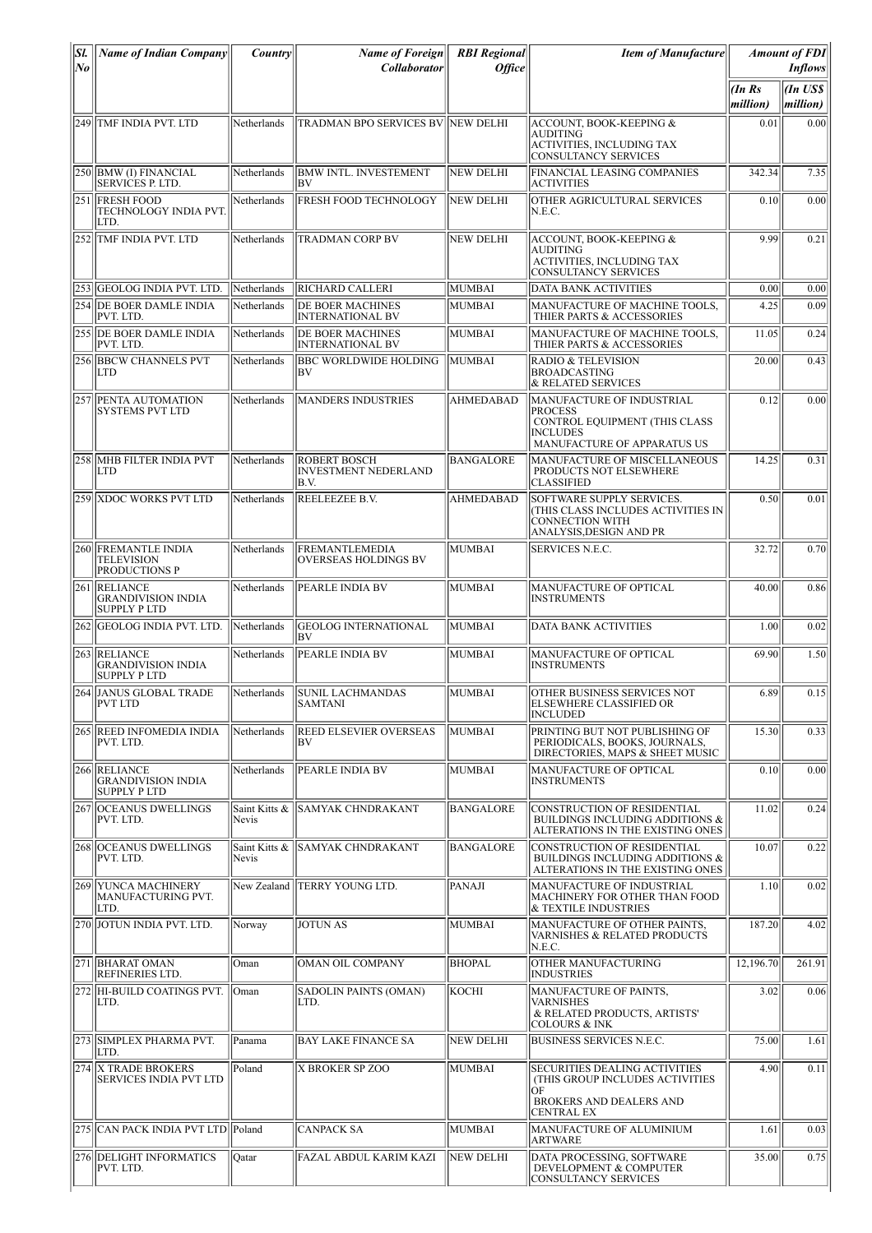| Sl.<br>$ N_{\boldsymbol{0}} $ | <b>Name of Indian Company</b>                                    | <i>Country</i>                | <b>Name of Foreign</b><br><b>Collaborator</b>              | <b>RBI</b> Regional<br><b>Office</b> | <b>Item of Manufacture</b>                                                                                                           |                   | <b>Amount of FDI</b><br><b>Inflows</b> |
|-------------------------------|------------------------------------------------------------------|-------------------------------|------------------------------------------------------------|--------------------------------------|--------------------------------------------------------------------------------------------------------------------------------------|-------------------|----------------------------------------|
|                               |                                                                  |                               |                                                            |                                      |                                                                                                                                      | (InRs<br>million) | An US\$<br>million)                    |
|                               | 249 TMF INDIA PVT. LTD                                           | Netherlands                   | TRADMAN BPO SERVICES BV  NEW DELHI                         |                                      | <b>ACCOUNT. BOOK-KEEPING &amp;</b><br><b>AUDITING</b><br>ACTIVITIES, INCLUDING TAX<br><b>CONSULTANCY SERVICES</b>                    | 0.01              | 0.00                                   |
|                               | 250 BMW (I) FINANCIAL<br><b>SERVICES P. LTD.</b>                 | Netherlands                   | <b>BMW INTL. INVESTEMENT</b><br>BV                         | <b>NEW DELHI</b>                     | FINANCIAL LEASING COMPANIES<br><b>ACTIVITIES</b>                                                                                     | 342.34            | 7.35                                   |
|                               | 251 IFRESH FOOD<br>TECHNOLOGY INDIA PVT.<br>LTD.                 | Netherlands                   | FRESH FOOD TECHNOLOGY                                      | NEW DELHI                            | OTHER AGRICULTURAL SERVICES<br>N.E.C.                                                                                                | 0.10              | 0.00                                   |
|                               | 252 TMF INDIA PVT. LTD                                           | Netherlands                   | <b>TRADMAN CORP BV</b>                                     | <b>NEW DELHI</b>                     | ACCOUNT, BOOK-KEEPING &<br><b>AUDITING</b><br>ACTIVITIES, INCLUDING TAX<br><b>CONSULTANCY SERVICES</b>                               | 9.99              | 0.21                                   |
|                               | 253 GEOLOG INDIA PVT. LTD.                                       | Netherlands                   | <b>RICHARD CALLERI</b>                                     | MUMBAI                               | <b>DATA BANK ACTIVITIES</b>                                                                                                          | 0.00              | 0.00                                   |
|                               | 254 IDE BOER DAMLE INDIA<br>PVT. LTD.                            | Netherlands                   | DE BOER MACHINES<br><b>INTERNATIONAL BV</b>                | MUMBAI                               | MANUFACTURE OF MACHINE TOOLS,<br>THIER PARTS & ACCESSORIES                                                                           | 4.25              | 0.09                                   |
|                               | 255 IDE BOER DAMLE INDIA<br>PVT. LTD.                            | Netherlands                   | DE BOER MACHINES<br><b>INTERNATIONAL BV</b>                | MUMBAI                               | MANUFACTURE OF MACHINE TOOLS,<br>THIER PARTS & ACCESSORIES                                                                           | 11.05             | 0.24                                   |
|                               | 256 BBCW CHANNELS PVT<br>LTD                                     | Netherlands                   | <b>BBC WORLDWIDE HOLDING</b><br>BV                         | MUMBAI                               | <b>RADIO &amp; TELEVISION</b><br><b>BROADCASTING</b><br>& RELATED SERVICES                                                           | 20.00             | 0.43                                   |
|                               | 257 PENTA AUTOMATION<br><b>SYSTEMS PVT LTD</b>                   | Netherlands                   | <b>MANDERS INDUSTRIES</b>                                  | <b>AHMEDABAD</b>                     | MANUFACTURE OF INDUSTRIAL<br><b>PROCESS</b><br>CONTROL EQUIPMENT (THIS CLASS<br><b>INCLUDES</b><br>MANUFACTURE OF APPARATUS US       | 0.12              | 0.00                                   |
|                               | 258 MHB FILTER INDIA PVT<br>LTD                                  | Netherlands                   | <b>ROBERT BOSCH</b><br><b>INVESTMENT NEDERLAND</b><br>B.V. | <b>BANGALORE</b>                     | MANUFACTURE OF MISCELLANEOUS<br>PRODUCTS NOT ELSEWHERE<br><b>CLASSIFIED</b>                                                          | 14.25             | 0.31                                   |
|                               | 259 XDOC WORKS PVT LTD                                           | Netherlands                   | REELEEZEE B.V.                                             | AHMEDABAD                            | SOFTWARE SUPPLY SERVICES.<br>(THIS CLASS INCLUDES ACTIVITIES IN<br><b>CONNECTION WITH</b><br>ANALYSIS, DESIGN AND PR                 | 0.50              | 0.01                                   |
|                               | 260 FREMANTLE INDIA<br><b>TELEVISION</b><br><b>PRODUCTIONS P</b> | Netherlands                   | <b>FREMANTLEMEDIA</b><br>OVERSEAS HOLDINGS BV              | MUMBAI                               | <b>SERVICES N.E.C.</b>                                                                                                               | 32.72             | 0.70                                   |
|                               | 261 RELIANCE<br><b>GRANDIVISION INDIA</b><br><b>SUPPLY PLTD</b>  | Netherlands                   | PEARLE INDIA BV                                            | MUMBAI                               | MANUFACTURE OF OPTICAL<br><b>INSTRUMENTS</b>                                                                                         | 40.00             | 0.86                                   |
|                               | 262 GEOLOG INDIA PVT. LTD.                                       | Netherlands                   | <b>GEOLOG INTERNATIONAL</b><br>IBV                         | MUMBAI                               | <b>DATA BANK ACTIVITIES</b>                                                                                                          | 1.00              | 0.02                                   |
|                               | 263 RELIANCE<br><b>GRANDIVISION INDIA</b><br><b>SUPPLY PLTD</b>  | Netherlands                   | PEARLE INDIA BV                                            | MUMBAI                               | MANUFACTURE OF OPTICAL<br><b>INSTRUMENTS</b>                                                                                         | 69.90             | 1.50                                   |
|                               | 264 JANUS GLOBAL TRADE<br> PVT LTD                               | Netherlands                   | <b>SUNIL LACHMANDAS</b><br>SAMTANI                         | MUMBAI                               | OTHER BUSINESS SERVICES NOT<br> ELSEWHERE CLASSIFIED OR<br>INCLUDED                                                                  | 6.89              | 0.15                                   |
|                               | 265 REED INFOMEDIA INDIA<br>PVT. LTD.                            | Netherlands                   | REED ELSEVIER OVERSEAS<br>BV                               | MUMBAI                               | PRINTING BUT NOT PUBLISHING OF<br>PERIODICALS, BOOKS, JOURNALS,<br>DIRECTORIES, MAPS & SHEET MUSIC                                   | 15.30             | 0.33                                   |
|                               | 266 RELIANCE<br><b>GRANDIVISION INDIA</b><br><b>SUPPLY PLTD</b>  | Netherlands                   | PEARLE INDIA BV                                            | MUMBAI                               | MANUFACTURE OF OPTICAL<br><b>INSTRUMENTS</b>                                                                                         | 0.10              | 0.00                                   |
|                               | 267    OCEANUS DWELLINGS<br>PVT. LTD.                            | Saint Kitts &<br><b>Nevis</b> | <b>SAMYAK CHNDRAKANT</b>                                   | <b>BANGALORE</b>                     | CONSTRUCTION OF RESIDENTIAL<br>BUILDINGS INCLUDING ADDITIONS &<br>ALTERATIONS IN THE EXISTING ONES                                   | 11.02             | 0.24                                   |
|                               | 268 OCEANUS DWELLINGS<br>PVT. LTD.                               | Saint Kitts &<br>Nevis        | SAMYAK CHNDRAKANT                                          | <b>BANGALORE</b>                     | CONSTRUCTION OF RESIDENTIAL<br>BUILDINGS INCLUDING ADDITIONS &<br>ALTERATIONS IN THE EXISTING ONES                                   | 10.07             | 0.22                                   |
|                               | 269 YUNCA MACHINERY<br>MANUFACTURING PVT.<br>LTD.                | New Zealand                   | TERRY YOUNG LTD.                                           | PANAJI                               | MANUFACTURE OF INDUSTRIAL<br>MACHINERY FOR OTHER THAN FOOD<br>& TEXTILE INDUSTRIES                                                   | 1.10              | 0.02                                   |
|                               | 270 JOTUN INDIA PVT. LTD.                                        | Norway                        | <b>JOTUN AS</b>                                            | MUMBAI                               | MANUFACTURE OF OTHER PAINTS.<br><b>VARNISHES &amp; RELATED PRODUCTS</b><br>N.E.C.                                                    | 187.20            | 4.02                                   |
|                               | 271 BHARAT OMAN<br>REFINERIES LTD.                               | Oman                          | OMAN OIL COMPANY                                           | <b>BHOPAL</b>                        | OTHER MANUFACTURING<br><b>INDUSTRIES</b>                                                                                             | 12,196.70         | 261.91                                 |
|                               | 272 HI-BUILD COATINGS PVT.<br>LTD.                               | Oman                          | SADOLIN PAINTS (OMAN)<br>LTD.                              | Косні                                | MANUFACTURE OF PAINTS.<br><b>VARNISHES</b><br>& RELATED PRODUCTS, ARTISTS'<br>COLOURS & INK                                          | 3.02              | 0.06                                   |
|                               | 273 SIMPLEX PHARMA PVT.<br>LTD.                                  | Panama                        | <b>BAY LAKE FINANCE SA</b>                                 | NEW DELHI                            | <b>BUSINESS SERVICES N.E.C.</b>                                                                                                      | 75.00             | 1.61                                   |
|                               | 274 X TRADE BROKERS<br><b>SERVICES INDIA PVT LTD</b>             | Poland                        | X BROKER SP ZOO                                            | MUMBAI                               | <b>SECURITIES DEALING ACTIVITIES</b><br>(THIS GROUP INCLUDES ACTIVITIES<br>ЮF<br><b>BROKERS AND DEALERS AND</b><br><b>CENTRAL EX</b> | 4.90              | 0.11                                   |
|                               | 275 CAN PACK INDIA PVT LTD Poland                                |                               | <b>CANPACK SA</b>                                          | MUMBAI                               | MANUFACTURE OF ALUMINIUM<br><b>ARTWARE</b>                                                                                           | 1.61              | 0.03                                   |
|                               | 276 DELIGHT INFORMATICS<br>PVT. LTD.                             | Oatar                         | FAZAL ABDUL KARIM KAZI                                     | <b>NEW DELHI</b>                     | DATA PROCESSING, SOFTWARE<br>DEVELOPMENT & COMPUTER<br><b>CONSULTANCY SERVICES</b>                                                   | 35.00             | 0.75                                   |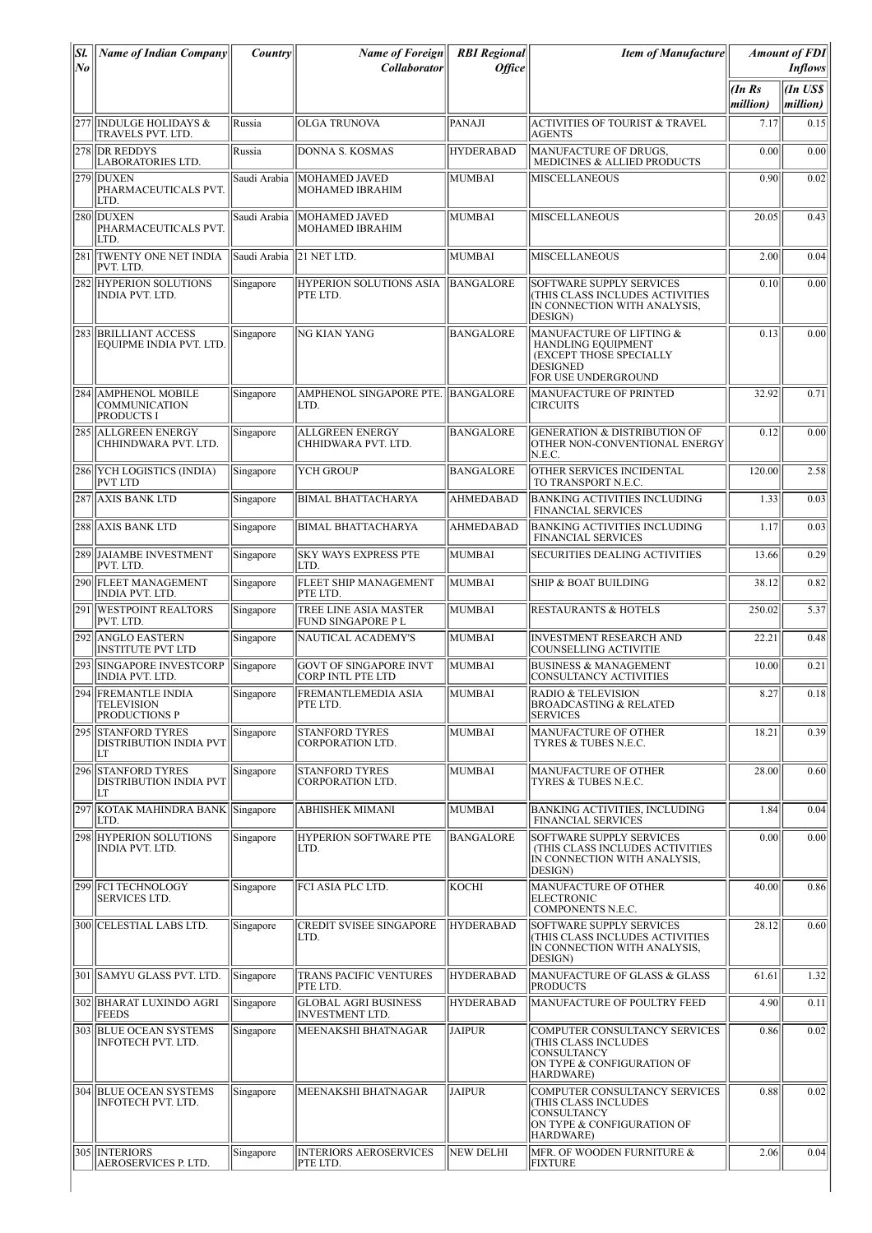| SI.<br>No | <b>Name of Indian Company</b>                                | <i>Country</i> | <b>Name of Foreign</b><br>Collaborator                   | <b>RBI</b> Regional<br><i>Office</i> | <b>Item of Manufacture</b>                                                                                          |                   | <b>Amount of FDI</b><br><i>Inflows</i> |
|-----------|--------------------------------------------------------------|----------------|----------------------------------------------------------|--------------------------------------|---------------------------------------------------------------------------------------------------------------------|-------------------|----------------------------------------|
|           |                                                              |                |                                                          |                                      |                                                                                                                     | (InRs<br>million) | (In US\$<br>million)                   |
| 277       | <b>INDULGE HOLIDAYS &amp;</b><br>TRAVELS PVT. LTD.           | Russia         | <b>OLGA TRUNOVA</b>                                      | PANAJI                               | <b>ACTIVITIES OF TOURIST &amp; TRAVEL</b><br>AGENTS                                                                 | 7.17              | 0.15                                   |
| 278       | <b>DR REDDYS</b><br><b>LABORATORIES LTD.</b>                 | Russia         | <b>DONNA S. KOSMAS</b>                                   | <b>HYDERABAD</b>                     | MANUFACTURE OF DRUGS.<br>MEDICINES & ALLIED PRODUCTS                                                                | 0.00              | 0.00                                   |
|           | 279 DUXEN<br>PHARMACEUTICALS PVT.<br>LTD.                    | Saudi Arabia   | MOHAMED JAVED<br>MOHAMED IBRAHIM                         | <b>MUMBAI</b>                        | <b>MISCELLANEOUS</b>                                                                                                | 0.90              | 0.02                                   |
|           | 280 DUXEN<br>PHARMACEUTICALS PVT.<br>LTD.                    | Saudi Arabia   | MOHAMED JAVED<br>MOHAMED IBRAHIM                         | <b>MUMBAI</b>                        | <b>MISCELLANEOUS</b>                                                                                                | 20.05             | 0.43                                   |
|           | 281 TWENTY ONE NET INDIA<br>PVT. LTD.                        | Saudi Arabia   | 21 NET LTD.                                              | <b>MUMBAI</b>                        | <b>MISCELLANEOUS</b>                                                                                                | 2.00              | 0.04                                   |
|           | 282 HYPERION SOLUTIONS<br><b>INDIA PVT. LTD.</b>             | Singapore      | HYPERION SOLUTIONS ASIA<br>PTE LTD.                      | <b>BANGALORE</b>                     | SOFTWARE SUPPLY SERVICES<br>(THIS CLASS INCLUDES ACTIVITIES<br>IN CONNECTION WITH ANALYSIS,<br>DESIGN)              | 0.10              | 0.00                                   |
|           | 283 BRILLIANT ACCESS<br>EQUIPME INDIA PVT. LTD.              | Singapore      | NG KIAN YANG                                             | <b>BANGALORE</b>                     | MANUFACTURE OF LIFTING &<br><b>HANDLING EQUIPMENT</b><br>(EXCEPT THOSE SPECIALLY<br>DESIGNED<br>FOR USE UNDERGROUND | 0.13              | 0.00                                   |
| 284       | <b>AMPHENOL MOBILE</b><br><b>COMMUNICATION</b><br>PRODUCTS I | Singapore      | AMPHENOL SINGAPORE PTE. BANGALORE<br>LTD.                |                                      | MANUFACTURE OF PRINTED<br>CIRCUITS                                                                                  | 32.92             | 0.71                                   |
| 285       | <b>ALLGREEN ENERGY</b><br>CHHINDWARA PVT. LTD.               | Singapore      | <b>ALLGREEN ENERGY</b><br>CHHIDWARA PVT. LTD.            | <b>BANGALORE</b>                     | <b>GENERATION &amp; DISTRIBUTION OF</b><br>OTHER NON-CONVENTIONAL ENERGY<br>N.E.C.                                  | 0.12              | 0.00                                   |
|           | 286 YCH LOGISTICS (INDIA)<br><b>PVT LTD</b>                  | Singapore      | <b>YCH GROUP</b>                                         | <b>BANGALORE</b>                     | OTHER SERVICES INCIDENTAL<br>TO TRANSPORT N.E.C.                                                                    | 120.00            | 2.58                                   |
|           | 287 AXIS BANK LTD                                            | Singapore      | <b>BIMAL BHATTACHARYA</b>                                | <b>AHMEDABAD</b>                     | <b>BANKING ACTIVITIES INCLUDING</b><br><b>FINANCIAL SERVICES</b>                                                    | 1.33              | 0.03                                   |
| 288       | AXIS BANK LTD                                                | Singapore      | <b>BIMAL BHATTACHARYA</b>                                | <b>AHMEDABAD</b>                     | <b>BANKING ACTIVITIES INCLUDING</b><br><b>FINANCIAL SERVICES</b>                                                    | 1.17              | 0.03                                   |
|           | 289  JAIAMBE INVESTMENT<br>PVT. LTD.                         | Singapore      | <b>SKY WAYS EXPRESS PTE</b><br>LTD.                      | MUMBAI                               | <b>SECURITIES DEALING ACTIVITIES</b>                                                                                | 13.66             | 0.29                                   |
|           | 290 FLEET MANAGEMENT<br><b>INDIA PVT. LTD.</b>               | Singapore      | <b>FLEET SHIP MANAGEMENT</b><br>PTE LTD.                 | MUMBAI                               | <b>SHIP &amp; BOAT BUILDING</b>                                                                                     | 38.12             | 0.82                                   |
| 291       | <b>WESTPOINT REALTORS</b><br>PVT. LTD.                       | Singapore      | <b>TREE LINE ASIA MASTER</b><br><b>FUND SINGAPORE PL</b> | <b>MUMBAI</b>                        | <b>RESTAURANTS &amp; HOTELS</b>                                                                                     | 250.02            | 5.37                                   |
| 292       | ANGLO EASTERN<br><b>INSTITUTE PVT LTD</b>                    | Singapore      | NAUTICAL ACADEMY'S                                       | <b>MUMBAI</b>                        | <b>INVESTMENT RESEARCH AND</b><br>COUNSELLING ACTIVITIE                                                             | 22.21             | 0.48                                   |
| 293       | <b>SINGAPORE INVESTCORP</b><br><b>INDIA PVT. LTD.</b>        | Singapore      | <b>GOVT OF SINGAPORE INVT</b><br>CORP INTL PTE LTD       | <b>MUMBAI</b>                        | <b>BUSINESS &amp; MANAGEMENT</b><br>CONSULTANCY ACTIVITIES                                                          | 10.00             | 0.21                                   |
|           | 294 FREMANTLE INDIA<br><b>TELEVISION</b><br>PRODUCTIONS P    | Singapore      | <b>FREMANTLEMEDIA ASIA</b><br>PTE LTD.                   | <b>MUMBAI</b>                        | <b>RADIO &amp; TELEVISION</b><br><b>BROADCASTING &amp; RELATED</b><br><b>SERVICES</b>                               | 8.27              | 0.18                                   |
|           | 295 STANFORD TYRES<br><b>DISTRIBUTION INDIA PVT</b><br>LT    | Singapore      | <b>STANFORD TYRES</b><br><b>CORPORATION LTD.</b>         | <b>MUMBAI</b>                        | MANUFACTURE OF OTHER<br>TYRES & TUBES N.E.C.                                                                        | 18.21             | 0.39                                   |
|           | 296 STANFORD TYRES<br>DISTRIBUTION INDIA PVT<br>LT           | Singapore      | <b>STANFORD TYRES</b><br>CORPORATION LTD.                | <b>MUMBAI</b>                        | MANUFACTURE OF OTHER<br>TYRES & TUBES N.E.C.                                                                        | 28.00             | 0.60                                   |
|           | 297 KOTAK MAHINDRA BANK<br>LTD.                              | Singapore      | <b>ABHISHEK MIMANI</b>                                   | MUMBAI                               | BANKING ACTIVITIES, INCLUDING<br><b>FINANCIAL SERVICES</b>                                                          | 1.84              | 0.04                                   |
| 298       | <b>HYPERION SOLUTIONS</b><br><b>INDIA PVT. LTD.</b>          | Singapore      | HYPERION SOFTWARE PTE<br>LTD.                            | <b>BANGALORE</b>                     | SOFTWARE SUPPLY SERVICES<br>(THIS CLASS INCLUDES ACTIVITIES<br>IN CONNECTION WITH ANALYSIS,<br>DESIGN)              | 0.00              | 0.00                                   |
|           | 299  FCI TECHNOLOGY<br>SERVICES LTD.                         | Singapore      | FCI ASIA PLC LTD.                                        | KOCHI                                | <b>MANUFACTURE OF OTHER</b><br><b>ELECTRONIC</b><br>COMPONENTS N.E.C.                                               | 40.00             | 0.86                                   |
|           | 300 CELESTIAL LABS LTD.                                      | Singapore      | <b>CREDIT SVISEE SINGAPORE</b><br>LTD.                   | <b>HYDERABAD</b>                     | SOFTWARE SUPPLY SERVICES<br>(THIS CLASS INCLUDES ACTIVITIES<br>IN CONNECTION WITH ANALYSIS,<br>DESIGN)              | 28.12             | 0.60                                   |
|           | 301 SAMYU GLASS PVT. LTD.                                    | Singapore      | TRANS PACIFIC VENTURES<br>PTE LTD.                       | <b>HYDERABAD</b>                     | MANUFACTURE OF GLASS & GLASS<br><b>PRODUCTS</b>                                                                     | 61.61             | 1.32                                   |
|           | 302 BHARAT LUXINDO AGRI<br><b>FEEDS</b>                      | Singapore      | <b>GLOBAL AGRI BUSINESS</b><br><b>INVESTMENT LTD.</b>    | <b>HYDERABAD</b>                     | MANUFACTURE OF POULTRY FEED                                                                                         | 4.90              | 0.11                                   |
| 303       | <b>BLUE OCEAN SYSTEMS</b><br>INFOTECH PVT. LTD.              | Singapore      | MEENAKSHI BHATNAGAR                                      | <b>JAIPUR</b>                        | COMPUTER CONSULTANCY SERVICES<br>(THIS CLASS INCLUDES<br>CONSULTANCY<br>ON TYPE & CONFIGURATION OF<br>HARDWARE)     | 0.86              | 0.02                                   |
|           | 304 BLUE OCEAN SYSTEMS<br>INFOTECH PVT. LTD.                 | Singapore      | MEENAKSHI BHATNAGAR                                      | <b>JAIPUR</b>                        | COMPUTER CONSULTANCY SERVICES<br>(THIS CLASS INCLUDES<br>CONSULTANCY<br>ON TYPE & CONFIGURATION OF<br>HARDWARE)     | 0.88              | 0.02                                   |
|           | 305 INTERIORS<br>AEROSERVICES P. LTD.                        | Singapore      | <b>INTERIORS AEROSERVICES</b><br>PTE LTD.                | <b>NEW DELHI</b>                     | MFR. OF WOODEN FURNITURE &<br><b>FIXTURE</b>                                                                        | 2.06              | 0.04                                   |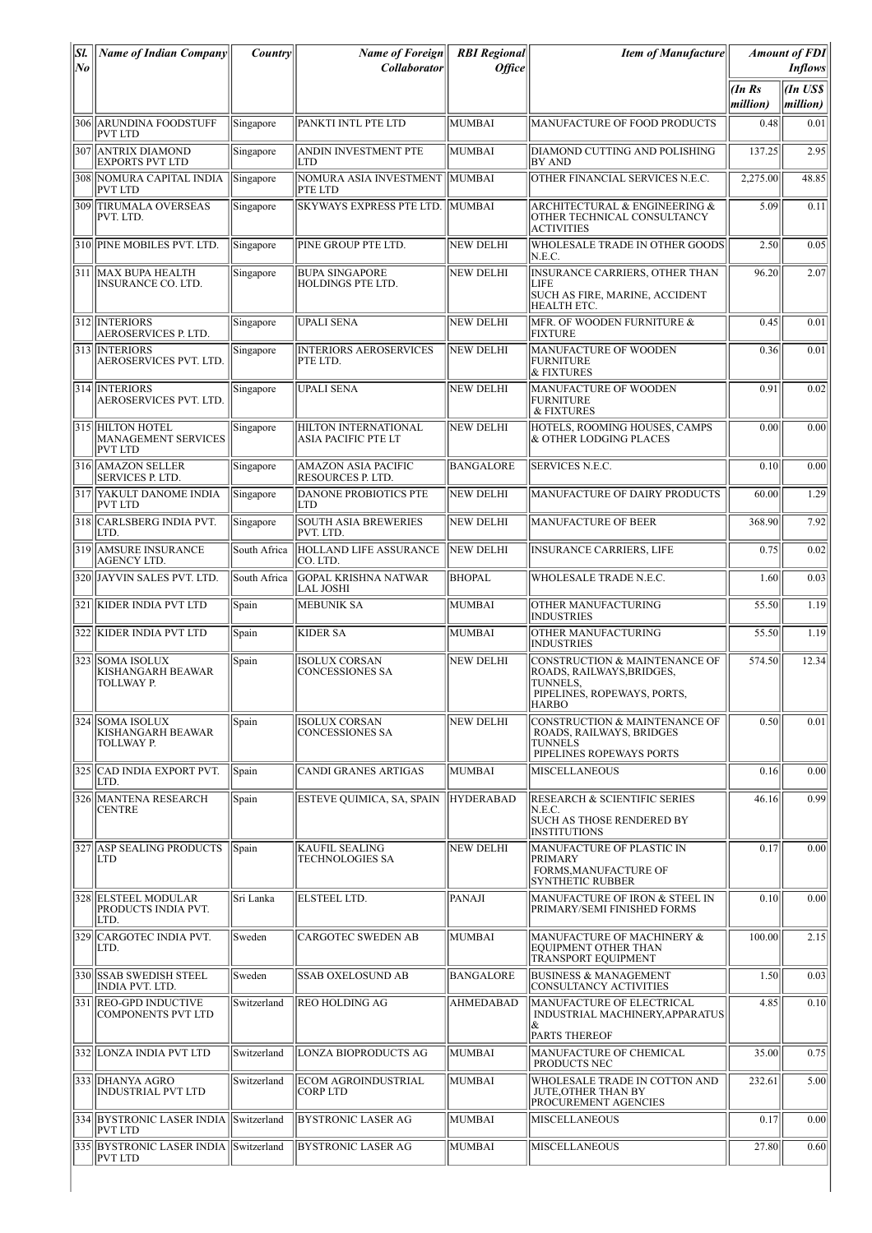| Sl.<br>No | <b>Name of Indian Company</b>                                    | <i>Country</i> | <b>Name of Foreign</b><br><b>Collaborator</b>   | <b>RBI</b> Regional<br><b>Office</b> | <b>Item of Manufacture</b>                                                                                            |                   | <b>Amount of FDI</b><br><b>Inflows</b> |
|-----------|------------------------------------------------------------------|----------------|-------------------------------------------------|--------------------------------------|-----------------------------------------------------------------------------------------------------------------------|-------------------|----------------------------------------|
|           |                                                                  |                |                                                 |                                      |                                                                                                                       | (InRs<br>million) | An US\$<br>million)                    |
|           | 306 ARUNDINA FOODSTUFF<br><b>PVT LTD</b>                         | Singapore      | PANKTI INTL PTE LTD                             | MUMBAI                               | MANUFACTURE OF FOOD PRODUCTS                                                                                          | 0.48              | 0.01                                   |
|           | 307 ANTRIX DIAMOND<br><b>EXPORTS PVT LTD</b>                     | Singapore      | ANDIN INVESTMENT PTE<br>LTD                     | MUMBAI                               | DIAMOND CUTTING AND POLISHING<br>BY AND                                                                               | 137.25            | 2.95                                   |
|           | 308 NOMURA CAPITAL INDIA<br><b>PVT LTD</b>                       | Singapore      | NOMURA ASIA INVESTMENT MUMBAI<br>PTE LTD        |                                      | OTHER FINANCIAL SERVICES N.E.C.                                                                                       | 2,275.00          | 48.85                                  |
|           | 309 TIRUMALA OVERSEAS<br>PVT. LTD.                               | Singapore      | SKYWAYS EXPRESS PTE LTD. MUMBAI                 |                                      | ARCHITECTURAL & ENGINEERING &<br>OTHER TECHNICAL CONSULTANCY<br><b>ACTIVITIES</b>                                     | 5.09              | 0.11                                   |
|           | 310 PINE MOBILES PVT. LTD.                                       | Singapore      | PINE GROUP PTE LTD.                             | <b>NEW DELHI</b>                     | WHOLESALE TRADE IN OTHER GOODS<br>N.E.C.                                                                              | 2.50              | 0.05                                   |
|           | 311 MAX BUPA HEALTH<br>INSURANCE CO. LTD.                        | Singapore      | <b>BUPA SINGAPORE</b><br>HOLDINGS PTE LTD.      | <b>NEW DELHI</b>                     | INSURANCE CARRIERS, OTHER THAN<br>LIFE<br>SUCH AS FIRE, MARINE, ACCIDENT<br>HEALTH ETC.                               | 96.20             | 2.07                                   |
|           | 312 INTERIORS<br>AEROSERVICES P. LTD.                            | Singapore      | <b>UPALI SENA</b>                               | <b>NEW DELHI</b>                     | MFR. OF WOODEN FURNITURE &<br><b>FIXTURE</b>                                                                          | 0.45              | 0.01                                   |
|           | 313 INTERIORS<br>AEROSERVICES PVT. LTD.                          | Singapore      | <b>INTERIORS AEROSERVICES</b><br>PTE LTD.       | NEW DELHI                            | MANUFACTURE OF WOODEN<br><b>FURNITURE</b><br>& FIXTURES                                                               | 0.36              | 0.01                                   |
|           | 314 INTERIORS<br>AEROSERVICES PVT. LTD.                          | Singapore      | <b>UPALI SENA</b>                               | NEW DELHI                            | MANUFACTURE OF WOODEN<br><b>FURNITURE</b><br>& FIXTURES                                                               | 0.91              | 0.02                                   |
|           | 315 HILTON HOTEL<br><b>MANAGEMENT SERVICES</b><br><b>PVT LTD</b> | Singapore      | HILTON INTERNATIONAL<br>ASIA PACIFIC PTE LT     | NEW DELHI                            | HOTELS. ROOMING HOUSES. CAMPS<br>& OTHER LODGING PLACES                                                               | 0.00              | 0.00                                   |
|           | 316 AMAZON SELLER<br><b>SERVICES P. LTD.</b>                     | Singapore      | AMAZON ASIA PACIFIC<br>RESOURCES P. LTD.        | <b>BANGALORE</b>                     | <b>SERVICES N.E.C.</b>                                                                                                | 0.10              | 0.00                                   |
|           | 317 YAKULT DANOME INDIA<br><b>PVT LTD</b>                        | Singapore      | <b>DANONE PROBIOTICS PTE</b><br><b>LTD</b>      | NEW DELHI                            | MANUFACTURE OF DAIRY PRODUCTS                                                                                         | 60.00             | 1.29                                   |
|           | 318 CARLSBERG INDIA PVT.<br>LTD.                                 | Singapore      | <b>SOUTH ASIA BREWERIES</b><br>PVT. LTD.        | <b>NEW DELHI</b>                     | <b>MANUFACTURE OF BEER</b>                                                                                            | 368.90            | 7.92                                   |
|           | 319 AMSURE INSURANCE<br>AGENCY LTD.                              | South Africa   | HOLLAND LIFE ASSURANCE<br>CO. LTD.              | NEW DELHI                            | <b>INSURANCE CARRIERS, LIFE</b>                                                                                       | 0.75              | 0.02                                   |
|           | 320 JAYVIN SALES PVT. LTD.                                       | South Africa   | <b>GOPAL KRISHNA NATWAR</b><br><b>LAL JOSHI</b> | <b>BHOPAL</b>                        | WHOLESALE TRADE N.E.C.                                                                                                | 1.60              | 0.03                                   |
|           | 321 KIDER INDIA PVT LTD                                          | Spain          | <b>MEBUNIK SA</b>                               | <b>MUMBAI</b>                        | OTHER MANUFACTURING<br><b>INDUSTRIES</b>                                                                              | 55.50             | 1.19                                   |
|           | 322 KIDER INDIA PVT LTD                                          | Spain          | <b>KIDER SA</b>                                 | MUMBAI                               | OTHER MANUFACTURING<br><b>INDUSTRIES</b>                                                                              | 55.50             | 1.19                                   |
|           | 323 SOMA ISOLUX<br>KISHANGARH BEAWAR<br>TOLLWAY P.               | Spain          | <b>ISOLUX CORSAN</b><br>CONCESSIONES SA         | NEW DELHI                            | CONSTRUCTION & MAINTENANCE OF<br>ROADS, RAILWAYS, BRIDGES,<br>TUNNELS,<br>PIPELINES, ROPEWAYS, PORTS,<br><b>HARBO</b> | 574.50            | 12.34                                  |
|           | 324 SOMA ISOLUX<br>KISHANGARH BEAWAR<br>TOLLWAY P.               | Spain          | <b>ISOLUX CORSAN</b><br>CONCESSIONES SA         | <b>NEW DELHI</b>                     | CONSTRUCTION & MAINTENANCE OF<br>ROADS, RAILWAYS, BRIDGES<br><b>TUNNELS</b><br>PIPELINES ROPEWAYS PORTS               | 0.50              | 0.01                                   |
|           | 325 CAD INDIA EXPORT PVT.<br>LTD.                                | Spain          | <b>CANDI GRANES ARTIGAS</b>                     | <b>MUMBAI</b>                        | <b>MISCELLANEOUS</b>                                                                                                  | 0.16              | 0.00                                   |
|           | 326 MANTENA RESEARCH<br><b>CENTRE</b>                            | Spain          | ESTEVE QUIMICA, SA, SPAIN   HYDERABAD           |                                      | <b>RESEARCH &amp; SCIENTIFIC SERIES</b><br>N.E.C.<br>SUCH AS THOSE RENDERED BY<br><b>INSTITUTIONS</b>                 | 46.16             | 0.99                                   |
|           | 327 ASP SEALING PRODUCTS<br>LTD                                  | Spain          | <b>KAUFIL SEALING</b><br>TECHNOLOGIES SA        | <b>NEW DELHI</b>                     | MANUFACTURE OF PLASTIC IN<br><b>PRIMARY</b><br>FORMS, MANUFACTURE OF<br><b>SYNTHETIC RUBBER</b>                       | 0.17              | 0.00                                   |
|           | 328 ELSTEEL MODULAR<br>PRODUCTS INDIA PVT.<br>LTD.               | Sri Lanka      | <b>ELSTEEL LTD.</b>                             | PANAJI                               | MANUFACTURE OF IRON & STEEL IN<br>PRIMARY/SEMI FINISHED FORMS                                                         | 0.10              | 0.00                                   |
|           | 329 CARGOTEC INDIA PVT.<br>LTD.                                  | Sweden         | <b>CARGOTEC SWEDEN AB</b>                       | MUMBAI                               | MANUFACTURE OF MACHINERY &<br>EQUIPMENT OTHER THAN<br><b>TRANSPORT EQUIPMENT</b>                                      | 100.00            | 2.15                                   |
|           | 330 SSAB SWEDISH STEEL<br><b>INDIA PVT. LTD.</b>                 | Sweden         | <b>SSAB OXELOSUND AB</b>                        | <b>BANGALORE</b>                     | <b>BUSINESS &amp; MANAGEMENT</b><br><b>CONSULTANCY ACTIVITIES</b>                                                     | 1.50              | 0.03                                   |
|           | 331   REO-GPD INDUCTIVE<br><b>COMPONENTS PVT LTD</b>             | Switzerland    | <b>REO HOLDING AG</b>                           | AHMEDABAD                            | MANUFACTURE OF ELECTRICAL<br>INDUSTRIAL MACHINERY, APPARATUS<br>&<br><b>PARTS THEREOF</b>                             | 4.85              | 0.10                                   |
|           | 332 LONZA INDIA PVT LTD                                          | Switzerland    | LONZA BIOPRODUCTS AG                            | MUMBAI                               | MANUFACTURE OF CHEMICAL<br>PRODUCTS NEC                                                                               | 35.00             | 0.75                                   |
|           | 333 DHANYA AGRO<br><b>INDUSTRIAL PVT LTD</b>                     | Switzerland    | ECOM AGROINDUSTRIAL<br>CORP LTD                 | MUMBAI                               | WHOLESALE TRADE IN COTTON AND<br><b>JUTE, OTHER THAN BY</b><br><b>PROCUREMENT AGENCIES</b>                            | 232.61            | 5.00                                   |
|           | 334 BYSTRONIC LASER INDIA<br><b>PVT LTD</b>                      | Switzerland    | <b>BYSTRONIC LASER AG</b>                       | MUMBAI                               | <b>MISCELLANEOUS</b>                                                                                                  | 0.17              | 0.00                                   |
|           | 335 BYSTRONIC LASER INDIA<br><b>PVT LTD</b>                      | Switzerland    | BYSTRONIC LASER AG                              | MUMBAI                               | <b>MISCELLANEOUS</b>                                                                                                  | 27.80             | 0.60                                   |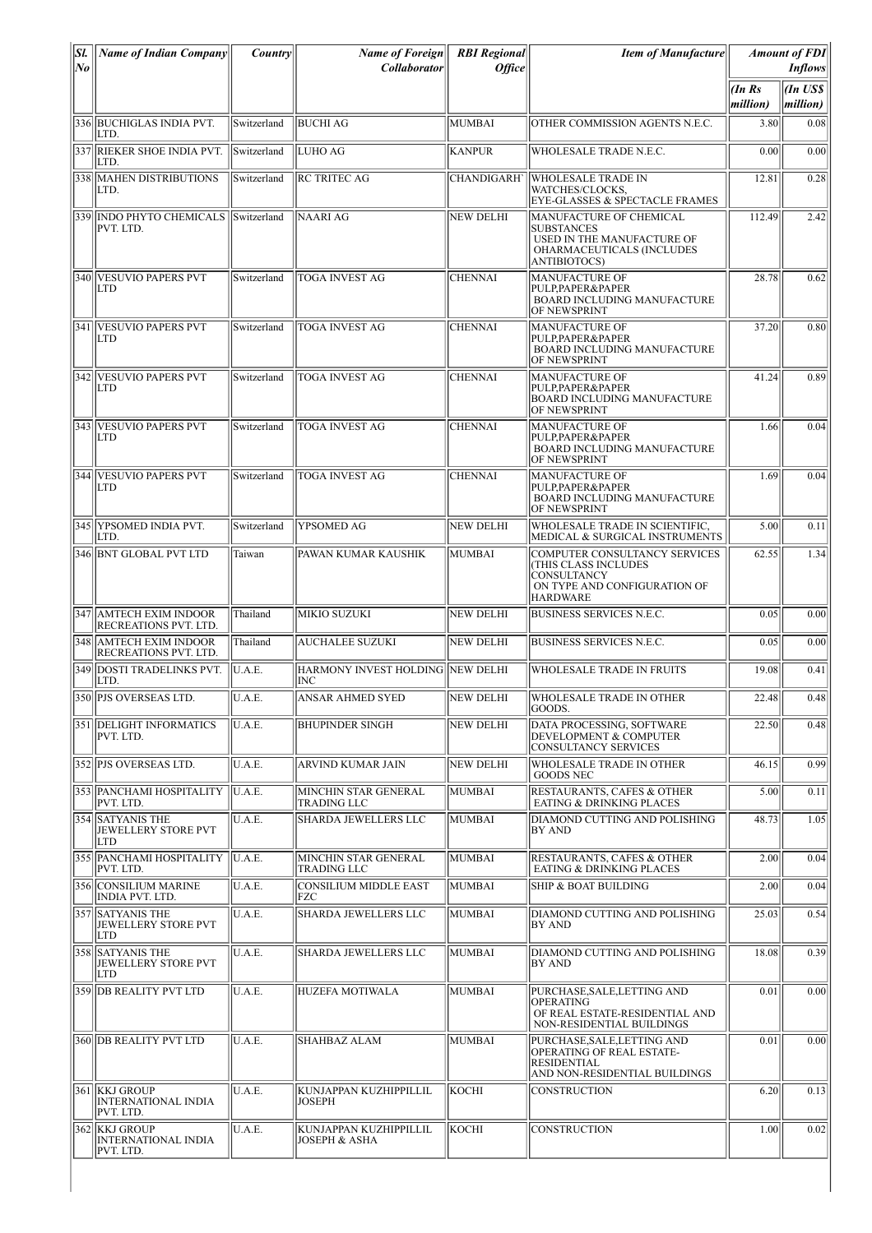| SI.<br>lNo | <b>Name of Indian Company</b>                            | Country     | <b>Name of Foreign</b><br><b>Collaborator</b> | <b>RBI</b> Regional<br><b>Office</b> | <b>Item of Manufacture</b>                                                                                                      |                    | <b>Amount of FDI</b><br><b>Inflows</b> |
|------------|----------------------------------------------------------|-------------|-----------------------------------------------|--------------------------------------|---------------------------------------------------------------------------------------------------------------------------------|--------------------|----------------------------------------|
|            |                                                          |             |                                               |                                      |                                                                                                                                 | (In Rs<br>million) | An US\$<br>million)                    |
|            | 336 BUCHIGLAS INDIA PVT.<br>LTD.                         | Switzerland | <b>BUCHI AG</b>                               | MUMBAI                               | OTHER COMMISSION AGENTS N.E.C.                                                                                                  | 3.80               | 0.08                                   |
|            | 337 RIEKER SHOE INDIA PVT.<br>ILTD.                      | Switzerland | <b>LUHO AG</b>                                | KANPUR                               | <b>WHOLESALE TRADE N.E.C.</b>                                                                                                   | 0.00               | 0.00                                   |
|            | 338 MAHEN DISTRIBUTIONS<br>LTD.                          | Switzerland | <b>RC TRITEC AG</b>                           | <b>CHANDIGARH</b>                    | <b>WHOLESALE TRADE IN</b><br>WATCHES/CLOCKS.<br>EYE-GLASSES & SPECTACLE FRAMES                                                  | 12.81              | 0.28                                   |
|            | 339 INDO PHYTO CHEMICALS Switzerland<br>PVT. LTD.        |             | <b>NAARI AG</b>                               | <b>NEW DELHI</b>                     | MANUFACTURE OF CHEMICAL<br><b>SUBSTANCES</b><br>USED IN THE MANUFACTURE OF<br>OHARMACEUTICALS (INCLUDES<br><b>ANTIBIOTOCS</b> ) | 112.49             | 2.42                                   |
|            | 340 VESUVIO PAPERS PVT<br>LTD                            | Switzerland | <b>TOGA INVEST AG</b>                         | <b>CHENNAI</b>                       | <b>MANUFACTURE OF</b><br>PULP,PAPER&PAPER<br><b>BOARD INCLUDING MANUFACTURE</b><br>OF NEWSPRINT                                 | 28.78              | 0.62                                   |
|            | 341 VESUVIO PAPERS PVT<br>LTD                            | Switzerland | <b>TOGA INVEST AG</b>                         | <b>CHENNAI</b>                       | <b>MANUFACTURE OF</b><br>PULP,PAPER&PAPER<br><b>BOARD INCLUDING MANUFACTURE</b><br><b>OF NEWSPRINT</b>                          | 37.20              | 0.80                                   |
|            | 342 VESUVIO PAPERS PVT<br><b>LTD</b>                     | Switzerland | <b>TOGA INVEST AG</b>                         | <b>CHENNAI</b>                       | <b>MANUFACTURE OF</b><br>PULP.PAPER&PAPER<br>BOARD INCLUDING MANUFACTURE<br><b>OF NEWSPRINT</b>                                 | 41.24              | 0.89                                   |
|            | 343 VESUVIO PAPERS PVT<br>LTD                            | Switzerland | <b>TOGA INVEST AG</b>                         | <b>CHENNAI</b>                       | <b>MANUFACTURE OF</b><br><b>PULP.PAPER&amp;PAPER</b><br>BOARD INCLUDING MANUFACTURE<br><b>OF NEWSPRINT</b>                      | 1.66               | 0.04                                   |
|            | 344 VESUVIO PAPERS PVT<br><b>LTD</b>                     | Switzerland | <b>TOGA INVEST AG</b>                         | <b>CHENNAI</b>                       | MANUFACTURE OF<br>PULP,PAPER&PAPER<br><b>BOARD INCLUDING MANUFACTURE</b><br><b>OF NEWSPRINT</b>                                 | 1.69               | 0.04                                   |
|            | 345  YPSOMED INDIA PVT.<br>LTD.                          | Switzerland | YPSOMED AG                                    | <b>NEW DELHI</b>                     | WHOLESALE TRADE IN SCIENTIFIC,<br>MEDICAL & SURGICAL INSTRUMENTS                                                                | 5.00               | 0.11                                   |
|            | 346 BNT GLOBAL PVT LTD                                   | Taiwan      | PAWAN KUMAR KAUSHIK                           | MUMBAI                               | COMPUTER CONSULTANCY SERVICES<br>(THIS CLASS INCLUDES<br><b>CONSULTANCY</b><br>ON TYPE AND CONFIGURATION OF<br><b>HARDWARE</b>  | 62.55              | 1.34                                   |
|            | 347 AMTECH EXIM INDOOR<br><b>RECREATIONS PVT. LTD.</b>   | Thailand    | <b>MIKIO SUZUKI</b>                           | NEW DELHI                            | BUSINESS SERVICES N.E.C.                                                                                                        | 0.05               | 0.00                                   |
|            | 348 AMTECH EXIM INDOOR<br><b>RECREATIONS PVT. LTD.</b>   | Thailand    | <b>AUCHALEE SUZUKI</b>                        | NEW DELHI                            | <b>BUSINESS SERVICES N.E.C.</b>                                                                                                 | 0.05               | 0.00                                   |
|            | 349 DOSTI TRADELINKS PVT.<br>LTD.                        | U.A.E.      | HARMONY INVEST HOLDING NEW DELHI<br>INC       |                                      | <b>WHOLESALE TRADE IN FRUITS</b>                                                                                                | 19.08              | 0.41                                   |
|            | 350  PJS OVERSEAS LTD.                                   | U.A.E.      | ANSAR AHMED SYED                              | <b>NEW DELHI</b>                     | WHOLESALE TRADE IN OTHER<br>IGOODS.                                                                                             | 22.48              | 0.48                                   |
|            | 351   DELIGHT INFORMATICS<br>PVT. LTD.                   | U.A.E.      | <b>BHUPINDER SINGH</b>                        | NEW DELHI                            | DATA PROCESSING. SOFTWARE<br>DEVELOPMENT & COMPUTER<br>CONSULTANCY SERVICES                                                     | 22.50              | 0.48                                   |
|            | 352 PJS OVERSEAS LTD.                                    | U.A.E.      | <b>ARVIND KUMAR JAIN</b>                      | NEW DELHI                            | WHOLESALE TRADE IN OTHER<br><b>GOODS NEC</b>                                                                                    | 46.15              | 0.99                                   |
|            | 353  PANCHAMI HOSPITALITY<br>PVT. LTD.                   | U.A.E.      | MINCHIN STAR GENERAL<br><b>TRADING LLC</b>    | MUMBAI                               | <b>RESTAURANTS, CAFES &amp; OTHER</b><br><b>EATING &amp; DRINKING PLACES</b>                                                    | 5.00               | 0.11                                   |
|            | 354 SATYANIS THE<br>JEWELLERY STORE PVT<br>LTD           | U.A.E.      | SHARDA JEWELLERS LLC                          | MUMBAI                               | DIAMOND CUTTING AND POLISHING<br> BY AND                                                                                        | 48.73              | 1.05                                   |
|            | 355 PANCHAMI HOSPITALITY<br>PVT. LTD.                    | U.A.E.      | MINCHIN STAR GENERAL<br>TRADING LLC           | MUMBAI                               | <b>RESTAURANTS, CAFES &amp; OTHER</b><br>EATING & DRINKING PLACES                                                               | 2.00               | 0.04                                   |
|            | 356 CONSILIUM MARINE<br><b>INDIA PVT. LTD.</b>           | U.A.E.      | <b>CONSILIUM MIDDLE EAST</b><br>FZC           | MUMBAI                               | SHIP & BOAT BUILDING                                                                                                            | 2.00               | 0.04                                   |
|            | 357 SATYANIS THE<br>JEWELLERY STORE PVT<br>LTD           | U.A.E.      | SHARDA JEWELLERS LLC                          | MUMBAI                               | DIAMOND CUTTING AND POLISHING<br>BY AND                                                                                         | 25.03              | 0.54                                   |
|            | 358 SATYANIS THE<br>JEWELLERY STORE PVT<br>LTD           | U.A.E.      | SHARDA JEWELLERS LLC                          | MUMBAI                               | DIAMOND CUTTING AND POLISHING<br> BY AND                                                                                        | 18.08              | 0.39                                   |
|            | 359 DB REALITY PVT LTD                                   | U.A.E.      | HUZEFA MOTIWALA                               | MUMBAI                               | PURCHASE, SALE, LETTING AND<br><b>OPERATING</b><br>OF REAL ESTATE-RESIDENTIAL AND<br>NON-RESIDENTIAL BUILDINGS                  | 0.01               | 0.00                                   |
|            | 360 DB REALITY PVT LTD                                   | U.A.E.      | <b>SHAHBAZ ALAM</b>                           | MUMBAI                               | PURCHASE, SALE, LETTING AND<br>OPERATING OF REAL ESTATE-<br><b>RESIDENTIAL</b><br>AND NON-RESIDENTIAL BUILDINGS                 | 0.01               | 0.00                                   |
|            | 361 KKJ GROUP<br><b>INTERNATIONAL INDIA</b><br>PVT. LTD. | U.A.E.      | KUNJAPPAN KUZHIPPILLIL<br>JOSEPH              | KOCHI                                | <b>CONSTRUCTION</b>                                                                                                             | 6.20               | 0.13                                   |
|            | 362 KKJ GROUP<br><b>INTERNATIONAL INDIA</b><br>PVT. LTD. | U.A.E.      | KUNJAPPAN KUZHIPPILLIL<br>JOSEPH & ASHA       | KOCHI                                | <b>CONSTRUCTION</b>                                                                                                             | 1.00               | 0.02                                   |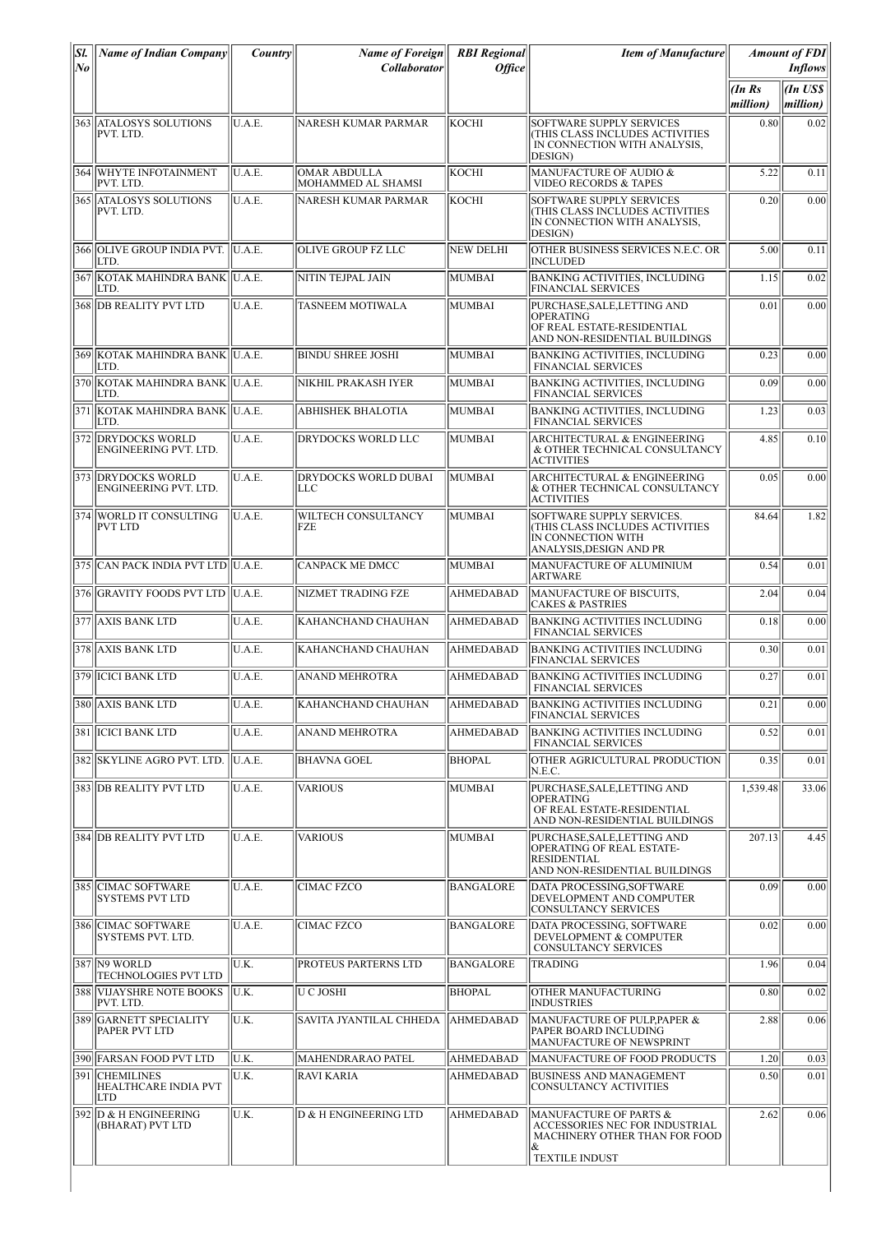| Sl.<br>No | <b>Name of Indian Company</b>                  | Country      | <b>Name of Foreign</b><br><b>Collaborator</b> | <b>RBI</b> Regional<br><b>Office</b> | <b>Item of Manufacture</b>                                                                                     |                   | <b>Amount of FDI</b><br><b>Inflows</b> |
|-----------|------------------------------------------------|--------------|-----------------------------------------------|--------------------------------------|----------------------------------------------------------------------------------------------------------------|-------------------|----------------------------------------|
|           |                                                |              |                                               |                                      |                                                                                                                | (InRs<br>million) | (In US\$<br>million)                   |
|           | 363 ATALOSYS SOLUTIONS<br>PVT. LTD.            | U.A.E.       | NARESH KUMAR PARMAR                           | KOCHI                                | <b>SOFTWARE SUPPLY SERVICES</b><br>(THIS CLASS INCLUDES ACTIVITIES<br>IN CONNECTION WITH ANALYSIS.<br>DESIGN)  | 0.80              | 0.02                                   |
|           | 364 WHYTE INFOTAINMENT<br>PVT. LTD.            | U.A.E.       | <b>OMAR ABDULLA</b><br>MOHAMMED AL SHAMSI     | KOCHI                                | MANUFACTURE OF AUDIO &<br>VIDEO RECORDS & TAPES                                                                | 5.22              | 0.11                                   |
|           | 365 ATALOSYS SOLUTIONS<br>PVT. LTD.            | U.A.E.       | NARESH KUMAR PARMAR                           | IKOCHI                               | SOFTWARE SUPPLY SERVICES<br>(THIS CLASS INCLUDES ACTIVITIES<br>IN CONNECTION WITH ANALYSIS,<br>DESIGN)         | 0.20              | 0.00                                   |
|           | 366 OLIVE GROUP INDIA PVT. U.A.E.<br>LTD.      |              | OLIVE GROUP FZ LLC                            | <b>NEW DELHI</b>                     | OTHER BUSINESS SERVICES N.E.C. OR<br><b>INCLUDED</b>                                                           | 5.00              | 0.11                                   |
|           | 367 KOTAK MAHINDRA BANK U.A.E.<br>LTD.         |              | NITIN TEJPAL JAIN                             | MUMBAI                               | <b>BANKING ACTIVITIES, INCLUDING</b><br><b>FINANCIAL SERVICES</b>                                              | 1.15              | 0.02                                   |
|           | 368 DB REALITY PVT LTD                         | U.A.E.       | <b>TASNEEM MOTIWALA</b>                       | <b>MUMBAI</b>                        | PURCHASE, SALE, LETTING AND<br><b>OPERATING</b><br>OF REAL ESTATE-RESIDENTIAL<br>AND NON-RESIDENTIAL BUILDINGS | 0.01              | 0.00                                   |
|           | 369 KOTAK MAHINDRA BANK U.A.E.<br>LTD.         |              | <b>BINDU SHREE JOSHI</b>                      | MUMBAI                               | <b>BANKING ACTIVITIES, INCLUDING</b><br><b>FINANCIAL SERVICES</b>                                              | 0.23              | 0.00                                   |
|           | 370 KOTAK MAHINDRA BANK U.A.E.<br>LTD.         |              | NIKHIL PRAKASH IYER                           | MUMBAI                               | <b>BANKING ACTIVITIES, INCLUDING</b><br><b>FINANCIAL SERVICES</b>                                              | 0.09              | 0.00                                   |
|           | 371   KOTAK MAHINDRA BANK   U.A.E.<br>LTD.     |              | <b>ABHISHEK BHALOTIA</b>                      | MUMBAI                               | <b>BANKING ACTIVITIES, INCLUDING</b><br><b>FINANCIAL SERVICES</b>                                              | 1.23              | 0.03                                   |
|           | 372 DRYDOCKS WORLD<br>ENGINEERING PVT. LTD.    | U.A.E.       | DRYDOCKS WORLD LLC                            | <b>MUMBAI</b>                        | <b>ARCHITECTURAL &amp; ENGINEERING</b><br>& OTHER TECHNICAL CONSULTANCY<br><b>ACTIVITIES</b>                   | 4.85              | 0.10                                   |
|           | 373 DRYDOCKS WORLD<br>ENGINEERING PVT. LTD.    | U.A.E.       | <b>DRYDOCKS WORLD DUBAI</b><br>LLC            | MUMBAI                               | ARCHITECTURAL & ENGINEERING<br>& OTHER TECHNICAL CONSULTANCY<br><b>ACTIVITIES</b>                              | 0.05              | 0.00                                   |
|           | 374 WORLD IT CONSULTING<br><b>PVT LTD</b>      | U.A.E.       | <b>WILTECH CONSULTANCY</b><br>FZE             | MUMBAI                               | SOFTWARE SUPPLY SERVICES.<br>(THIS CLASS INCLUDES ACTIVITIES<br>IN CONNECTION WITH<br>ANALYSIS, DESIGN AND PR  | 84.64             | 1.82                                   |
|           | 375 CAN PACK INDIA PVT LTD U.A.E.              |              | <b>CANPACK ME DMCC</b>                        | MUMBAI                               | MANUFACTURE OF ALUMINIUM<br><b>ARTWARE</b>                                                                     | 0.54              | 0.01                                   |
|           | 376 GRAVITY FOODS PVT LTD U.A.E.               |              | NIZMET TRADING FZE                            | <b>AHMEDABAD</b>                     | MANUFACTURE OF BISCUITS,<br><b>CAKES &amp; PASTRIES</b>                                                        | 2.04              | 0.04                                   |
|           | 377 AXIS BANK LTD                              | U.A.E.       | <b>KAHANCHAND CHAUHAN</b>                     | AHMEDABAD                            | <b>BANKING ACTIVITIES INCLUDING</b><br><b>FINANCIAL SERVICES</b>                                               | 0.18              | 0.00                                   |
|           | 378 AXIS BANK LTD                              | U.A.E.       | <b>KAHANCHAND CHAUHAN</b>                     | <b>AHMEDABAD</b>                     | <b>BANKING ACTIVITIES INCLUDING</b><br><b>FINANCIAL SERVICES</b>                                               | 0.30              | 0.01                                   |
|           | 379 IICICI BANK LTD                            | U.A.E.       | ANAND MEHROTRA                                | AHMEDABAD                            | <b>BANKING ACTIVITIES INCLUDING</b><br><b>FINANCIAL SERVICES</b>                                               | 0.27              | 0.01                                   |
|           | 380  AXIS BANK LTD                             | U.A.E.       | KAHANCHAND CHAUHAN                            | <b>AHMEDABAD</b>                     | <b>BANKING ACTIVITIES INCLUDING</b><br><b>FINANCIAL SERVICES</b>                                               | 0.21              | 0.00                                   |
|           | 381 ICICI BANK LTD                             | U.A.E.       | <b>ANAND MEHROTRA</b>                         | <b>AHMEDABAD</b>                     | <b>BANKING ACTIVITIES INCLUDING</b><br><b>FINANCIAL SERVICES</b>                                               | 0.52              | 0.01                                   |
|           | 382 SKYLINE AGRO PVT. LTD.                     | U.A.E.       | <b>BHAVNA GOEL</b>                            | <b>BHOPAL</b>                        | OTHER AGRICULTURAL PRODUCTION<br>N.E.C.                                                                        | 0.35              | 0.01                                   |
|           | 383 DB REALITY PVT LTD                         | U.A.E.       | <b>VARIOUS</b>                                | MUMBAI                               | PURCHASE, SALE, LETTING AND<br><b>OPERATING</b><br>OF REAL ESTATE-RESIDENTIAL<br>AND NON-RESIDENTIAL BUILDINGS | 1,539.48          | 33.06                                  |
|           | 384 DB REALITY PVT LTD                         | U.A.E.       | <b>VARIOUS</b>                                | <b>MUMBAI</b>                        | PURCHASE, SALE, LETTING AND<br>OPERATING OF REAL ESTATE-<br>RESIDENTIAL<br>AND NON-RESIDENTIAL BUILDINGS       | 207.13            | 4.45                                   |
|           | 385   CIMAC SOFTWARE<br><b>SYSTEMS PVT LTD</b> | U.A.E.       | <b>CIMAC FZCO</b>                             | <b>BANGALORE</b>                     | DATA PROCESSING, SOFTWARE<br>DEVELOPMENT AND COMPUTER<br><b>CONSULTANCY SERVICES</b>                           | 0.09              | 0.00                                   |
|           | 386 CIMAC SOFTWARE<br>SYSTEMS PVT. LTD.        | U.A.E.       | <b>CIMAC FZCO</b>                             | <b>BANGALORE</b>                     | DATA PROCESSING, SOFTWARE<br>DEVELOPMENT & COMPUTER<br>CONSULTANCY SERVICES                                    | 0.02              | 0.00                                   |
|           | 387    N9 WORLD<br>TECHNOLOGIES PVT LTD        | IU.K.        | <b>PROTEUS PARTERNS LTD</b>                   | <b>BANGALORE</b>                     | <b>TRADING</b>                                                                                                 | 1.96              | 0.04                                   |
|           | 388 VIJAYSHRE NOTE BOOKS<br>PVT. LTD.          | U.K.         | U C JOSHI                                     | <b>BHOPAL</b>                        | OTHER MANUFACTURING<br><b>INDUSTRIES</b>                                                                       | 0.80              | 0.02                                   |
|           | 389 GARNETT SPECIALITY<br>PAPER PVT LTD        | U.K.         | SAVITA JYANTILAL CHHEDA                       | <b>AHMEDABAD</b>                     | MANUFACTURE OF PULP, PAPER &<br>PAPER BOARD INCLUDING<br>MANUFACTURE OF NEWSPRINT                              | 2.88              | 0.06                                   |
|           | 390 FARSAN FOOD PVT LTD<br>391 CHEMILINES      | U.K.<br>U.K. | MAHENDRARAO PATEL<br>RAVI KARIA               | <b>AHMEDABAD</b><br><b>AHMEDABAD</b> | MANUFACTURE OF FOOD PRODUCTS<br><b>BUSINESS AND MANAGEMENT</b>                                                 | 1.20<br>0.50      | 0.03<br>0.01                           |
|           | <b>HEALTHCARE INDIA PVT</b><br>LTD             |              |                                               |                                      | CONSULTANCY ACTIVITIES                                                                                         |                   |                                        |
|           | 392 D & H ENGINEERING<br>(BHARAT) PVT LTD      | U.K.         | D & H ENGINEERING LTD                         | AHMEDABAD                            | <b>MANUFACTURE OF PARTS &amp;</b><br>ACCESSORIES NEC FOR INDUSTRIAL<br>MACHINERY OTHER THAN FOR FOOD<br>&      | 2.62              | 0.06                                   |
|           |                                                |              |                                               |                                      | <b>TEXTILE INDUST</b>                                                                                          |                   |                                        |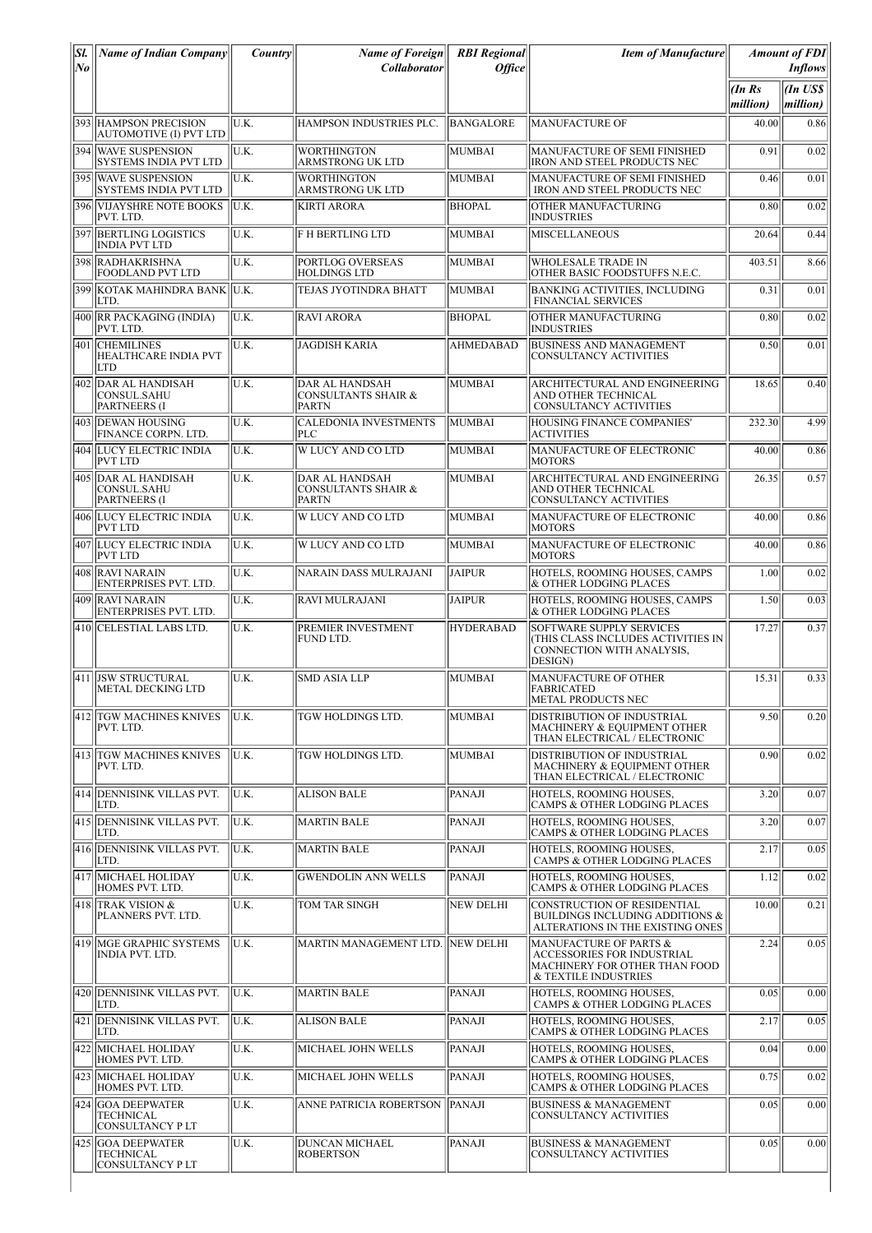| $\overline{SI}$<br> No | <b>Name of Indian Company</b>                          | Country | <b>Name of Foreign</b><br>Collaborator                                  | <b>RBI</b> Regional<br><i><b>Office</b></i> | <b>Item of Manufacture</b>                                                                                           |                      | <b>Amount of FDI</b><br><b>Inflows</b> |
|------------------------|--------------------------------------------------------|---------|-------------------------------------------------------------------------|---------------------------------------------|----------------------------------------------------------------------------------------------------------------------|----------------------|----------------------------------------|
|                        |                                                        |         |                                                                         |                                             |                                                                                                                      | $\ln Rs$<br>million) | $\ln$ US\$<br>$ million\rangle$        |
|                        | 393 HAMPSON PRECISION<br><b>AUTOMOTIVE (I) PVT LTD</b> | U.K.    | HAMPSON INDUSTRIES PLC.                                                 | <b>BANGALORE</b>                            | <b>MANUFACTURE OF</b>                                                                                                | 40.00                | 0.86                                   |
|                        | 394 WAVE SUSPENSION<br>SYSTEMS INDIA PVT LTD           | U.K.    | <b>WORTHINGTON</b><br>ARMSTRONG UK LTD                                  | <b>MUMBAI</b>                               | MANUFACTURE OF SEMI FINISHED<br>IRON AND STEEL PRODUCTS NEC                                                          | 0.91                 | 0.02                                   |
|                        | 395 WAVE SUSPENSION<br><b>SYSTEMS INDIA PVT LTD</b>    | U.K.    | <b>WORTHINGTON</b><br>ARMSTRONG UK LTD                                  | MUMBAI                                      | MANUFACTURE OF SEMI FINISHED<br>IRON AND STEEL PRODUCTS NEC                                                          | 0.46                 | 0.01                                   |
|                        | <b>396 VIJAYSHRE NOTE BOOKS</b><br>PVT. LTD.           | U.K.    | KIRTI ARORA                                                             | BHOPAL                                      | OTHER MANUFACTURING<br><b>INDUSTRIES</b>                                                                             | 0.80                 | 0.02                                   |
|                        | 397 BERTLING LOGISTICS<br><b>INDIA PVT LTD</b>         | U.K.    | <b>F H BERTLING LTD</b>                                                 | MUMBAI                                      | <b>MISCELLANEOUS</b>                                                                                                 | 20.64                | 0.44                                   |
|                        | 398 RADHAKRISHNA<br><b>FOODLAND PVT LTD</b>            | U.K.    | PORTLOG OVERSEAS<br><b>HOLDINGS LTD</b>                                 | MUMBAI                                      | <b>WHOLESALE TRADE IN</b><br>OTHER BASIC FOODSTUFFS N.E.C.                                                           | 403.51               | 8.66                                   |
|                        | 399  KOTAK MAHINDRA BANK  U.K.<br>LTD.                 |         | <b>TEJAS JYOTINDRA BHATT</b>                                            | MUMBAI                                      | <b>BANKING ACTIVITIES, INCLUDING</b><br><b>FINANCIAL SERVICES</b>                                                    | 0.31                 | 0.01                                   |
|                        | 400 RR PACKAGING (INDIA)<br>PVT. LTD.                  | U.K.    | <b>RAVI ARORA</b>                                                       | <b>BHOPAL</b>                               | OTHER MANUFACTURING<br><b>INDUSTRIES</b>                                                                             | 0.80                 | 0.02                                   |
|                        | 401 CHEMILINES<br><b>HEALTHCARE INDIA PVT</b><br>LTD   | U.K.    | <b>JAGDISH KARIA</b>                                                    | AHMEDABAD                                   | <b>BUSINESS AND MANAGEMENT</b><br>CONSULTANCY ACTIVITIES                                                             | 0.50                 | 0.01                                   |
|                        | 402 DAR AL HANDISAH<br>CONSUL.SAHU<br>PARTNEERS (I     | U.K.    | DAR AL HANDSAH<br><b>CONSULTANTS SHAIR &amp;</b><br><b>PARTN</b>        | MUMBAI                                      | ARCHITECTURAL AND ENGINEERING<br>AND OTHER TECHNICAL<br><b>CONSULTANCY ACTIVITIES</b>                                | 18.65                | 0.40                                   |
|                        | 403   DEWAN HOUSING<br>FINANCE CORPN. LTD.             | U.K.    | <b>CALEDONIA INVESTMENTS</b><br>PLC                                     | MUMBAI                                      | HOUSING FINANCE COMPANIES'<br><b>ACTIVITIES</b>                                                                      | 232.30               | 4.99                                   |
|                        | 404  LUCY ELECTRIC INDIA<br><b>PVT LTD</b>             | U.K.    | <b>W LUCY AND CO LTD</b>                                                | MUMBAI                                      | MANUFACTURE OF ELECTRONIC<br><b>MOTORS</b>                                                                           | 40.00                | 0.86                                   |
|                        | 405 DAR AL HANDISAH<br>CONSUL.SAHU<br>PARTNEERS (I     | U.K.    | <b>DAR AL HANDSAH</b><br><b>CONSULTANTS SHAIR &amp;</b><br><b>PARTN</b> | MUMBAI                                      | ARCHITECTURAL AND ENGINEERING<br>AND OTHER TECHNICAL<br>CONSULTANCY ACTIVITIES                                       | 26.35                | 0.57                                   |
|                        | 406 LUCY ELECTRIC INDIA<br><b>PVT LTD</b>              | U.K.    | W LUCY AND CO LTD                                                       | MUMBAI                                      | MANUFACTURE OF ELECTRONIC<br><b>MOTORS</b>                                                                           | 40.00                | 0.86                                   |
|                        | 407 LUCY ELECTRIC INDIA<br><b>PVT LTD</b>              | U.K.    | <b>W LUCY AND CO LTD</b>                                                | MUMBAI                                      | MANUFACTURE OF ELECTRONIC<br><b>MOTORS</b>                                                                           | 40.00                | 0.86                                   |
|                        | 408 RAVI NARAIN<br>ENTERPRISES PVT. LTD.               | U.K.    | NARAIN DASS MULRAJANI                                                   | <b>JAIPUR</b>                               | HOTELS, ROOMING HOUSES, CAMPS<br>& OTHER LODGING PLACES                                                              | 1.00                 | 0.02                                   |
|                        | 409 RAVI NARAIN<br>ENTERPRISES PVT. LTD.               | U.K.    | <b>RAVI MULRAJANI</b>                                                   | <b>JAIPUR</b>                               | HOTELS, ROOMING HOUSES, CAMPS<br>& OTHER LODGING PLACES                                                              | 1.50                 | 0.03                                   |
|                        | 410 CELESTIAL LABS LTD.                                | U.K.    | PREMIER INVESTMENT<br>FUND LTD.                                         | <b>HYDERABAD</b>                            | <b>SOFTWARE SUPPLY SERVICES</b><br>(THIS CLASS INCLUDES ACTIVITIES IN<br>CONNECTION WITH ANALYSIS,<br>DESIGN)        | 17.27                | 0.37                                   |
| 411                    | <b>JSW STRUCTURAL</b><br>METAL DECKING LTD             | U.K.    | SMD ASIA LLP                                                            | <b>MUMBAI</b>                               | MANUFACTURE OF OTHER<br>FABRICATED<br>METAL PRODUCTS NEC                                                             | 15.31                | 0.33                                   |
|                        | 412 TGW MACHINES KNIVES<br>PVT. LTD.                   | U.K.    | TGW HOLDINGS LTD.                                                       | MUMBAI                                      | <b>DISTRIBUTION OF INDUSTRIAL</b><br>MACHINERY & EQUIPMENT OTHER<br>THAN ELECTRICAL / ELECTRONIC                     | 9.50                 | 0.20                                   |
|                        | 413 TGW MACHINES KNIVES<br>PVT. LTD.                   | U.K.    | TGW HOLDINGS LTD.                                                       | MUMBAI                                      | <b>DISTRIBUTION OF INDUSTRIAL</b><br>MACHINERY & EQUIPMENT OTHER<br>THAN ELECTRICAL / ELECTRONIC                     | 0.90                 | 0.02                                   |
|                        | 414 DENNISINK VILLAS PVT.<br>LTD.                      | U.K.    | <b>ALISON BALE</b>                                                      | PANAJI                                      | HOTELS, ROOMING HOUSES.<br>CAMPS & OTHER LODGING PLACES                                                              | 3.20                 | 0.07                                   |
|                        | 415 DENNISINK VILLAS PVT.<br>LTD.                      | U.K.    | <b>MARTIN BALE</b>                                                      | PANAJI                                      | HOTELS. ROOMING HOUSES.<br><b>CAMPS &amp; OTHER LODGING PLACES</b>                                                   | 3.20                 | 0.07                                   |
|                        | 416 IDENNISINK VILLAS PVT.<br>LTD.                     | U.K.    | <b>MARTIN BALE</b>                                                      | PANAJI                                      | HOTELS. ROOMING HOUSES.<br><b>CAMPS &amp; OTHER LODGING PLACES</b>                                                   | 2.17                 | 0.05                                   |
|                        | 417 MICHAEL HOLIDAY<br>HOMES PVT. LTD.                 | U.K.    | <b>GWENDOLIN ANN WELLS</b>                                              | PANAJI                                      | HOTELS, ROOMING HOUSES.<br>CAMPS & OTHER LODGING PLACES                                                              | 1.12                 | 0.02                                   |
|                        | $418$ TRAK VISION &<br>PLANNERS PVT. LTD.              | U.K.    | TOM TAR SINGH                                                           | <b>NEW DELHI</b>                            | CONSTRUCTION OF RESIDENTIAL<br>BUILDINGS INCLUDING ADDITIONS &<br>ALTERATIONS IN THE EXISTING ONES                   | 10.00                | 0.21                                   |
|                        | 419 MGE GRAPHIC SYSTEMS<br>INDIA PVT. LTD.             | U.K.    | MARTIN MANAGEMENT LTD. NEW DELHI                                        |                                             | MANUFACTURE OF PARTS &<br><b>ACCESSORIES FOR INDUSTRIAL</b><br>MACHINERY FOR OTHER THAN FOOD<br>& TEXTILE INDUSTRIES | 2.24                 | 0.05                                   |
|                        | 420  DENNISINK VILLAS PVT.<br>LTD.                     | U.K.    | <b>MARTIN BALE</b>                                                      | PANAJI                                      | HOTELS, ROOMING HOUSES.<br><b>CAMPS &amp; OTHER LODGING PLACES</b>                                                   | 0.05                 | 0.00                                   |
|                        | 421 DENNISINK VILLAS PVT.<br>LTD.                      | U.K.    | <b>ALISON BALE</b>                                                      | PANAJI                                      | HOTELS, ROOMING HOUSES.<br>CAMPS & OTHER LODGING PLACES                                                              | 2.17                 | 0.05                                   |
|                        | 422 MICHAEL HOLIDAY<br>HOMES PVT. LTD.                 | U.K.    | MICHAEL JOHN WELLS                                                      | PANAJI                                      | HOTELS, ROOMING HOUSES.<br>CAMPS & OTHER LODGING PLACES                                                              | 0.04                 | 0.00                                   |
|                        | 423   MICHAEL HOLIDAY<br>HOMES PVT. LTD.               | U.K.    | MICHAEL JOHN WELLS                                                      | PANAJI                                      | HOTELS, ROOMING HOUSES.<br>CAMPS & OTHER LODGING PLACES                                                              | 0.75                 | 0.02                                   |
|                        | 424 GOA DEEPWATER<br>TECHNICAL<br>CONSULTANCY P LT     | U.K.    | ANNE PATRICIA ROBERTSON   PANAJI                                        |                                             | <b>BUSINESS &amp; MANAGEMENT</b><br>CONSULTANCY ACTIVITIES                                                           | 0.05                 | 0.00                                   |
|                        | 425 GOA DEEPWATER<br>TECHNICAL<br>CONSULTANCY P LT     | U.K.    | DUNCAN MICHAEL<br><b>ROBERTSON</b>                                      | PANAJI                                      | <b>BUSINESS &amp; MANAGEMENT</b><br>CONSULTANCY ACTIVITIES                                                           | 0.05                 | 0.00                                   |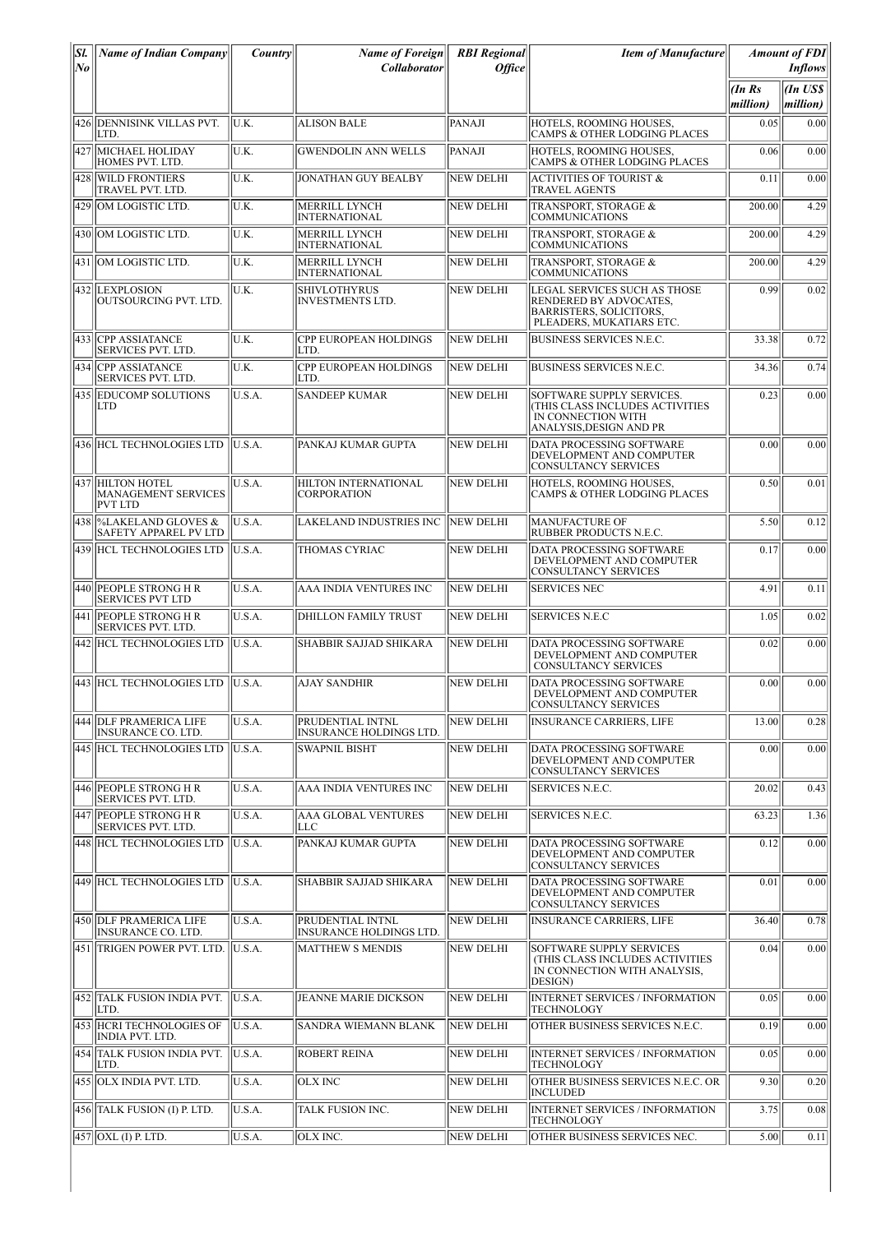| Sl. | <b>Name of Indian Company</b>                                    | Country | Name of Foreign                                | <b>RBI</b> Regional | <b>Item of Manufacture</b>                                                                                           |                        | <b>Amount of FDI</b>  |
|-----|------------------------------------------------------------------|---------|------------------------------------------------|---------------------|----------------------------------------------------------------------------------------------------------------------|------------------------|-----------------------|
| No  |                                                                  |         | Collaborator                                   | <b>Office</b>       |                                                                                                                      |                        | <b>Inflows</b>        |
|     |                                                                  |         |                                                |                     |                                                                                                                      | $(In$ $Rs$<br>million) | $\ln USS$<br>million) |
|     | 426   DENNISINK VILLAS PVT.<br>LTD.                              | U.K.    | <b>ALISON BALE</b>                             | PANAJI              | HOTELS, ROOMING HOUSES.<br><b>CAMPS &amp; OTHER LODGING PLACES</b>                                                   | 0.05                   | 0.00                  |
|     | 427 MICHAEL HOLIDAY<br>HOMES PVT. LTD.                           | U.K.    | <b>GWENDOLIN ANN WELLS</b>                     | PANAJI              | HOTELS, ROOMING HOUSES.<br>CAMPS & OTHER LODGING PLACES                                                              | 0.06                   | 0.00                  |
| 428 | <b>WILD FRONTIERS</b><br>TRAVEL PVT. LTD.                        | U.K.    | JONATHAN GUY BEALBY                            | NEW DELHI           | <b>ACTIVITIES OF TOURIST &amp;</b><br><b>TRAVEL AGENTS</b>                                                           | 0.11                   | 0.00                  |
|     | 429 OM LOGISTIC LTD.                                             | U.K.    | <b>MERRILL LYNCH</b><br><b>INTERNATIONAL</b>   | <b>NEW DELHI</b>    | TRANSPORT, STORAGE &<br><b>COMMUNICATIONS</b>                                                                        | 200.00                 | 4.29                  |
|     | 430 OM LOGISTIC LTD.                                             | U.K.    | <b>MERRILL LYNCH</b><br><b>INTERNATIONAL</b>   | <b>NEW DELHI</b>    | TRANSPORT, STORAGE &<br><b>COMMUNICATIONS</b>                                                                        | 200.00                 | 4.29                  |
|     | 431 OM LOGISTIC LTD.                                             | U.K.    | MERRILL LYNCH<br><b>INTERNATIONAL</b>          | <b>NEW DELHI</b>    | TRANSPORT, STORAGE &<br><b>COMMUNICATIONS</b>                                                                        | 200.00                 | 4.29                  |
|     | 432 LEXPLOSION<br>OUTSOURCING PVT. LTD.                          | U.K.    | <b>SHIVLOTHYRUS</b><br><b>INVESTMENTS LTD.</b> | <b>NEW DELHI</b>    | LEGAL SERVICES SUCH AS THOSE<br>RENDERED BY ADVOCATES,<br><b>BARRISTERS, SOLICITORS,</b><br>PLEADERS, MUKATIARS ETC. | 0.99                   | 0.02                  |
|     | 433 CPP ASSIATANCE<br><b>SERVICES PVT. LTD.</b>                  | U.K.    | <b>CPP EUROPEAN HOLDINGS</b><br>LTD.           | NEW DELHI           | <b>BUSINESS SERVICES N.E.C.</b>                                                                                      | 33.38                  | 0.72                  |
|     | 434 ICPP ASSIATANCE<br><b>SERVICES PVT. LTD.</b>                 | U.K.    | CPP EUROPEAN HOLDINGS<br>LTD.                  | <b>NEW DELHI</b>    | <b>BUSINESS SERVICES N.E.C.</b>                                                                                      | 34.36                  | 0.74                  |
|     | 435 EDUCOMP SOLUTIONS<br>LTD                                     | U.S.A.  | SANDEEP KUMAR                                  | <b>NEW DELHI</b>    | SOFTWARE SUPPLY SERVICES.<br>(THIS CLASS INCLUDES ACTIVITIES<br>IN CONNECTION WITH<br>ANALYSIS,DESIGN AND PR         | 0.23                   | 0.00                  |
|     | 436 HCL TECHNOLOGIES LTD                                         | U.S.A.  | PANKAJ KUMAR GUPTA                             | NEW DELHI           | DATA PROCESSING SOFTWARE<br>DEVELOPMENT AND COMPUTER<br>CONSULTANCY SERVICES                                         | 0.00                   | 0.00                  |
|     | 437 HILTON HOTEL<br><b>MANAGEMENT SERVICES</b><br><b>PVT LTD</b> | U.S.A.  | HILTON INTERNATIONAL<br><b>CORPORATION</b>     | <b>NEW DELHI</b>    | HOTELS, ROOMING HOUSES.<br><b>CAMPS &amp; OTHER LODGING PLACES</b>                                                   | 0.50                   | 0.01                  |
|     | 438 %LAKELAND GLOVES &<br><b>SAFETY APPAREL PV LTD</b>           | U.S.A.  | LAKELAND INDUSTRIES INC INEW DELHI             |                     | <b>MANUFACTURE OF</b><br>RUBBER PRODUCTS N.E.C.                                                                      | 5.50                   | 0.12                  |
|     | 439 HCL TECHNOLOGIES LTD                                         | U.S.A.  | THOMAS CYRIAC                                  | <b>NEW DELHI</b>    | DATA PROCESSING SOFTWARE<br>DEVELOPMENT AND COMPUTER<br>CONSULTANCY SERVICES                                         | 0.17                   | 0.00                  |
|     | 440 PEOPLE STRONG H R<br><b>SERVICES PVT LTD</b>                 | U.S.A.  | AAA INDIA VENTURES INC                         | <b>NEW DELHI</b>    | <b>SERVICES NEC</b>                                                                                                  | 4.91                   | 0.11                  |
|     | 441  PEOPLE STRONG H R<br>SERVICES PVT. LTD.                     | U.S.A.  | <b>DHILLON FAMILY TRUST</b>                    | <b>NEW DELHI</b>    | <b>SERVICES N.E.C</b>                                                                                                | 1.05                   | 0.02                  |
|     | 442 HCL TECHNOLOGIES LTD                                         | IU.S.A. | SHABBIR SAJJAD SHIKARA                         | NEW DELHI           | DATA PROCESSING SOFTWARE<br>DEVELOPMENT AND COMPUTER<br>CONSULTANCY SERVICES                                         | 0.02                   | 0.00                  |
|     | 443 HCL TECHNOLOGIES LTD                                         | U.S.A.  | <b>AJAY SANDHIR</b>                            | <b>NEW DELHI</b>    | DATA PROCESSING SOFTWARE<br>DEVELOPMENT AND COMPUTER<br>CONSULTANCY SERVICES                                         | 0.00                   | 0.00                  |
|     | 444 DLF PRAMERICA LIFE<br><b>INSURANCE CO. LTD.</b>              | U.S.A.  | PRUDENTIAL INTNL<br>INSURANCE HOLDINGS LTD.    | <b>NEW DELHI</b>    | <b>INSURANCE CARRIERS, LIFE</b>                                                                                      | 13.00                  | 0.28                  |
|     | 445  HCL TECHNOLOGIES LTD                                        | U.S.A.  | <b>SWAPNIL BISHT</b>                           | <b>NEW DELHI</b>    | DATA PROCESSING SOFTWARE<br>DEVELOPMENT AND COMPUTER<br><b>CONSULTANCY SERVICES</b>                                  | 0.00                   | 0.00                  |
|     | 446 PEOPLE STRONG H R<br><b>SERVICES PVT. LTD.</b>               | U.S.A.  | AAA INDIA VENTURES INC                         | <b>NEW DELHI</b>    | <b>SERVICES N.E.C.</b>                                                                                               | 20.02                  | 0.43                  |
|     | 447 PEOPLE STRONG H R<br><b>SERVICES PVT. LTD.</b>               | U.S.A.  | <b>AAA GLOBAL VENTURES</b><br>LLC              | NEW DELHI           | <b>SERVICES N.E.C.</b>                                                                                               | 63.23                  | 1.36                  |
|     | 448 HCL TECHNOLOGIES LTD                                         | U.S.A.  | PANKAJ KUMAR GUPTA                             | <b>NEW DELHI</b>    | DATA PROCESSING SOFTWARE<br>DEVELOPMENT AND COMPUTER<br>CONSULTANCY SERVICES                                         | 0.12                   | 0.00                  |
|     | 449 HCL TECHNOLOGIES LTD                                         | U.S.A.  | <b>SHABBIR SAJJAD SHIKARA</b>                  | NEW DELHI           | DATA PROCESSING SOFTWARE<br>DEVELOPMENT AND COMPUTER<br><b>CONSULTANCY SERVICES</b>                                  | 0.01                   | 0.00                  |
|     | 450 DLF PRAMERICA LIFE<br><b>INSURANCE CO. LTD.</b>              | U.S.A.  | PRUDENTIAL INTNL<br>INSURANCE HOLDINGS LTD.    | <b>NEW DELHI</b>    | <b>INSURANCE CARRIERS, LIFE</b>                                                                                      | 36.40                  | 0.78                  |
|     | 451 TRIGEN POWER PVT. LTD.                                       | U.S.A.  | <b>MATTHEW S MENDIS</b>                        | <b>NEW DELHI</b>    | SOFTWARE SUPPLY SERVICES<br>(THIS CLASS INCLUDES ACTIVITIES<br>IN CONNECTION WITH ANALYSIS,<br>DESIGN)               | 0.04                   | 0.00                  |
|     | 452 TALK FUSION INDIA PVT.<br>LTD.                               | U.S.A.  | JEANNE MARIE DICKSON                           | <b>NEW DELHI</b>    | <b>INTERNET SERVICES / INFORMATION</b><br>TECHNOLOGY                                                                 | 0.05                   | 0.00                  |
|     | 453 HCRI TECHNOLOGIES OF<br>INDIA PVT. LTD.                      | U.S.A.  | SANDRA WIEMANN BLANK                           | <b>NEW DELHI</b>    | OTHER BUSINESS SERVICES N.E.C.                                                                                       | 0.19                   | 0.00                  |
|     | 454 TALK FUSION INDIA PVT.<br>LTD.                               | U.S.A.  | <b>ROBERT REINA</b>                            | <b>NEW DELHI</b>    | <b>INTERNET SERVICES / INFORMATION</b><br><b>TECHNOLOGY</b>                                                          | 0.05                   | 0.00                  |
|     | 455 OLX INDIA PVT. LTD.                                          | U.S.A.  | <b>OLX INC</b>                                 | <b>NEW DELHI</b>    | OTHER BUSINESS SERVICES N.E.C. OR<br><b>INCLUDED</b>                                                                 | 9.30                   | 0.20                  |
|     | 456 TALK FUSION (I) P. LTD.                                      | U.S.A.  | TALK FUSION INC.                               | <b>NEW DELHI</b>    | <b>INTERNET SERVICES / INFORMATION</b><br><b>TECHNOLOGY</b>                                                          | 3.75                   | 0.08                  |
|     | $457$ OXL (I) P. LTD.                                            | U.S.A.  | OLX INC.                                       | NEW DELHI           | OTHER BUSINESS SERVICES NEC.                                                                                         | 5.00                   | 0.11                  |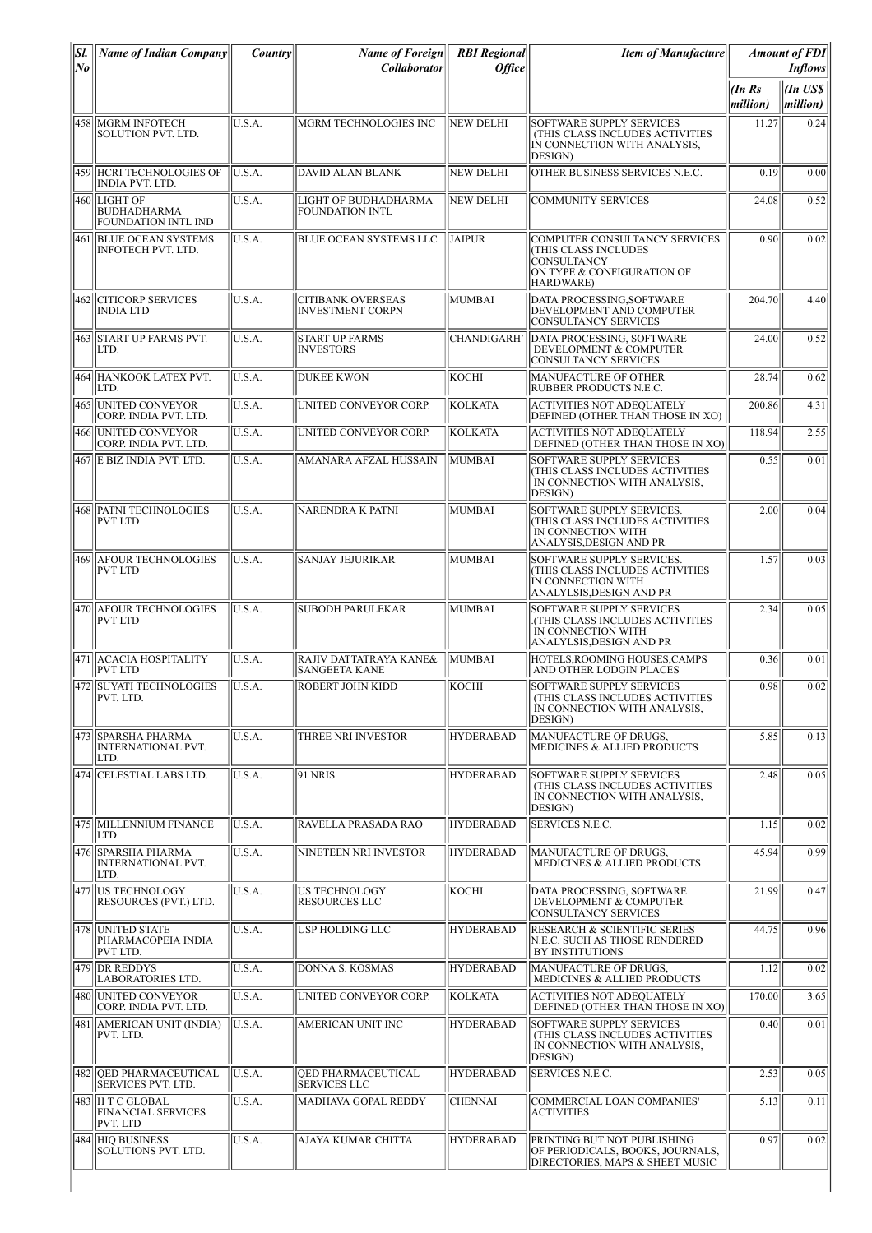| SI.<br>No | <b>Name of Indian Company</b>                             | $\bm{Country}$ | <b>Name of Foreign</b><br><b>Collaborator</b>         | <b>RBI</b> Regional<br><b>Office</b> | <b>Item of Manufacture</b>                                                                                            |                   | <b>Amount of FDI</b><br><i>Inflows</i> |
|-----------|-----------------------------------------------------------|----------------|-------------------------------------------------------|--------------------------------------|-----------------------------------------------------------------------------------------------------------------------|-------------------|----------------------------------------|
|           |                                                           |                |                                                       |                                      |                                                                                                                       | (InRs<br>million) | (In US\$<br>million)                   |
|           | 458  MGRM INFOTECH<br>SOLUTION PVT. LTD.                  | U.S.A.         | MGRM TECHNOLOGIES INC                                 | <b>NEW DELHI</b>                     | <b>SOFTWARE SUPPLY SERVICES</b><br>(THIS CLASS INCLUDES ACTIVITIES<br>IN CONNECTION WITH ANALYSIS,<br>DESIGN)         | 11.27             | 0.24                                   |
|           | 459  HCRI TECHNOLOGIES OF<br><b>INDIA PVT. LTD.</b>       | U.S.A.         | DAVID ALAN BLANK                                      | <b>NEW DELHI</b>                     | OTHER BUSINESS SERVICES N.E.C.                                                                                        | 0.19              | 0.00                                   |
|           | 460 LIGHT OF<br><b>BUDHADHARMA</b><br>FOUNDATION INTL IND | U.S.A.         | <b>LIGHT OF BUDHADHARMA</b><br><b>FOUNDATION INTL</b> | <b>NEW DELHI</b>                     | <b>COMMUNITY SERVICES</b>                                                                                             | 24.08             | 0.52                                   |
| 461       | <b>BLUE OCEAN SYSTEMS</b><br>INFOTECH PVT. LTD.           | U.S.A.         | <b>BLUE OCEAN SYSTEMS LLC</b>                         | <b>JAIPUR</b>                        | <b>COMPUTER CONSULTANCY SERVICES</b><br>THIS CLASS INCLUDES<br>CONSULTANCY<br>ON TYPE & CONFIGURATION OF<br>HARDWARE) | 0.90              | 0.02                                   |
| 462       | <b>CITICORP SERVICES</b><br><b>INDIA LTD</b>              | U.S.A.         | <b>CITIBANK OVERSEAS</b><br><b>INVESTMENT CORPN</b>   | MUMBAI                               | DATA PROCESSING, SOFTWARE<br>DEVELOPMENT AND COMPUTER<br>CONSULTANCY SERVICES                                         | 204.70            | 4.40                                   |
|           | 463 START UP FARMS PVT.<br>LTD.                           | U.S.A.         | <b>START UP FARMS</b><br><b>INVESTORS</b>             | <b>CHANDIGARH</b>                    | DATA PROCESSING, SOFTWARE<br>DEVELOPMENT & COMPUTER<br>CONSULTANCY SERVICES                                           | 24.00             | 0.52                                   |
|           | 464  HANKOOK LATEX PVT.<br>LTD.                           | U.S.A.         | <b>DUKEE KWON</b>                                     | косні                                | MANUFACTURE OF OTHER<br>RUBBER PRODUCTS N.E.C.                                                                        | 28.74             | 0.62                                   |
|           | 465 UNITED CONVEYOR<br>CORP. INDIA PVT. LTD.              | U.S.A.         | UNITED CONVEYOR CORP.                                 | <b>KOLKATA</b>                       | <b>ACTIVITIES NOT ADEQUATELY</b><br>DEFINED (OTHER THAN THOSE IN XO)                                                  | 200.86            | 4.31                                   |
| 466       | <b>UNITED CONVEYOR</b><br>CORP. INDIA PVT. LTD.           | U.S.A.         | UNITED CONVEYOR CORP.                                 | <b>KOLKATA</b>                       | <b>ACTIVITIES NOT ADEQUATELY</b><br>DEFINED (OTHER THAN THOSE IN XO)                                                  | 118.94            | 2.55                                   |
|           | 467 E BIZ INDIA PVT. LTD.                                 | U.S.A.         | AMANARA AFZAL HUSSAIN                                 | MUMBAI                               | SOFTWARE SUPPLY SERVICES<br>THIS CLASS INCLUDES ACTIVITIES<br>IN CONNECTION WITH ANALYSIS,<br>DESIGN)                 | 0.55              | 0.01                                   |
|           | 468 PATNI TECHNOLOGIES<br><b>PVT LTD</b>                  | U.S.A.         | NARENDRA K PATNI                                      | MUMBAI                               | SOFTWARE SUPPLY SERVICES.<br>THIS CLASS INCLUDES ACTIVITIES<br>IN CONNECTION WITH<br>ANALYSIS, DESIGN AND PR          | 2.00              | 0.04                                   |
|           | 469 AFOUR TECHNOLOGIES<br><b>PVT LTD</b>                  | U.S.A.         | <b>SANJAY JEJURIKAR</b>                               | <b>MUMBAI</b>                        | SOFTWARE SUPPLY SERVICES.<br>(THIS CLASS INCLUDES ACTIVITIES<br>IN CONNECTION WITH<br>ANALYLSIS,DESIGN AND PR         | 1.57              | 0.03                                   |
|           | 470 AFOUR TECHNOLOGIES<br><b>PVT LTD</b>                  | U.S.A.         | <b>SUBODH PARULEKAR</b>                               | MUMBAI                               | SOFTWARE SUPPLY SERVICES<br>(THIS CLASS INCLUDES ACTIVITIES<br>IN CONNECTION WITH<br>ANALYLSIS, DESIGN AND PR         | 2.34              | 0.05                                   |
|           | 471 ACACIA HOSPITALITY<br><b>PVT LTD</b>                  | U.S.A.         | RAJIV DATTATRAYA KANE&<br><b>SANGEETA KANE</b>        | MUMBAI                               | HOTELS, ROOMING HOUSES, CAMPS<br>AND OTHER LODGIN PLACES                                                              | 0.36              | 0.01                                   |
|           | 472 SUYATI TECHNOLOGIES U.S.A.<br>PVT. LTD.               |                | <b>ROBERT JOHN KIDD</b>                               | KOCHI                                | SOFTWARE SUPPLY SERVICES<br>(THIS CLASS INCLUDES ACTIVITIES<br>IN CONNECTION WITH ANALYSIS,<br>DESIGN)                | 0.98              | 0.02                                   |
|           | 473 SPARSHA PHARMA<br><b>INTERNATIONAL PVT.</b><br>LTD.   | U.S.A.         | THREE NRI INVESTOR                                    | <b>HYDERABAD</b>                     | MANUFACTURE OF DRUGS,<br>MEDICINES & ALLIED PRODUCTS                                                                  | 5.85              | 0.13                                   |
|           | 474 CELESTIAL LABS LTD.                                   | U.S.A.         | <b>91 NRIS</b>                                        | <b>HYDERABAD</b>                     | SOFTWARE SUPPLY SERVICES<br>(THIS CLASS INCLUDES ACTIVITIES<br>IN CONNECTION WITH ANALYSIS,<br>DESIGN)                | 2.48              | 0.05                                   |
|           | 475  MILLENNIUM FINANCE<br>LTD.                           | U.S.A.         | RAVELLA PRASADA RAO                                   | <b>HYDERABAD</b>                     | SERVICES N.E.C.                                                                                                       | 1.15              | 0.02                                   |
|           | 476 SPARSHA PHARMA<br><b>INTERNATIONAL PVT.</b><br>LTD.   | U.S.A.         | NINETEEN NRI INVESTOR                                 | <b>HYDERABAD</b>                     | MANUFACTURE OF DRUGS.<br><b>MEDICINES &amp; ALLIED PRODUCTS</b>                                                       | 45.94             | 0.99                                   |
|           | 477 US TECHNOLOGY<br>RESOURCES (PVT.) LTD.                | U.S.A.         | US TECHNOLOGY<br><b>RESOURCES LLC</b>                 | KOCHI                                | DATA PROCESSING, SOFTWARE<br>DEVELOPMENT & COMPUTER<br>CONSULTANCY SERVICES                                           | 21.99             | 0.47                                   |
|           | 478 UNITED STATE<br>PHARMACOPEIA INDIA<br>PVT LTD.        | U.S.A.         | USP HOLDING LLC                                       | <b>HYDERABAD</b>                     | RESEARCH & SCIENTIFIC SERIES<br>N.E.C. SUCH AS THOSE RENDERED<br>BY INSTITUTIONS                                      | 44.75             | 0.96                                   |
|           | 479 DR REDDYS<br><b>LABORATORIES LTD.</b>                 | U.S.A.         | DONNA S. KOSMAS                                       | <b>HYDERABAD</b>                     | <b>MANUFACTURE OF DRUGS,</b><br>MEDICINES & ALLIED PRODUCTS                                                           | 1.12              | 0.02                                   |
|           | 480 UNITED CONVEYOR<br>CORP. INDIA PVT. LTD.              | U.S.A.         | UNITED CONVEYOR CORP.                                 | <b>KOLKATA</b>                       | <b>ACTIVITIES NOT ADEQUATELY</b><br>DEFINED (OTHER THAN THOSE IN XO)                                                  | 170.00            | 3.65                                   |
|           | 481   AMERICAN UNIT (INDIA)<br>PVT. LTD.                  | U.S.A.         | AMERICAN UNIT INC                                     | <b>HYDERABAD</b>                     | SOFTWARE SUPPLY SERVICES<br>(THIS CLASS INCLUDES ACTIVITIES<br>IN CONNECTION WITH ANALYSIS,<br>DESIGN)                | 0.40              | 0.01                                   |
|           | 482 OED PHARMACEUTICAL<br><b>SERVICES PVT. LTD.</b>       | U.S.A.         | <b>OED PHARMACEUTICAL</b><br><b>SERVICES LLC</b>      | <b>HYDERABAD</b>                     | SERVICES N.E.C.                                                                                                       | 2.53              | 0.05                                   |
|           | 483 H T C GLOBAL<br><b>FINANCIAL SERVICES</b><br>PVT. LTD | U.S.A.         | MADHAVA GOPAL REDDY                                   | <b>CHENNAI</b>                       | COMMERCIAL LOAN COMPANIES'<br><b>ACTIVITIES</b>                                                                       | 5.13              | 0.11                                   |
|           | 484 HIO BUSINESS<br><b>SOLUTIONS PVT. LTD.</b>            | U.S.A.         | AJAYA KUMAR CHITTA                                    | <b>HYDERABAD</b>                     | PRINTING BUT NOT PUBLISHING<br>OF PERIODICALS, BOOKS, JOURNALS,<br>DIRECTORIES, MAPS & SHEET MUSIC                    | 0.97              | 0.02                                   |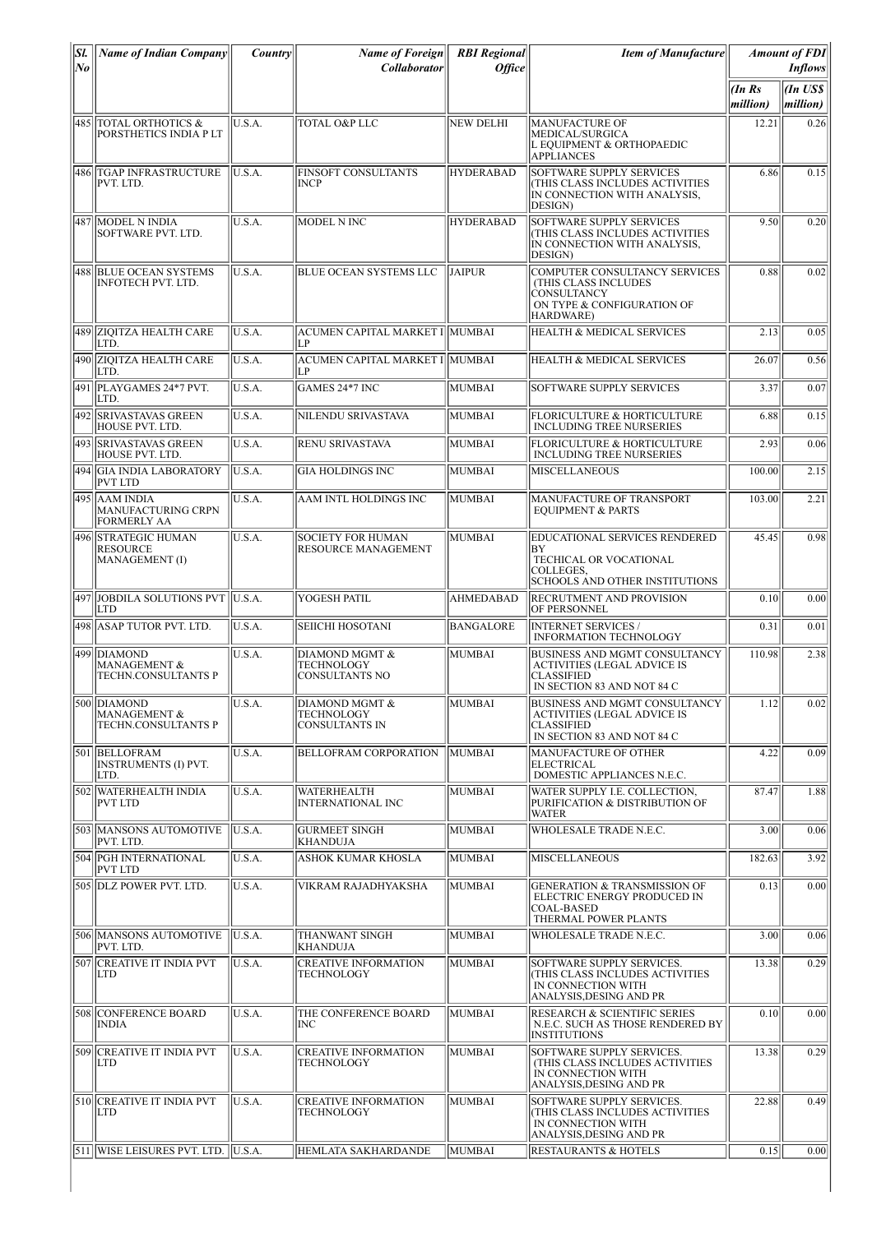| SI.<br> No | <b>Name of Indian Company</b>                                      | <i>Country</i> | <b>Name of Foreign</b><br><b>Collaborator</b>          | <b>RBI</b> Regional<br><b>Office</b> | <b>Item of Manufacture</b>                                                                                                    |                        | <b>Amount of FDI</b><br><b>Inflows</b> |
|------------|--------------------------------------------------------------------|----------------|--------------------------------------------------------|--------------------------------------|-------------------------------------------------------------------------------------------------------------------------------|------------------------|----------------------------------------|
|            |                                                                    |                |                                                        |                                      |                                                                                                                               | $(In$ $Rs$<br>million) | An US\$<br>million)                    |
|            | 485   TOTAL ORTHOTICS &<br>PORSTHETICS INDIA P LT                  | U.S.A.         | <b>TOTAL O&amp;P LLC</b>                               | <b>NEW DELHI</b>                     | <b>MANUFACTURE OF</b><br>MEDICAL/SURGICA<br>L EQUIPMENT & ORTHOPAEDIC<br><b>APPLIANCES</b>                                    | 12.21                  | 0.26                                   |
|            | 486   TGAP INFRASTRUCTURE<br>PVT. LTD.                             | IU.S.A.        | <b>FINSOFT CONSULTANTS</b><br><b>INCP</b>              | <b>HYDERABAD</b>                     | <b>SOFTWARE SUPPLY SERVICES</b><br>(THIS CLASS INCLUDES ACTIVITIES<br>IN CONNECTION WITH ANALYSIS,<br>DESIGN)                 | 6.86                   | 0.15                                   |
|            | 487   MODEL N INDIA<br>SOFTWARE PVT. LTD.                          | U.S.A.         | MODEL N INC                                            | <b>HYDERABAD</b>                     | SOFTWARE SUPPLY SERVICES<br><b>THIS CLASS INCLUDES ACTIVITIES</b><br>IN CONNECTION WITH ANALYSIS,<br>DESIGN)                  | 9.50                   | 0.20                                   |
|            | 488 BLUE OCEAN SYSTEMS<br><b>INFOTECH PVT. LTD.</b>                | U.S.A.         | <b>BLUE OCEAN SYSTEMS LLC</b>                          | <b>JAIPUR</b>                        | COMPUTER CONSULTANCY SERVICES<br>(THIS CLASS INCLUDES<br><b>CONSULTANCY</b><br>ON TYPE & CONFIGURATION OF<br>HARDWARE)        | 0.88                   | 0.02                                   |
|            | 489 ZIOITZA HEALTH CARE<br>LTD.                                    | U.S.A.         | ACUMEN CAPITAL MARKET I  MUMBAI<br>LP                  |                                      | HEALTH & MEDICAL SERVICES                                                                                                     | 2.13                   | 0.05                                   |
|            | 490 ZIQITZA HEALTH CARE<br>LTD.                                    | U.S.A.         | ACUMEN CAPITAL MARKET I  MUMBAI<br>I P                 |                                      | <b>HEALTH &amp; MEDICAL SERVICES</b>                                                                                          | 26.07                  | 0.56                                   |
|            | 491   PLAYGAMES 24*7 PVT.<br>LTD.                                  | U.S.A.         | GAMES 24*7 INC                                         | MUMBAI                               | SOFTWARE SUPPLY SERVICES                                                                                                      | 3.37                   | 0.07                                   |
|            | 492 SRIVASTAVAS GREEN<br>HOUSE PVT. LTD.                           | U.S.A.         | NILENDU SRIVASTAVA                                     | MUMBAI                               | <b>FLORICULTURE &amp; HORTICULTURE</b><br>INCLUDING TREE NURSERIES                                                            | 6.88                   | 0.15                                   |
|            | 493 SRIVASTAVAS GREEN<br>HOUSE PVT. LTD.                           | U.S.A.         | <b>RENU SRIVASTAVA</b>                                 | MUMBAI                               | FLORICULTURE & HORTICULTURE<br><b>INCLUDING TREE NURSERIES</b>                                                                | 2.93                   | 0.06                                   |
|            | 494 GIA INDIA LABORATORY<br><b>PVT LTD</b>                         | U.S.A.         | <b>GIA HOLDINGS INC</b>                                | MUMBAI                               | <b>MISCELLANEOUS</b>                                                                                                          | 100.00                 | 2.15                                   |
|            | 495   AAM INDIA<br><b>MANUFACTURING CRPN</b><br><b>FORMERLY AA</b> | U.S.A.         | AAM INTL HOLDINGS INC                                  | MUMBAI                               | MANUFACTURE OF TRANSPORT<br><b>EOUIPMENT &amp; PARTS</b>                                                                      | 103.00                 | 2.21                                   |
|            | 496 STRATEGIC HUMAN<br><b>RESOURCE</b><br>MANAGEMENT (I)           | U.S.A.         | <b>SOCIETY FOR HUMAN</b><br><b>RESOURCE MANAGEMENT</b> | MUMBAI                               | EDUCATIONAL SERVICES RENDERED<br>ΒY<br>TECHICAL OR VOCATIONAL<br>COLLEGES.<br><b>SCHOOLS AND OTHER INSTITUTIONS</b>           | 45.45                  | 0.98                                   |
|            | 497 JOBDILA SOLUTIONS PVT<br> LTD                                  | IIU.S.A.       | YOGESH PATIL                                           | AHMEDABAD                            | RECRUTMENT AND PROVISION<br>OF PERSONNEL                                                                                      | 0.10                   | 0.00                                   |
|            | 498 ASAP TUTOR PVT. LTD.                                           | U.S.A.         | <b>SEIICHI HOSOTANI</b>                                | <b>BANGALORE</b>                     | <b>INTERNET SERVICES/</b><br><b>INFORMATION TECHNOLOGY</b>                                                                    | 0.31                   | 0.01                                   |
|            | 499 DIAMOND<br><b>MANAGEMENT &amp;</b><br>TECHN.CONSULTANTS P      | U.S.A.         | DIAMOND MGMT &<br>TECHNOLOGY<br><b>CONSULTANTS NO</b>  | MUMBAI                               | <b>BUSINESS AND MGMT CONSULTANCY</b><br><b>ACTIVITIES (LEGAL ADVICE IS</b><br><b>CLASSIFIED</b><br>IN SECTION 83 AND NOT 84 C | 110.98                 | 2.38                                   |
|            | 500 DIAMOND<br><b>MANAGEMENT &amp;</b><br>TECHN.CONSULTANTS P      | U.S.A.         | DIAMOND MGMT &<br>TECHNOLOGY<br>CONSULTANTS IN         | MUMBAI                               | BUSINESS AND MGMT CONSULTANCY<br><b>ACTIVITIES (LEGAL ADVICE IS</b><br><b>CLASSIFIED</b><br>IN SECTION 83 AND NOT 84 C        | 1.12                   | 0.02                                   |
|            | 501 BELLOFRAM<br><b>INSTRUMENTS (I) PVT.</b><br>LTD.               | U.S.A.         | BELLOFRAM CORPORATION                                  | MUMBAI                               | MANUFACTURE OF OTHER<br><b>ELECTRICAL</b><br>DOMESTIC APPLIANCES N.E.C.                                                       | 4.22                   | 0.09                                   |
|            | 502 WATERHEALTH INDIA<br>IPVT LTD                                  | U.S.A.         | WATERHEALTH<br><b>INTERNATIONAL INC</b>                | MUMBAI                               | WATER SUPPLY I.E. COLLECTION,<br>PURIFICATION & DISTRIBUTION OF<br>WATER                                                      | 87.47                  | 1.88                                   |
|            | 503 MANSONS AUTOMOTIVE<br>PVT. LTD.                                | U.S.A.         | <b>GURMEET SINGH</b><br>KHANDUJA                       | MUMBAI                               | WHOLESALE TRADE N.E.C.                                                                                                        | 3.00                   | 0.06                                   |
|            | 504   PGH INTERNATIONAL<br><b>PVT LTD</b>                          | U.S.A.         | <b>ASHOK KUMAR KHOSLA</b>                              | MUMBAI                               | <b>MISCELLANEOUS</b>                                                                                                          | 182.63                 | 3.92                                   |
|            | 505  DLZ POWER PVT. LTD.                                           | U.S.A.         | VIKRAM RAJADHYAKSHA                                    | MUMBAI                               | <b>GENERATION &amp; TRANSMISSION OF</b><br>ELECTRIC ENERGY PRODUCED IN<br><b>COAL-BASED</b><br>THERMAL POWER PLANTS           | 0.13                   | 0.00                                   |
|            | 506 MANSONS AUTOMOTIVE<br>PVT. LTD.                                | U.S.A.         | <b>THANWANT SINGH</b><br>KHANDUJA                      | MUMBAI                               | WHOLESALE TRADE N.E.C.                                                                                                        | 3.00                   | 0.06                                   |
|            | 507 CREATIVE IT INDIA PVT<br><b>LTD</b>                            | U.S.A.         | <b>CREATIVE INFORMATION</b><br>TECHNOLOGY              | MUMBAI                               | SOFTWARE SUPPLY SERVICES.<br>(THIS CLASS INCLUDES ACTIVITIES<br>IN CONNECTION WITH<br>ANALYSIS, DESING AND PR                 | 13.38                  | 0.29                                   |
|            | 508 CONFERENCE BOARD<br><b>INDIA</b>                               | U.S.A.         | THE CONFERENCE BOARD<br>INC                            | MUMBAI                               | <b>RESEARCH &amp; SCIENTIFIC SERIES</b><br>N.E.C. SUCH AS THOSE RENDERED BY<br><b>INSTITUTIONS</b>                            | 0.10                   | 0.00                                   |
|            | 509 CREATIVE IT INDIA PVT<br><b>LTD</b>                            | U.S.A.         | <b>CREATIVE INFORMATION</b><br>TECHNOLOGY              | MUMBAI                               | SOFTWARE SUPPLY SERVICES.<br>(THIS CLASS INCLUDES ACTIVITIES<br>IN CONNECTION WITH<br>ANALYSIS, DESING AND PR                 | 13.38                  | 0.29                                   |
|            | 510  CREATIVE IT INDIA PVT<br> LTD                                 | U.S.A.         | <b>CREATIVE INFORMATION</b><br>TECHNOLOGY              | MUMBAI                               | SOFTWARE SUPPLY SERVICES.<br>(THIS CLASS INCLUDES ACTIVITIES<br>IN CONNECTION WITH<br>ANALYSIS, DESING AND PR                 | 22.88                  | 0.49                                   |
|            | 511 WISE LEISURES PVT. LTD.                                        | U.S.A.         | HEMLATA SAKHARDANDE                                    | MUMBAI                               | <b>RESTAURANTS &amp; HOTELS</b>                                                                                               | 0.15                   | 0.00                                   |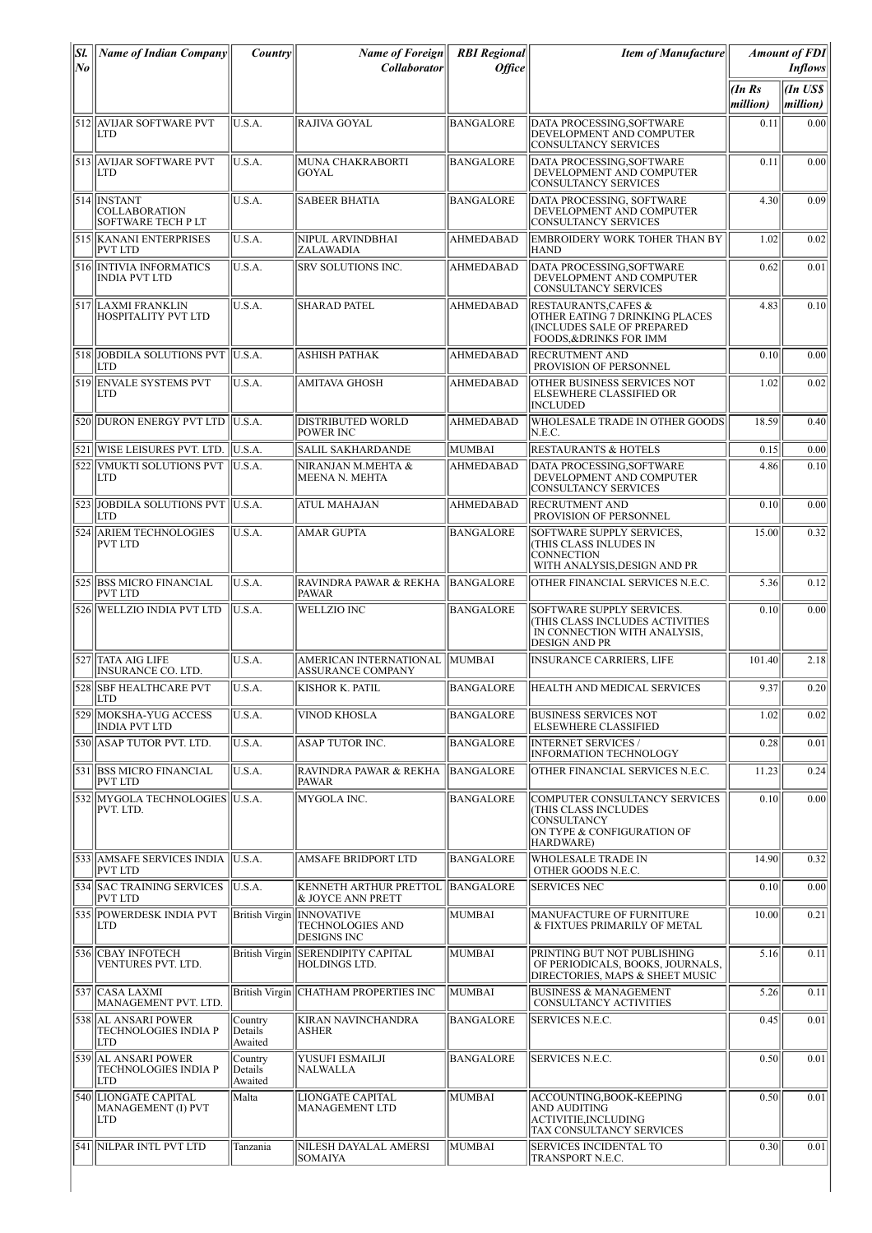| Sl.<br>$ N_{\boldsymbol{0}} $ | <b>Name of Indian Company</b>                                    | <i>Country</i>                | Name of Foreign<br>Collaborator                                            | <b>RBI</b> Regional<br><b>Office</b> | <b>Item of Manufacture</b>                                                                                                           |                   | <b>Amount of FDI</b><br><b>Inflows</b> |
|-------------------------------|------------------------------------------------------------------|-------------------------------|----------------------------------------------------------------------------|--------------------------------------|--------------------------------------------------------------------------------------------------------------------------------------|-------------------|----------------------------------------|
|                               |                                                                  |                               |                                                                            |                                      |                                                                                                                                      | (InRs<br>million) | $\ln USS$<br>million)                  |
|                               | 512 AVIJAR SOFTWARE PVT<br><b>LTD</b>                            | U.S.A.                        | RAJIVA GOYAL                                                               | <b>BANGALORE</b>                     | DATA PROCESSING, SOFTWARE<br>DEVELOPMENT AND COMPUTER<br><b>CONSULTANCY SERVICES</b>                                                 | 0.11              | 0.00                                   |
|                               | 513 AVIJAR SOFTWARE PVT<br>LTD                                   | U.S.A.                        | MUNA CHAKRABORTI<br>GOYAL                                                  | <b>BANGALORE</b>                     | DATA PROCESSING, SOFTWARE<br>DEVELOPMENT AND COMPUTER<br>CONSULTANCY SERVICES                                                        | 0.11              | 0.00                                   |
|                               | 514 INSTANT<br><b>COLLABORATION</b><br><b>SOFTWARE TECH PLT</b>  | U.S.A.                        | <b>SABEER BHATIA</b>                                                       | <b>BANGALORE</b>                     | DATA PROCESSING, SOFTWARE<br>DEVELOPMENT AND COMPUTER<br><b>CONSULTANCY SERVICES</b>                                                 | 4.30              | 0.09                                   |
|                               | 515 KANANI ENTERPRISES<br><b>PVT LTD</b>                         | U.S.A.                        | NIPUL ARVINDBHAI<br>ZALAWADIA                                              | <b>AHMEDABAD</b>                     | EMBROIDERY WORK TOHER THAN BY<br><b>HAND</b>                                                                                         | 1.02              | 0.02                                   |
|                               | 516 INTIVIA INFORMATICS<br><b>INDIA PVT LTD</b>                  | U.S.A.                        | SRV SOLUTIONS INC.                                                         | <b>AHMEDABAD</b>                     | DATA PROCESSING, SOFTWARE<br>DEVELOPMENT AND COMPUTER<br>CONSULTANCY SERVICES                                                        | 0.62              | 0.01                                   |
|                               | 517 LAXMI FRANKLIN<br>HOSPITALITY PVT LTD                        | U.S.A.                        | <b>SHARAD PATEL</b>                                                        | <b>AHMEDABAD</b>                     | <b>RESTAURANTS, CAFES &amp;</b><br>OTHER EATING 7 DRINKING PLACES<br>(INCLUDES SALE OF PREPARED<br><b>FOODS, &amp;DRINKS FOR IMM</b> | 4.83              | 0.10                                   |
|                               | 518 JOBDILA SOLUTIONS PVT<br><b>LTD</b>                          | $\parallel$ U.S.A.            | ASHISH PATHAK                                                              | <b>AHMEDABAD</b>                     | <b>RECRUTMENT AND</b><br>PROVISION OF PERSONNEL                                                                                      | 0.10              | 0.00                                   |
|                               | 519 ENVALE SYSTEMS PVT<br>LTD                                    | U.S.A.                        | <b>AMITAVA GHOSH</b>                                                       | <b>AHMEDABAD</b>                     | OTHER BUSINESS SERVICES NOT<br>ELSEWHERE CLASSIFIED OR<br><b>INCLUDED</b>                                                            | 1.02              | 0.02                                   |
|                               | 520 DURON ENERGY PVT LTD                                         | U.S.A.                        | <b>DISTRIBUTED WORLD</b><br><b>POWER INC</b>                               | AHMEDABAD                            | WHOLESALE TRADE IN OTHER GOODS<br>N.E.C.                                                                                             | 18.59             | 0.40                                   |
|                               | 521 WISE LEISURES PVT. LTD.                                      | U.S.A.                        | <b>SALIL SAKHARDANDE</b>                                                   | MUMBAI                               | <b>RESTAURANTS &amp; HOTELS</b>                                                                                                      | 0.15              | 0.00                                   |
|                               | 522 VMUKTI SOLUTIONS PVT<br>LTD                                  | U.S.A.                        | NIRANJAN M.MEHTA &<br>MEENA N. MEHTA                                       | <b>AHMEDABAD</b>                     | DATA PROCESSING.SOFTWARE<br>DEVELOPMENT AND COMPUTER<br><b>CONSULTANCY SERVICES</b>                                                  | 4.86              | 0.10                                   |
|                               | 523 JJOBDILA SOLUTIONS PVT<br><b>LTD</b>                         | $\parallel$ U.S.A.            | ATUL MAHAJAN                                                               | <b>AHMEDABAD</b>                     | <b>RECRUTMENT AND</b><br>PROVISION OF PERSONNEL                                                                                      | 0.10              | 0.00                                   |
|                               | 524 ARIEM TECHNOLOGIES<br><b>PVT LTD</b>                         | U.S.A.                        | <b>AMAR GUPTA</b>                                                          | <b>BANGALORE</b>                     | SOFTWARE SUPPLY SERVICES,<br>(THIS CLASS INLUDES IN<br><b>CONNECTION</b><br>WITH ANALYSIS, DESIGN AND PR                             | 15.00             | 0.32                                   |
|                               | 525 BSS MICRO FINANCIAL<br><b>PVT LTD</b>                        | U.S.A.                        | RAVINDRA PAWAR & REKHA   BANGALORE<br><b>PAWAR</b>                         |                                      | OTHER FINANCIAL SERVICES N.E.C.                                                                                                      | 5.36              | 0.12                                   |
|                               | 526 WELLZIO INDIA PVT LTD                                        | U.S.A.                        | <b>WELLZIO INC</b>                                                         | <b>BANGALORE</b>                     | SOFTWARE SUPPLY SERVICES.<br>(THIS CLASS INCLUDES ACTIVITIES<br>IN CONNECTION WITH ANALYSIS,<br>DESIGN AND PR                        | 0.10              | 0.00                                   |
|                               | 527 TATA AIG LIFE<br><b>INSURANCE CO. LTD.</b>                   | U.S.A.                        | AMERICAN INTERNATIONAL   MUMBAI<br><b>ASSURANCE COMPANY</b>                |                                      | <b>INSURANCE CARRIERS, LIFE</b>                                                                                                      | 101.40            | 2.18                                   |
| 5281                          | <b>SBF HEALTHCARE PVT</b><br>LTD                                 | U.S.A.                        | KISHOR K. PATIL                                                            | <b>BANGALORE</b>                     | HEALTH AND MEDICAL SERVICES                                                                                                          | 9.37              | 0.20                                   |
|                               | 529 MOKSHA-YUG ACCESS<br><b>INDIA PVT LTD</b>                    | U.S.A.                        | <b>VINOD KHOSLA</b>                                                        | <b>BANGALORE</b>                     | <b>BUSINESS SERVICES NOT</b><br><b>ELSEWHERE CLASSIFIED</b>                                                                          | 1.02              | 0.02                                   |
|                               | 530  ASAP TUTOR PVT. LTD.                                        | U.S.A.                        | ASAP TUTOR INC.                                                            | BANGALORE                            | <b>INTERNET SERVICES/</b><br>INFORMATION TECHNOLOGY                                                                                  | 0.28              | 0.01                                   |
|                               | 531 BSS MICRO FINANCIAL<br>PVT LTD                               | U.S.A.                        | RAVINDRA PAWAR & REKHA   BANGALORE<br><b>PAWAR</b>                         |                                      | OTHER FINANCIAL SERVICES N.E.C.                                                                                                      | 11.23             | 0.24                                   |
|                               | 532 MYGOLA TECHNOLOGIES U.S.A.<br>PVT. LTD.                      |                               | MYGOLA INC.                                                                | <b>BANGALORE</b>                     | COMPUTER CONSULTANCY SERVICES<br>(THIS CLASS INCLUDES<br>CONSULTANCY<br>ON TYPE & CONFIGURATION OF<br>HARDWARE)                      | 0.10              | 0.00                                   |
|                               | 533 AMSAFE SERVICES INDIA<br><b>PVT LTD</b>                      | U.S.A.                        | AMSAFE BRIDPORT LTD                                                        | <b>BANGALORE</b>                     | <b>WHOLESALE TRADE IN</b><br>OTHER GOODS N.E.C.                                                                                      | 14.90             | 0.32                                   |
|                               | 534 SAC TRAINING SERVICES<br><b>PVT LTD</b>                      | U.S.A.                        | KENNETH ARTHUR PRETTOL BANGALORE<br>& JOYCE ANN PRETT                      |                                      | <b>SERVICES NEC</b>                                                                                                                  | 0.10              | 0.00                                   |
|                               | 535 POWERDESK INDIA PVT<br>LTD                                   |                               | British Virgin INNOVATIVE<br><b>TECHNOLOGIES AND</b><br><b>DESIGNS INC</b> | <b>MUMBAI</b>                        | MANUFACTURE OF FURNITURE<br>& FIXTUES PRIMARILY OF METAL                                                                             | 10.00             | 0.21                                   |
|                               | 536 CBAY INFOTECH<br>VENTURES PVT. LTD.                          |                               | British Virgin SERENDIPITY CAPITAL<br>HOLDINGS LTD.                        | MUMBAI                               | PRINTING BUT NOT PUBLISHING<br>OF PERIODICALS, BOOKS, JOURNALS,<br>DIRECTORIES, MAPS & SHEET MUSIC                                   | 5.16              | 0.11                                   |
|                               | 537 CASA LAXMI<br>MANAGEMENT PVT. LTD.                           |                               | British Virgin CHATHAM PROPERTIES INC                                      | MUMBAI                               | <b>BUSINESS &amp; MANAGEMENT</b><br>CONSULTANCY ACTIVITIES                                                                           | 5.26              | 0.11                                   |
|                               | 538 AL ANSARI POWER<br><b>TECHNOLOGIES INDIA P</b><br><b>LTD</b> | Country<br>Details<br>Awaited | KIRAN NAVINCHANDRA<br><b>ASHER</b>                                         | <b>BANGALORE</b>                     | SERVICES N.E.C.                                                                                                                      | 0.45              | 0.01                                   |
|                               | 539 AL ANSARI POWER<br><b>TECHNOLOGIES INDIA P</b><br>LTD        | Country<br>Details<br>Awaited | YUSUFI ESMAILJI<br>NALWALLA                                                | <b>BANGALORE</b>                     | <b>SERVICES N.E.C.</b>                                                                                                               | 0.50              | 0.01                                   |
|                               | 540 LIONGATE CAPITAL<br>MANAGEMENT (I) PVT<br>LTD                | Malta                         | LIONGATE CAPITAL<br>MANAGEMENT LTD                                         | MUMBAI                               | ACCOUNTING, BOOK-KEEPING<br><b>AND AUDITING</b><br>ACTIVITIE, INCLUDING<br>TAX CONSULTANCY SERVICES                                  | 0.50              | 0.01                                   |
|                               | 541 NILPAR INTL PVT LTD                                          | Tanzania                      | NILESH DAYALAL AMERSI<br>SOMAIYA                                           | MUMBAI                               | SERVICES INCIDENTAL TO<br>TRANSPORT N.E.C.                                                                                           | 0.30              | 0.01                                   |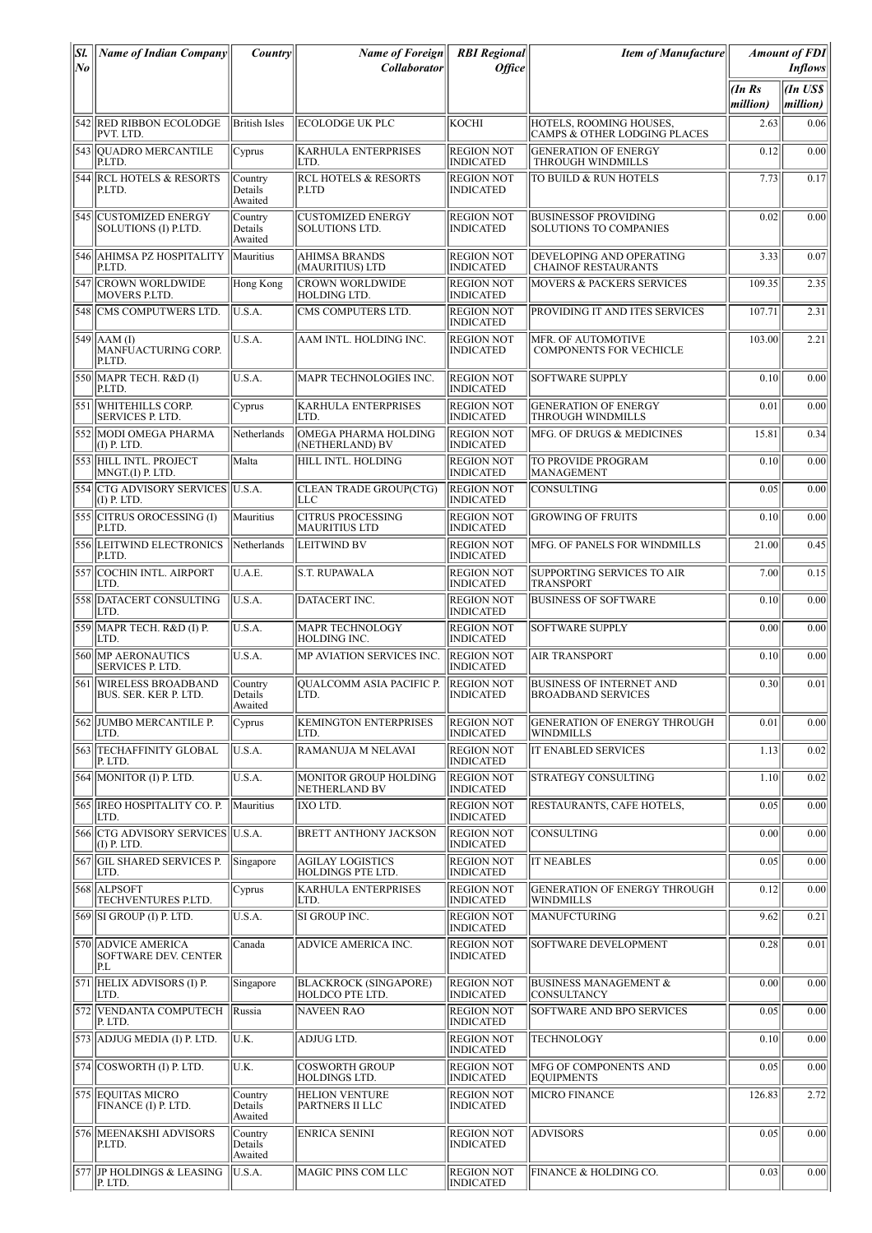| Sl.                  | <b>Name of Indian Company</b>                             | <i>Country</i>                | <b>Name of Foreign</b>                                 | <b>RBI</b> Regional                   | <b>Item of Manufacture</b>                                         |          | <b>Amount of FDI</b>       |
|----------------------|-----------------------------------------------------------|-------------------------------|--------------------------------------------------------|---------------------------------------|--------------------------------------------------------------------|----------|----------------------------|
| $N_{\boldsymbol{0}}$ |                                                           |                               | <b>Collaborator</b>                                    | <b>Office</b>                         |                                                                    | (InRs    | <i>Inflows</i><br>(In US\$ |
|                      |                                                           |                               |                                                        |                                       |                                                                    | million) | million)                   |
|                      | 542 RED RIBBON ECOLODGE<br>PVT. LTD.                      | <b>British Isles</b>          | ECOLODGE UK PLC                                        | KOCHI                                 | HOTELS, ROOMING HOUSES,<br><b>CAMPS &amp; OTHER LODGING PLACES</b> | 2.63     | 0.06                       |
|                      | 543 OUADRO MERCANTILE<br>P.LTD.                           | Cyprus                        | <b>KARHULA ENTERPRISES</b><br>LTD.                     | REGION NOT<br><b>INDICATED</b>        | <b>GENERATION OF ENERGY</b><br>THROUGH WINDMILLS                   | 0.12     | 0.00                       |
|                      | <b>544 RCL HOTELS &amp; RESORTS</b><br>P.LTD.             | Country<br>Details<br>Awaited | <b>RCL HOTELS &amp; RESORTS</b><br>P.LTD               | <b>REGION NOT</b><br><b>INDICATED</b> | TO BUILD & RUN HOTELS                                              | 7.73     | 0.17                       |
|                      | 545  CUSTOMIZED ENERGY<br>SOLUTIONS (I) P.LTD.            | Country<br>Details<br>Awaited | <b>CUSTOMIZED ENERGY</b><br>SOLUTIONS LTD.             | <b>REGION NOT</b><br><b>INDICATED</b> | <b>BUSINESSOF PROVIDING</b><br><b>SOLUTIONS TO COMPANIES</b>       | 0.02     | 0.00                       |
|                      | 546  AHIMSA PZ HOSPITALITY<br>P.LTD.                      | Mauritius                     | <b>AHIMSA BRANDS</b><br>(MAURITIUS) LTD                | REGION NOT<br><b>INDICATED</b>        | DEVELOPING AND OPERATING<br><b>CHAINOF RESTAURANTS</b>             | 3.33     | 0.07                       |
|                      | 547 CROWN WORLDWIDE<br><b>MOVERS P.LTD.</b>               | Hong Kong                     | <b>CROWN WORLDWIDE</b><br>HOLDING LTD.                 | <b>REGION NOT</b><br><b>INDICATED</b> | <b>MOVERS &amp; PACKERS SERVICES</b>                               | 109.35   | 2.35                       |
|                      | 548 CMS COMPUTWERS LTD.                                   | U.S.A.                        | CMS COMPUTERS LTD.                                     | <b>REGION NOT</b><br><b>INDICATED</b> | PROVIDING IT AND ITES SERVICES                                     | 107.71   | 2.31                       |
| 549                  | $AAM$ (I)<br>MANFUACTURING CORP.<br>P.LTD.                | U.S.A.                        | AAM INTL. HOLDING INC.                                 | <b>REGION NOT</b><br><b>INDICATED</b> | MFR. OF AUTOMOTIVE<br><b>COMPONENTS FOR VECHICLE</b>               | 103.00   | 2.21                       |
|                      | 550 MAPR TECH. R&D (I)<br>P.LTD.                          | U.S.A.                        | <b>MAPR TECHNOLOGIES INC.</b>                          | <b>REGION NOT</b><br><b>INDICATED</b> | <b>SOFTWARE SUPPLY</b>                                             | 0.10     | 0.00                       |
|                      | 551 WHITEHILLS CORP.<br><b>SERVICES P. LTD</b>            | Cyprus                        | <b>KARHULA ENTERPRISES</b><br>LTD.                     | <b>REGION NOT</b><br><b>INDICATED</b> | <b>GENERATION OF ENERGY</b><br><b>THROUGH WINDMILLS</b>            | 0.01     | 0.00                       |
|                      | 552 MODI OMEGA PHARMA<br>$(I)$ P. LTD.                    | Netherlands                   | OMEGA PHARMA HOLDING<br>(NETHERLAND) BV                | <b>REGION NOT</b><br><b>INDICATED</b> | MFG. OF DRUGS & MEDICINES                                          | 15.81    | 0.34                       |
|                      | 553 HILL INTL. PROJECT<br>MNGT.(I) P. LTD.                | Malta                         | HILL INTL. HOLDING                                     | <b>REGION NOT</b><br><b>INDICATED</b> | TO PROVIDE PROGRAM<br><b>MANAGEMENT</b>                            | 0.10     | 0.00                       |
|                      | 554  CTG ADVISORY SERVICES  U.S.A.<br>$(I)$ P. LTD.       |                               | <b>CLEAN TRADE GROUP(CTG)</b><br>LLC                   | <b>REGION NOT</b><br><b>INDICATED</b> | ICONSULTING                                                        | 0.05     | 0.00                       |
|                      | 555 CITRUS OROCESSING (I)<br>P.LTD.                       | Mauritius                     | <b>CITRUS PROCESSING</b><br><b>MAURITIUS LTD</b>       | <b>REGION NOT</b><br><b>INDICATED</b> | <b>GROWING OF FRUITS</b>                                           | 0.10     | 0.00                       |
|                      | 556 LEITWIND ELECTRONICS<br>P.LTD.                        | Netherlands                   | <b>LEITWIND BV</b>                                     | <b>REGION NOT</b><br><b>INDICATED</b> | MFG. OF PANELS FOR WINDMILLS                                       | 21.00    | 0.45                       |
|                      | 557 COCHIN INTL. AIRPORT<br>LTD.                          | U.A.E.                        | S.T. RUPAWALA                                          | <b>REGION NOT</b><br><b>INDICATED</b> | SUPPORTING SERVICES TO AIR<br><b>TRANSPORT</b>                     | 7.00     | 0.15                       |
|                      | 558 DATACERT CONSULTING<br>LTD.                           | U.S.A.                        | DATACERT INC.                                          | <b>REGION NOT</b><br><b>INDICATED</b> | <b>BUSINESS OF SOFTWARE</b>                                        | 0.10     | 0.00                       |
|                      | 559 MAPR TECH. R&D (I) P.<br>LTD.                         | U.S.A.                        | <b>MAPR TECHNOLOGY</b><br>HOLDING INC.                 | <b>REGION NOT</b><br><b>INDICATED</b> | <b>SOFTWARE SUPPLY</b>                                             | 0.00     | 0.00                       |
| 560                  | <b>MP AERONAUTICS</b><br>SERVICES P. LTD.                 | U.S.A.                        | MP AVIATION SERVICES INC.                              | <b>REGION NOT</b><br><b>INDICATED</b> | <b>AIR TRANSPORT</b>                                               | 0.10     | 0.00                       |
| 5611                 | <b>WIRELESS BROADBAND</b><br><b>BUS. SER. KER P. LTD.</b> | Country<br>Details<br>Awaited | QUALCOMM ASIA PACIFIC P.<br>LTD.                       | <b>REGION NOT</b><br><b>INDICATED</b> | <b>BUSINESS OF INTERNET AND</b><br><b>BROADBAND SERVICES</b>       | 0.30     | 0.01                       |
|                      | 562 JUMBO MERCANTILE P.<br>LTD.                           | Cyprus                        | <b>KEMINGTON ENTERPRISES</b><br>LTD.                   | <b>REGION NOT</b><br><b>INDICATED</b> | <b>GENERATION OF ENERGY THROUGH</b><br><b>WINDMILLS</b>            | 0.01     | 0.00                       |
|                      | 563  TECHAFFINITY GLOBAL<br>P. LTD.                       | U.S.A.                        | RAMANUJA M NELAVAI                                     | <b>REGION NOT</b><br><b>INDICATED</b> | <b>IT ENABLED SERVICES</b>                                         | 1.13     | 0.02                       |
|                      | $ 564 $ MONITOR (I) P. LTD.                               | U.S.A.                        | MONITOR GROUP HOLDING<br>NETHERLAND BV                 | <b>REGION NOT</b><br><b>INDICATED</b> | <b>STRATEGY CONSULTING</b>                                         | 1.10     | 0.02                       |
|                      | 565 IREO HOSPITALITY CO. P.<br>LTD.                       | Mauritius                     | IXO LTD.                                               | REGION NOT<br><b>INDICATED</b>        | RESTAURANTS, CAFE HOTELS,                                          | 0.05     | 0.00                       |
|                      | 566 CTG ADVISORY SERVICES U.S.A.<br>$(I)$ P. LTD.         |                               | BRETT ANTHONY JACKSON                                  | <b>REGION NOT</b><br><b>INDICATED</b> | CONSULTING                                                         | 0.00     | 0.00                       |
|                      | 567 GIL SHARED SERVICES P.<br>LTD.                        | Singapore                     | <b>AGILAY LOGISTICS</b><br>HOLDINGS PTE LTD.           | <b>REGION NOT</b><br><b>INDICATED</b> | <b>IT NEABLES</b>                                                  | 0.05     | 0.00                       |
|                      | 568 ALPSOFT <br>TECHVENTURES P.LTD.                       | Cyprus                        | <b>KARHULA ENTERPRISES</b><br>LTD.                     | <b>REGION NOT</b><br><b>INDICATED</b> | <b>GENERATION OF ENERGY THROUGH</b><br><b>WINDMILLS</b>            | 0.12     | 0.00                       |
|                      | 569  SI GROUP (I) P. LTD.                                 | U.S.A.                        | SI GROUP INC.                                          | <b>REGION NOT</b><br><b>INDICATED</b> | <b>MANUFCTURING</b>                                                | 9.62     | 0.21                       |
| $\overline{570}$     | <b>ADVICE AMERICA</b><br>SOFTWARE DEV. CENTER<br>P.L      | Canada                        | ADVICE AMERICA INC.                                    | <b>REGION NOT</b><br><b>INDICATED</b> | SOFTWARE DEVELOPMENT                                               | 0.28     | 0.01                       |
|                      | 571 HELIX ADVISORS (I) P.<br>LTD.                         | Singapore                     | <b>BLACKROCK (SINGAPORE)</b><br><b>HOLDCO PTE LTD.</b> | <b>REGION NOT</b><br><b>INDICATED</b> | <b>BUSINESS MANAGEMENT &amp;</b><br><b>CONSULTANCY</b>             | 0.00     | 0.00                       |
|                      | 572 VENDANTA COMPUTECH<br>P. LTD.                         | Russia                        | <b>NAVEEN RAO</b>                                      | <b>REGION NOT</b><br><b>INDICATED</b> | SOFTWARE AND BPO SERVICES                                          | 0.05     | 0.00                       |
|                      | 573 ADJUG MEDIA (I) P. LTD.                               | U.K.                          | ADJUG LTD.                                             | <b>REGION NOT</b><br><b>INDICATED</b> | <b>TECHNOLOGY</b>                                                  | 0.10     | 0.00                       |
|                      | $ 574 $ COSWORTH (I) P. LTD.                              | U.K.                          | <b>COSWORTH GROUP</b><br>HOLDINGS LTD.                 | <b>REGION NOT</b><br><b>INDICATED</b> | MFG OF COMPONENTS AND<br><b>EQUIPMENTS</b>                         | 0.05     | 0.00                       |
|                      | 575 EQUITAS MICRO<br>FINANCE (I) P. LTD.                  | Country<br>Details<br>Awaited | <b>HELION VENTURE</b><br>PARTNERS II LLC               | <b>REGION NOT</b><br><b>INDICATED</b> | <b>MICRO FINANCE</b>                                               | 126.83   | 2.72                       |
|                      | 576 MEENAKSHI ADVISORS<br>P.LTD.                          | Country<br>Details<br>Awaited | <b>ENRICA SENINI</b>                                   | <b>REGION NOT</b><br><b>INDICATED</b> | <b>ADVISORS</b>                                                    | 0.05     | 0.00                       |
|                      | 577 JP HOLDINGS & LEASING<br>P. LTD.                      | U.S.A.                        | MAGIC PINS COM LLC                                     | <b>REGION NOT</b><br><b>INDICATED</b> | FINANCE & HOLDING CO.                                              | 0.03     | 0.00                       |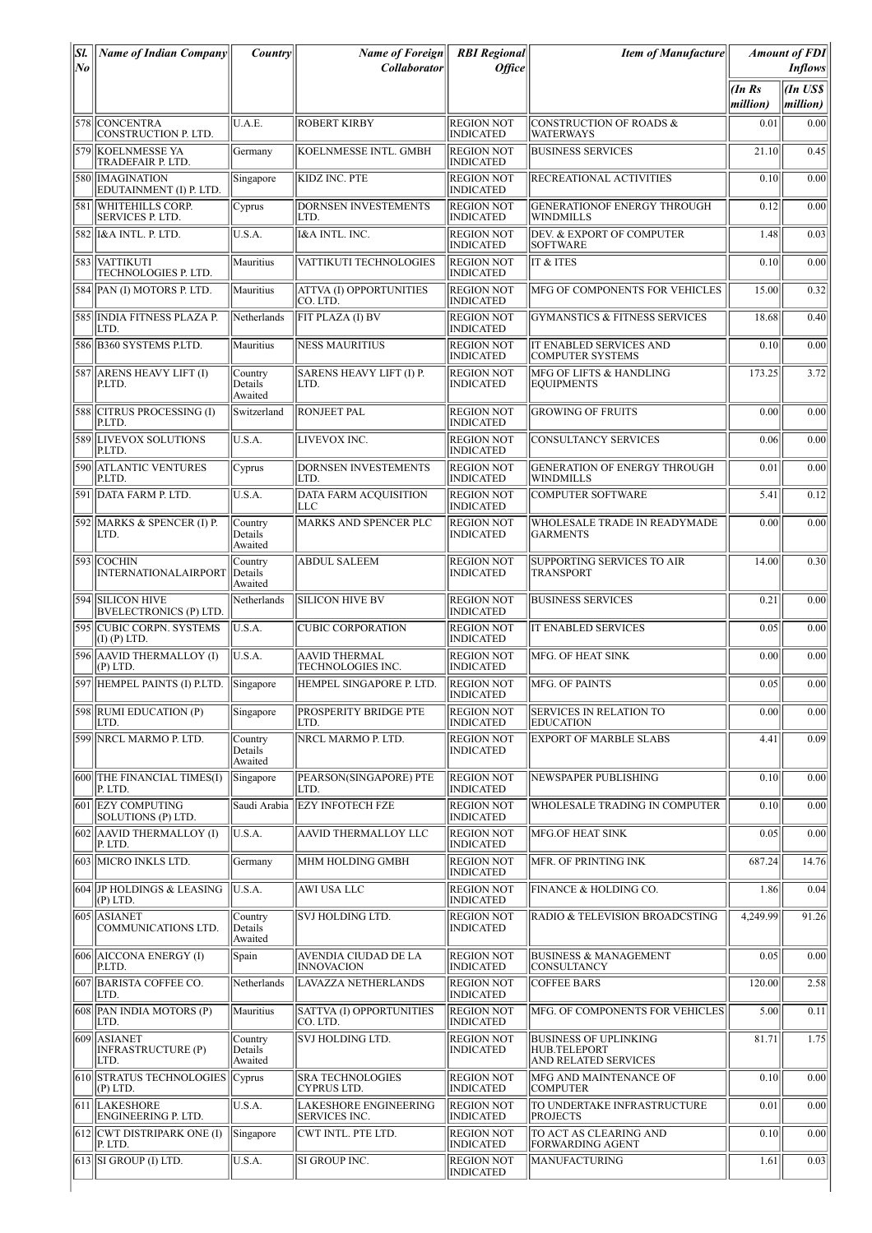| SI.<br> No | <b>Name of Indian Company</b>                     | <i>Country</i>                | <b>Name of Foreign</b>                        | <b>RBI</b> Regional                   | <b>Item of Manufacture</b>                                                  |                      | <b>Amount of FDI</b>                   |
|------------|---------------------------------------------------|-------------------------------|-----------------------------------------------|---------------------------------------|-----------------------------------------------------------------------------|----------------------|----------------------------------------|
|            |                                                   |                               | <b>Collaborator</b>                           | <i><b>Office</b></i>                  |                                                                             | $\ln Rs$<br>million) | <b>Inflows</b><br>(In US\$<br>million) |
|            | 578 CONCENTRA<br>CONSTRUCTION P. LTD.             | U.A.E.                        | <b>ROBERT KIRBY</b>                           | <b>REGION NOT</b><br><b>INDICATED</b> | <b>CONSTRUCTION OF ROADS &amp;</b><br><b>WATERWAYS</b>                      | 0.01                 | 0.00                                   |
|            | 579 KOELNMESSE YA<br>TRADEFAIR P. LTD.            | Germany                       | <b>KOELNMESSE INTL. GMBH</b>                  | <b>REGION NOT</b><br><b>INDICATED</b> | <b>BUSINESS SERVICES</b>                                                    | 21.10                | 0.45                                   |
|            | 580 IMAGINATION<br>EDUTAINMENT (I) P. LTD.        | Singapore                     | KIDZ INC. PTE                                 | <b>REGION NOT</b><br><b>INDICATED</b> | RECREATIONAL ACTIVITIES                                                     | 0.10                 | 0.00                                   |
|            | 581 WHITEHILLS CORP.<br>SERVICES P. LTD.          | Cyprus                        | DORNSEN INVESTEMENTS<br>LTD.                  | <b>REGION NOT</b><br><b>INDICATED</b> | <b>GENERATIONOF ENERGY THROUGH</b><br>WINDMILLS                             | 0.12                 | 0.00                                   |
|            | 582   I&A INTL. P. LTD.                           | U.S.A.                        | I&A INTL. INC.                                | <b>REGION NOT</b><br><b>INDICATED</b> | DEV. & EXPORT OF COMPUTER<br><b>SOFTWARE</b>                                | 1.48                 | 0.03                                   |
|            | 583 VATTIKUTI<br>TECHNOLOGIES P. LTD.             | Mauritius                     | VATTIKUTI TECHNOLOGIES                        | <b>REGION NOT</b><br><b>INDICATED</b> | IT & ITES                                                                   | 0.10                 | $\overline{0.00}$                      |
|            | 584 PAN (I) MOTORS P. LTD.                        | Mauritius                     | <b>ATTVA (I) OPPORTUNITIES</b><br>CO. LTD.    | <b>REGION NOT</b><br><b>INDICATED</b> | MFG OF COMPONENTS FOR VEHICLES                                              | 15.00                | 0.32                                   |
|            | 585 INDIA FITNESS PLAZA P.<br>LTD.                | Netherlands                   | FIT PLAZA (I) BV                              | <b>REGION NOT</b><br><b>INDICATED</b> | <b>GYMANSTICS &amp; FITNESS SERVICES</b>                                    | 18.68                | 0.40                                   |
|            | 586 B360 SYSTEMS PLTD.                            | Mauritius                     | <b>NESS MAURITIUS</b>                         | <b>REGION NOT</b><br><b>INDICATED</b> | IT ENABLED SERVICES AND<br><b>COMPUTER SYSTEMS</b>                          | 0.10                 | 0.00                                   |
|            | 587 ARENS HEAVY LIFT (I)<br>P.LTD.                | Country<br>Details<br>Awaited | SARENS HEAVY LIFT (I) P.<br>LTD.              | <b>REGION NOT</b><br><b>INDICATED</b> | MFG OF LIFTS & HANDLING<br><b>EQUIPMENTS</b>                                | 173.25               | 3.72                                   |
|            | 588 CITRUS PROCESSING (I)<br>P.LTD.               | Switzerland                   | <b>RONJEET PAL</b>                            | <b>REGION NOT</b><br><b>INDICATED</b> | <b>GROWING OF FRUITS</b>                                                    | 0.00                 | 0.00                                   |
|            | 589 LIVEVOX SOLUTIONS<br>P.LTD.                   | U.S.A.                        | LIVEVOX INC.                                  | <b>REGION NOT</b><br><b>INDICATED</b> | CONSULTANCY SERVICES                                                        | 0.06                 | 0.00                                   |
|            | 590 ATLANTIC VENTURES<br>P.LTD.                   | Cyprus                        | <b>DORNSEN INVESTEMENTS</b><br>LTD.           | <b>REGION NOT</b><br><b>INDICATED</b> | <b>GENERATION OF ENERGY THROUGH</b><br>WINDMILLS                            | 0.01                 | 0.00                                   |
|            | 591 DATA FARM P. LTD.                             | U.S.A.                        | DATA FARM ACQUISITION<br>ILLC                 | <b>REGION NOT</b><br><b>INDICATED</b> | <b>COMPUTER SOFTWARE</b>                                                    | 5.41                 | 0.12                                   |
|            | 592 MARKS & SPENCER (I) P.<br>LTD.                | Country<br>Details<br>Awaited | MARKS AND SPENCER PLC                         | <b>REGION NOT</b><br><b>INDICATED</b> | WHOLESALE TRADE IN READYMADE<br><b>GARMENTS</b>                             | 0.00                 | 0.00                                   |
|            | 593 ICOCHIN<br><b>INTERNATIONALAIRPORT</b>        | Country<br>Details<br>Awaited | <b>ABDUL SALEEM</b>                           | <b>REGION NOT</b><br><b>INDICATED</b> | SUPPORTING SERVICES TO AIR<br><b>TRANSPORT</b>                              | 14.00                | 0.30                                   |
|            | 594 SILICON HIVE<br><b>BVELECTRONICS (P) LTD.</b> | Netherlands                   | <b>SILICON HIVE BV</b>                        | <b>REGION NOT</b><br><b>INDICATED</b> | <b>BUSINESS SERVICES</b>                                                    | 0.21                 | 0.00                                   |
|            | 595 CUBIC CORPN. SYSTEMS<br>$(I)$ (P) LTD.        | U.S.A.                        | <b>CUBIC CORPORATION</b>                      | <b>REGION NOT</b><br><b>INDICATED</b> | IT ENABLED SERVICES                                                         | 0.05                 | 0.00                                   |
|            | 596 AAVID THERMALLOY (I)<br>(P) LTD.              | U.S.A.                        | <b>AAVID THERMAL</b><br>TECHNOLOGIES INC.     | <b>REGION NOT</b><br><b>INDICATED</b> | MFG. OF HEAT SINK                                                           | 0.00                 | 0.00                                   |
|            | 597 HEMPEL PAINTS (I) P.LTD.                      | Singapore                     | HEMPEL SINGAPORE P. LTD.                      | <b>REGION NOT</b><br><b>INDICATED</b> | MFG. OF PAINTS                                                              | 0.05                 | 0.00                                   |
|            | 598 RUMI EDUCATION (P)<br>LTD.                    | Singapore                     | PROSPERITY BRIDGE PTE<br>LTD.                 | <b>REGION NOT</b><br><b>INDICATED</b> | <b>SERVICES IN RELATION TO</b><br><b>EDUCATION</b>                          | 0.00                 | 0.00                                   |
|            | 599 NRCL MARMO P. LTD.                            | Country<br>Details<br>Awaited | NRCL MARMO P. LTD.                            | <b>REGION NOT</b><br><b>INDICATED</b> | <b>EXPORT OF MARBLE SLABS</b>                                               | 4.41                 | 0.09                                   |
|            | 600 THE FINANCIAL TIMES(I)<br>P. LTD.             | Singapore                     | PEARSON(SINGAPORE) PTE<br>LTD.                | <b>REGION NOT</b><br><b>INDICATED</b> | NEWSPAPER PUBLISHING                                                        | 0.10                 | 0.00                                   |
|            | 601 EZY COMPUTING<br>SOLUTIONS (P) LTD.           | Saudi Arabia                  | <b>EZY INFOTECH FZE</b>                       | <b>REGION NOT</b><br><b>INDICATED</b> | WHOLESALE TRADING IN COMPUTER                                               | 0.10                 | 0.00                                   |
|            | 602 AAVID THERMALLOY (I)<br>P. LTD.               | U.S.A.                        | AAVID THERMALLOY LLC                          | <b>REGION NOT</b><br><b>INDICATED</b> | MFG.OF HEAT SINK                                                            | 0.05                 | 0.00                                   |
|            | 603 MICRO INKLS LTD.                              | Germany                       | MHM HOLDING GMBH                              | <b>REGION NOT</b><br><b>INDICATED</b> | MFR. OF PRINTING INK                                                        | 687.24               | 14.76                                  |
|            | 604 JP HOLDINGS & LEASING<br>$(P)$ LTD.           | U.S.A.                        | <b>AWI USA LLC</b>                            | <b>REGION NOT</b><br><b>INDICATED</b> | FINANCE & HOLDING CO.                                                       | 1.86                 | 0.04                                   |
|            | 605 ASIANET<br>COMMUNICATIONS LTD.                | Country<br>Details<br>Awaited | SVJ HOLDING LTD.                              | <b>REGION NOT</b><br><b>INDICATED</b> | RADIO & TELEVISION BROADCSTING                                              | 4,249.99             | 91.26                                  |
|            | 606 AICCONA ENERGY (I)<br>P.LTD.                  | Spain                         | AVENDIA CIUDAD DE LA<br><b>INNOVACION</b>     | <b>REGION NOT</b><br><b>INDICATED</b> | <b>BUSINESS &amp; MANAGEMENT</b><br>CONSULTANCY                             | 0.05                 | 0.00                                   |
|            | 607 BARISTA COFFEE CO.<br>LTD.                    | Netherlands                   | LAVAZZA NETHERLANDS                           | <b>REGION NOT</b><br><b>INDICATED</b> | <b>COFFEE BARS</b>                                                          | 120.00               | 2.58                                   |
|            | 608 PAN INDIA MOTORS (P)<br>LTD.                  | Mauritius                     | SATTVA (I) OPPORTUNITIES<br>CO. LTD.          | <b>REGION NOT</b><br><b>INDICATED</b> | MFG. OF COMPONENTS FOR VEHICLES                                             | 5.00                 | 0.11                                   |
| 609        | <b>ASIANET</b><br>INFRASTRUCTURE (P)<br>LTD.      | Country<br>Details<br>Awaited | <b>SVJ HOLDING LTD.</b>                       | <b>REGION NOT</b><br><b>INDICATED</b> | <b>BUSINESS OF UPLINKING</b><br><b>HUB.TELEPORT</b><br>AND RELATED SERVICES | 81.71                | 1.75                                   |
|            | <b>610 STRATUS TECHNOLOGIES</b><br>$(P)$ LTD.     | Cyprus                        | <b>SRA TECHNOLOGIES</b><br>CYPRUS LTD.        | <b>REGION NOT</b><br><b>INDICATED</b> | MFG AND MAINTENANCE OF<br><b>COMPUTER</b>                                   | 0.10                 | 0.00                                   |
|            | 611 LAKESHORE<br>ENGINEERING P. LTD.              | U.S.A.                        | <b>LAKESHORE ENGINEERING</b><br>SERVICES INC. | <b>REGION NOT</b><br><b>INDICATED</b> | TO UNDERTAKE INFRASTRUCTURE<br><b>PROJECTS</b>                              | 0.01                 | 0.00                                   |
|            | 612 CWT DISTRIPARK ONE (I)<br>P. LTD.             | Singapore                     | CWT INTL. PTE LTD.                            | <b>REGION NOT</b><br><b>INDICATED</b> | TO ACT AS CLEARING AND<br>FORWARDING AGENT                                  | 0.10                 | 0.00                                   |
|            | $ 613 $ SI GROUP (I) LTD.                         | U.S.A.                        | SI GROUP INC.                                 | <b>REGION NOT</b><br><b>INDICATED</b> | <b>MANUFACTURING</b>                                                        | 1.61                 | 0.03                                   |